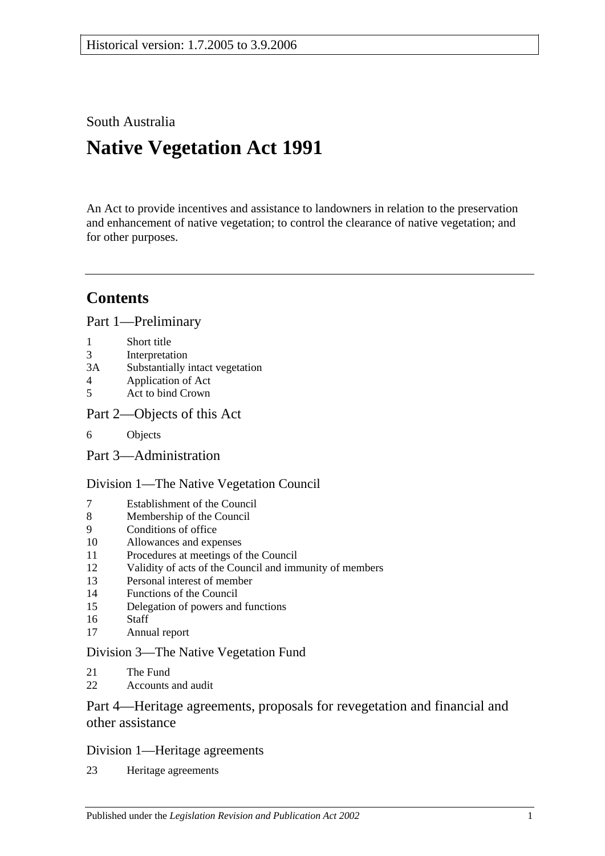South Australia

# **Native Vegetation Act 1991**

An Act to provide incentives and assistance to landowners in relation to the preservation and enhancement of native vegetation; to control the clearance of native vegetation; and for other purposes.

## **Contents**

[Part 1—Preliminary](#page-2-0)

- 1 [Short title](#page-2-1)
- 3 [Interpretation](#page-2-2)
- 3A [Substantially intact vegetation](#page-5-0)
- 4 [Application of Act](#page-5-1)
- 5 [Act to bind Crown](#page-6-0)
- [Part 2—Objects of this Act](#page-6-1)
- 6 [Objects](#page-6-2)

[Part 3—Administration](#page-7-0)

#### [Division 1—The Native Vegetation Council](#page-7-1)

- 7 [Establishment of the Council](#page-7-2)<br>8 Membership of the Council
- [Membership of the Council](#page-7-3)
- 9 [Conditions of office](#page-8-0)
- 10 [Allowances and expenses](#page-8-1)
- 11 [Procedures at meetings of the Council](#page-8-2)
- 12 [Validity of acts of the Council and immunity of members](#page-8-3)
- 13 [Personal interest of member](#page-9-0)
- 14 [Functions of the Council](#page-9-1)
- 15 [Delegation of powers and functions](#page-10-0)
- 16 [Staff](#page-11-0)
- 17 [Annual report](#page-11-1)

#### [Division 3—The Native Vegetation Fund](#page-11-2)

- 21 [The Fund](#page-11-3)
- 22 [Accounts and audit](#page-12-0)

## [Part 4—Heritage agreements, proposals for revegetation and financial and](#page-13-0)  [other assistance](#page-13-0)

#### [Division 1—Heritage agreements](#page-13-1)

23 [Heritage agreements](#page-13-2)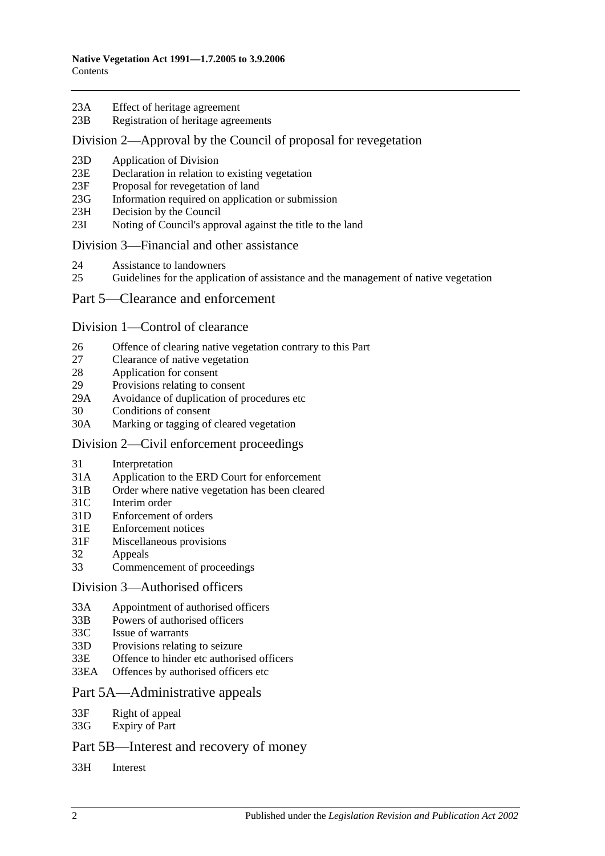- 23A [Effect of heritage agreement](#page-13-3)
- 23B [Registration of heritage agreements](#page-14-0)

#### [Division 2—Approval by the Council of proposal for revegetation](#page-14-1)

- 23D [Application of Division](#page-14-2)
- 23E [Declaration in relation to existing vegetation](#page-14-3)
- 23F [Proposal for revegetation of land](#page-14-4)
- 23G [Information required on application or submission](#page-15-0)
- 23H [Decision by the Council](#page-15-1)
- 23I [Noting of Council's approval against the title to the land](#page-15-2)

#### [Division 3—Financial and other assistance](#page-15-3)

- 24 [Assistance to landowners](#page-15-4)
- 25 [Guidelines for the application of assistance and the management of native vegetation](#page-16-0)

#### [Part 5—Clearance and enforcement](#page-18-0)

#### [Division 1—Control of clearance](#page-18-1)

- 26 [Offence of clearing native vegetation contrary to this Part](#page-18-2)
- 27 [Clearance of native vegetation](#page-19-0)
- 28 [Application for consent](#page-20-0)
- 29 [Provisions relating to consent](#page-21-0)
- 29A [Avoidance of duplication of procedures etc](#page-24-0)
- 30 [Conditions of consent](#page-25-0)
- 30A [Marking or tagging of cleared vegetation](#page-26-0)

#### [Division 2—Civil enforcement proceedings](#page-26-1)

- 31 [Interpretation](#page-26-2)
- 31A [Application to the ERD Court for enforcement](#page-26-3)
- 31B [Order where native vegetation has been cleared](#page-28-0)
- 31C [Interim order](#page-30-0)
- 31D [Enforcement of orders](#page-30-1)
- 31E [Enforcement notices](#page-31-0)
- 31F [Miscellaneous provisions](#page-32-0)
- 32 [Appeals](#page-32-1)
- 33 [Commencement of proceedings](#page-32-2)

#### [Division 3—Authorised officers](#page-33-0)

- 33A [Appointment of authorised officers](#page-33-1)
- 33B [Powers of authorised officers](#page-34-0)
- 33C [Issue of warrants](#page-36-0)
- 33D [Provisions relating to seizure](#page-37-0)
- 33E [Offence to hinder etc authorised officers](#page-38-0)
- 33EA [Offences by authorised officers etc](#page-39-0)

#### [Part 5A—Administrative appeals](#page-39-1)

- 33F [Right of appeal](#page-39-2)
- 33G [Expiry of Part](#page-40-0)

#### [Part 5B—Interest and recovery of money](#page-40-1)

33H [Interest](#page-40-2)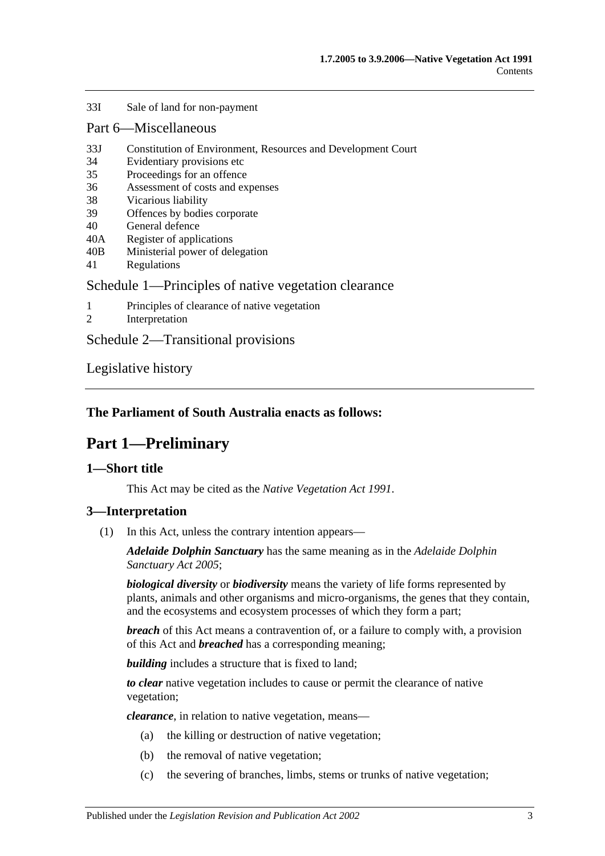#### 33I [Sale of land for non-payment](#page-40-3)

#### [Part 6—Miscellaneous](#page-42-0)

- 33J [Constitution of Environment, Resources and Development Court](#page-42-1)
- 34 [Evidentiary provisions etc](#page-42-2)
- 35 [Proceedings for an offence](#page-43-0)
- 36 [Assessment of costs and expenses](#page-43-1)
- 38 [Vicarious liability](#page-43-2)
- 39 [Offences by bodies corporate](#page-44-0)
- 40 [General defence](#page-44-1)
- 40A [Register of applications](#page-44-2)
- 40B [Ministerial power of delegation](#page-44-3)
- 41 [Regulations](#page-45-0)

#### [Schedule 1—Principles of native vegetation clearance](#page-45-1)

- 1 [Principles of clearance of native vegetation](#page-45-2)
- 2 [Interpretation](#page-46-0)

[Schedule 2—Transitional provisions](#page-46-1)

[Legislative history](#page-48-0)

## <span id="page-2-0"></span>**The Parliament of South Australia enacts as follows:**

## **Part 1—Preliminary**

#### <span id="page-2-1"></span>**1—Short title**

This Act may be cited as the *Native Vegetation Act 1991*.

#### <span id="page-2-2"></span>**3—Interpretation**

(1) In this Act, unless the contrary intention appears—

*Adelaide Dolphin Sanctuary* has the same meaning as in the *[Adelaide Dolphin](http://www.legislation.sa.gov.au/index.aspx?action=legref&type=act&legtitle=Adelaide%20Dolphin%20Sanctuary%20Act%202005)  [Sanctuary Act](http://www.legislation.sa.gov.au/index.aspx?action=legref&type=act&legtitle=Adelaide%20Dolphin%20Sanctuary%20Act%202005) 2005*;

*biological diversity* or *biodiversity* means the variety of life forms represented by plants, animals and other organisms and micro-organisms, the genes that they contain, and the ecosystems and ecosystem processes of which they form a part;

*breach* of this Act means a contravention of, or a failure to comply with, a provision of this Act and *breached* has a corresponding meaning;

**building** includes a structure that is fixed to land;

*to clear* native vegetation includes to cause or permit the clearance of native vegetation;

*clearance*, in relation to native vegetation, means—

- (a) the killing or destruction of native vegetation;
- (b) the removal of native vegetation;
- (c) the severing of branches, limbs, stems or trunks of native vegetation;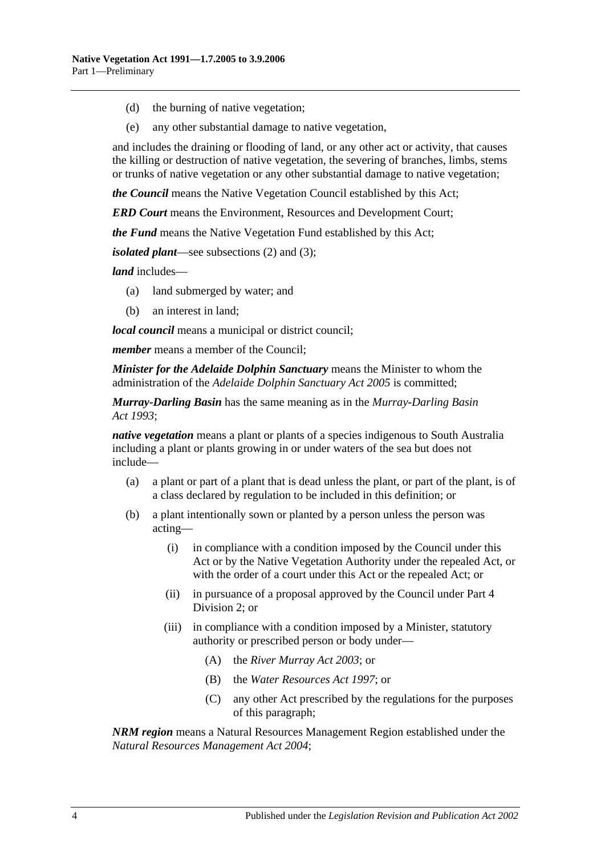- (d) the burning of native vegetation;
- (e) any other substantial damage to native vegetation,

and includes the draining or flooding of land, or any other act or activity, that causes the killing or destruction of native vegetation, the severing of branches, limbs, stems or trunks of native vegetation or any other substantial damage to native vegetation;

*the Council* means the Native Vegetation Council established by this Act;

*ERD Court* means the Environment, Resources and Development Court;

*the Fund* means the Native Vegetation Fund established by this Act;

*isolated plant*—see [subsections](#page-4-0) (2) and [\(3\);](#page-4-1)

*land* includes—

- (a) land submerged by water; and
- (b) an interest in land;

*local council* means a municipal or district council;

*member* means a member of the Council;

*Minister for the Adelaide Dolphin Sanctuary* means the Minister to whom the administration of the *[Adelaide Dolphin Sanctuary Act](http://www.legislation.sa.gov.au/index.aspx?action=legref&type=act&legtitle=Adelaide%20Dolphin%20Sanctuary%20Act%202005) 2005* is committed;

*Murray-Darling Basin* has the same meaning as in the *[Murray-Darling Basin](http://www.legislation.sa.gov.au/index.aspx?action=legref&type=act&legtitle=Murray-Darling%20Basin%20Act%201993)  Act [1993](http://www.legislation.sa.gov.au/index.aspx?action=legref&type=act&legtitle=Murray-Darling%20Basin%20Act%201993)*;

*native vegetation* means a plant or plants of a species indigenous to South Australia including a plant or plants growing in or under waters of the sea but does not include—

- (a) a plant or part of a plant that is dead unless the plant, or part of the plant, is of a class declared by regulation to be included in this definition; or
- (b) a plant intentionally sown or planted by a person unless the person was acting—
	- (i) in compliance with a condition imposed by the Council under this Act or by the Native Vegetation Authority under the repealed Act, or with the order of a court under this Act or the repealed Act; or
	- (ii) in pursuance of a proposal approved by the Council under [Part 4](#page-14-1)  [Division 2;](#page-14-1) or
	- (iii) in compliance with a condition imposed by a Minister, statutory authority or prescribed person or body under—
		- (A) the *[River Murray Act](http://www.legislation.sa.gov.au/index.aspx?action=legref&type=act&legtitle=River%20Murray%20Act%202003) 2003*; or
		- (B) the *[Water Resources Act](http://www.legislation.sa.gov.au/index.aspx?action=legref&type=act&legtitle=Water%20Resources%20Act%201997) 1997*; or
		- (C) any other Act prescribed by the regulations for the purposes of this paragraph;

*NRM region* means a Natural Resources Management Region established under the *[Natural Resources Management Act](http://www.legislation.sa.gov.au/index.aspx?action=legref&type=act&legtitle=Natural%20Resources%20Management%20Act%202004) 2004*;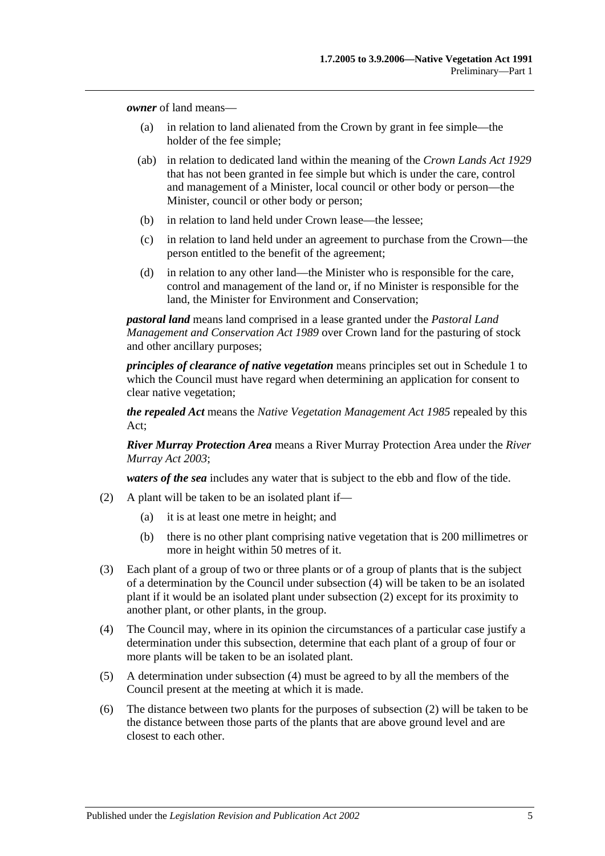*owner* of land means—

- (a) in relation to land alienated from the Crown by grant in fee simple—the holder of the fee simple;
- (ab) in relation to dedicated land within the meaning of the *[Crown Lands Act](http://www.legislation.sa.gov.au/index.aspx?action=legref&type=act&legtitle=Crown%20Lands%20Act%201929) 1929* that has not been granted in fee simple but which is under the care, control and management of a Minister, local council or other body or person—the Minister, council or other body or person;
- (b) in relation to land held under Crown lease—the lessee;
- (c) in relation to land held under an agreement to purchase from the Crown—the person entitled to the benefit of the agreement;
- (d) in relation to any other land—the Minister who is responsible for the care, control and management of the land or, if no Minister is responsible for the land, the Minister for Environment and Conservation;

*pastoral land* means land comprised in a lease granted under the *[Pastoral Land](http://www.legislation.sa.gov.au/index.aspx?action=legref&type=act&legtitle=Pastoral%20Land%20Management%20and%20Conservation%20Act%201989)  [Management and Conservation Act](http://www.legislation.sa.gov.au/index.aspx?action=legref&type=act&legtitle=Pastoral%20Land%20Management%20and%20Conservation%20Act%201989) 1989* over Crown land for the pasturing of stock and other ancillary purposes;

*principles of clearance of native vegetation* means principles set out in [Schedule 1](#page-45-1) to which the Council must have regard when determining an application for consent to clear native vegetation;

*the repealed Act* means the *[Native Vegetation Management Act](http://www.legislation.sa.gov.au/index.aspx?action=legref&type=act&legtitle=Native%20Vegetation%20Management%20Act%201985) 1985* repealed by this Act;

*River Murray Protection Area* means a River Murray Protection Area under the *[River](http://www.legislation.sa.gov.au/index.aspx?action=legref&type=act&legtitle=River%20Murray%20Act%202003)  [Murray Act](http://www.legislation.sa.gov.au/index.aspx?action=legref&type=act&legtitle=River%20Murray%20Act%202003) 2003*;

*waters of the sea* includes any water that is subject to the ebb and flow of the tide.

- <span id="page-4-0"></span>(2) A plant will be taken to be an isolated plant if—
	- (a) it is at least one metre in height; and
	- (b) there is no other plant comprising native vegetation that is 200 millimetres or more in height within 50 metres of it.
- <span id="page-4-1"></span>(3) Each plant of a group of two or three plants or of a group of plants that is the subject of a determination by the Council under [subsection](#page-4-2) (4) will be taken to be an isolated plant if it would be an isolated plant under [subsection](#page-4-0) (2) except for its proximity to another plant, or other plants, in the group.
- <span id="page-4-2"></span>(4) The Council may, where in its opinion the circumstances of a particular case justify a determination under this subsection, determine that each plant of a group of four or more plants will be taken to be an isolated plant.
- (5) A determination under [subsection](#page-4-2) (4) must be agreed to by all the members of the Council present at the meeting at which it is made.
- (6) The distance between two plants for the purposes of [subsection](#page-4-0) (2) will be taken to be the distance between those parts of the plants that are above ground level and are closest to each other.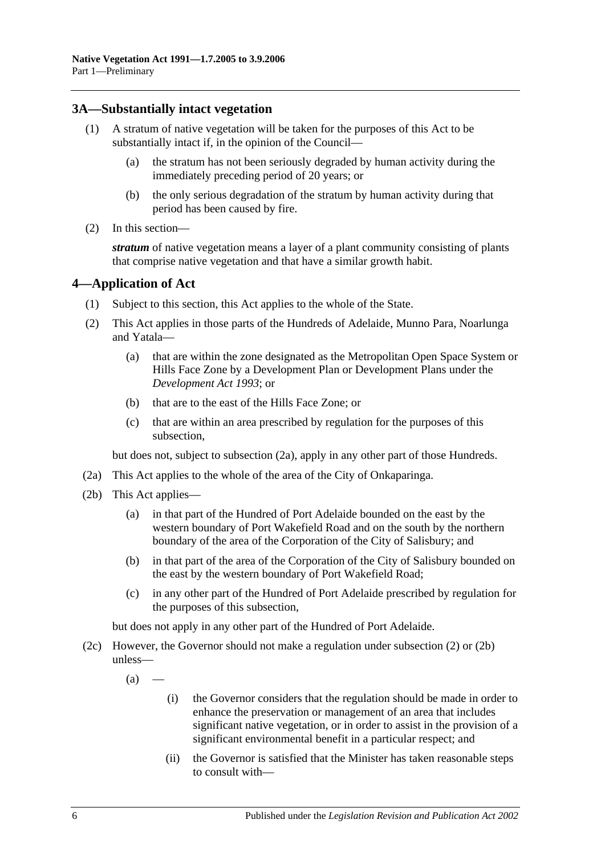#### <span id="page-5-0"></span>**3A—Substantially intact vegetation**

- (1) A stratum of native vegetation will be taken for the purposes of this Act to be substantially intact if, in the opinion of the Council—
	- (a) the stratum has not been seriously degraded by human activity during the immediately preceding period of 20 years; or
	- (b) the only serious degradation of the stratum by human activity during that period has been caused by fire.
- (2) In this section—

*stratum* of native vegetation means a layer of a plant community consisting of plants that comprise native vegetation and that have a similar growth habit.

### <span id="page-5-1"></span>**4—Application of Act**

- (1) Subject to this section, this Act applies to the whole of the State.
- <span id="page-5-3"></span>(2) This Act applies in those parts of the Hundreds of Adelaide, Munno Para, Noarlunga and Yatala—
	- (a) that are within the zone designated as the Metropolitan Open Space System or Hills Face Zone by a Development Plan or Development Plans under the *[Development Act](http://www.legislation.sa.gov.au/index.aspx?action=legref&type=act&legtitle=Development%20Act%201993) 1993*; or
	- (b) that are to the east of the Hills Face Zone; or
	- (c) that are within an area prescribed by regulation for the purposes of this subsection,

but does not, subject to [subsection](#page-5-2) (2a), apply in any other part of those Hundreds.

- <span id="page-5-2"></span>(2a) This Act applies to the whole of the area of the City of Onkaparinga.
- <span id="page-5-4"></span>(2b) This Act applies—
	- (a) in that part of the Hundred of Port Adelaide bounded on the east by the western boundary of Port Wakefield Road and on the south by the northern boundary of the area of the Corporation of the City of Salisbury; and
	- (b) in that part of the area of the Corporation of the City of Salisbury bounded on the east by the western boundary of Port Wakefield Road;
	- (c) in any other part of the Hundred of Port Adelaide prescribed by regulation for the purposes of this subsection,

but does not apply in any other part of the Hundred of Port Adelaide.

- <span id="page-5-5"></span>(2c) However, the Governor should not make a regulation under [subsection](#page-5-3) (2) or [\(2b\)](#page-5-4) unless—
	- $(a)$ 
		- (i) the Governor considers that the regulation should be made in order to enhance the preservation or management of an area that includes significant native vegetation, or in order to assist in the provision of a significant environmental benefit in a particular respect; and
		- (ii) the Governor is satisfied that the Minister has taken reasonable steps to consult with—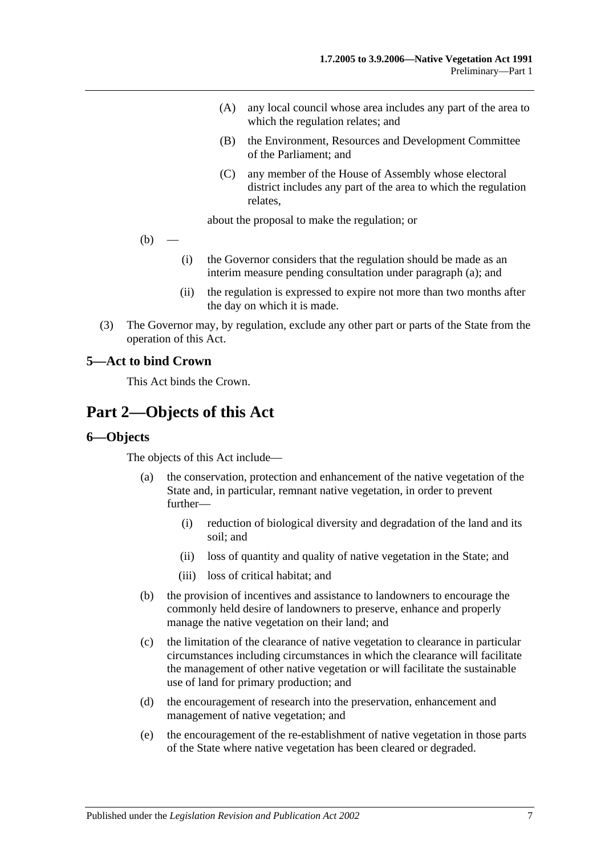- (A) any local council whose area includes any part of the area to which the regulation relates; and
- (B) the Environment, Resources and Development Committee of the Parliament; and
- (C) any member of the House of Assembly whose electoral district includes any part of the area to which the regulation relates,

about the proposal to make the regulation; or

- $(b)$ 
	- (i) the Governor considers that the regulation should be made as an interim measure pending consultation under [paragraph](#page-5-5) (a); and
	- (ii) the regulation is expressed to expire not more than two months after the day on which it is made.
- (3) The Governor may, by regulation, exclude any other part or parts of the State from the operation of this Act.

#### <span id="page-6-0"></span>**5—Act to bind Crown**

This Act binds the Crown.

## <span id="page-6-1"></span>**Part 2—Objects of this Act**

#### <span id="page-6-2"></span>**6—Objects**

The objects of this Act include—

- (a) the conservation, protection and enhancement of the native vegetation of the State and, in particular, remnant native vegetation, in order to prevent further—
	- (i) reduction of biological diversity and degradation of the land and its soil; and
	- (ii) loss of quantity and quality of native vegetation in the State; and
	- (iii) loss of critical habitat; and
- (b) the provision of incentives and assistance to landowners to encourage the commonly held desire of landowners to preserve, enhance and properly manage the native vegetation on their land; and
- (c) the limitation of the clearance of native vegetation to clearance in particular circumstances including circumstances in which the clearance will facilitate the management of other native vegetation or will facilitate the sustainable use of land for primary production; and
- (d) the encouragement of research into the preservation, enhancement and management of native vegetation; and
- (e) the encouragement of the re-establishment of native vegetation in those parts of the State where native vegetation has been cleared or degraded.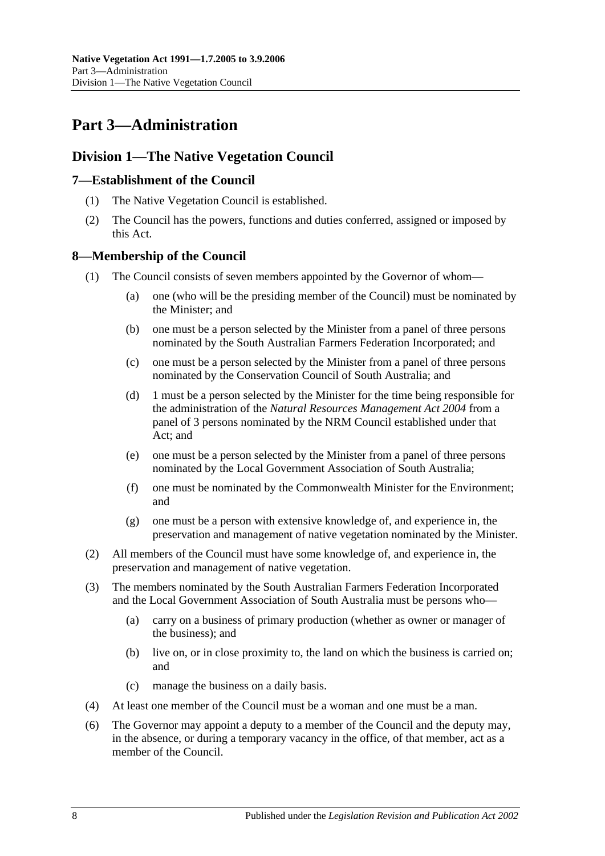## <span id="page-7-0"></span>**Part 3—Administration**

## <span id="page-7-1"></span>**Division 1—The Native Vegetation Council**

#### <span id="page-7-2"></span>**7—Establishment of the Council**

- (1) The Native Vegetation Council is established.
- (2) The Council has the powers, functions and duties conferred, assigned or imposed by this Act.

### <span id="page-7-3"></span>**8—Membership of the Council**

- (1) The Council consists of seven members appointed by the Governor of whom—
	- (a) one (who will be the presiding member of the Council) must be nominated by the Minister; and
	- (b) one must be a person selected by the Minister from a panel of three persons nominated by the South Australian Farmers Federation Incorporated; and
	- (c) one must be a person selected by the Minister from a panel of three persons nominated by the Conservation Council of South Australia; and
	- (d) 1 must be a person selected by the Minister for the time being responsible for the administration of the *[Natural Resources Management Act](http://www.legislation.sa.gov.au/index.aspx?action=legref&type=act&legtitle=Natural%20Resources%20Management%20Act%202004) 2004* from a panel of 3 persons nominated by the NRM Council established under that Act; and
	- (e) one must be a person selected by the Minister from a panel of three persons nominated by the Local Government Association of South Australia;
	- (f) one must be nominated by the Commonwealth Minister for the Environment; and
	- (g) one must be a person with extensive knowledge of, and experience in, the preservation and management of native vegetation nominated by the Minister.
- (2) All members of the Council must have some knowledge of, and experience in, the preservation and management of native vegetation.
- (3) The members nominated by the South Australian Farmers Federation Incorporated and the Local Government Association of South Australia must be persons who—
	- (a) carry on a business of primary production (whether as owner or manager of the business); and
	- (b) live on, or in close proximity to, the land on which the business is carried on; and
	- (c) manage the business on a daily basis.
- (4) At least one member of the Council must be a woman and one must be a man.
- (6) The Governor may appoint a deputy to a member of the Council and the deputy may, in the absence, or during a temporary vacancy in the office, of that member, act as a member of the Council.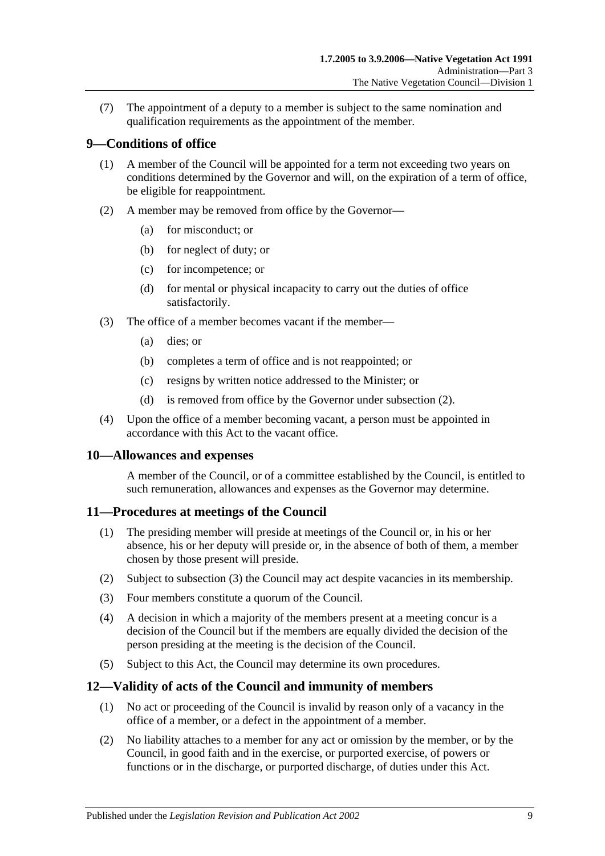(7) The appointment of a deputy to a member is subject to the same nomination and qualification requirements as the appointment of the member.

### <span id="page-8-0"></span>**9—Conditions of office**

- (1) A member of the Council will be appointed for a term not exceeding two years on conditions determined by the Governor and will, on the expiration of a term of office, be eligible for reappointment.
- <span id="page-8-4"></span>(2) A member may be removed from office by the Governor—
	- (a) for misconduct; or
	- (b) for neglect of duty; or
	- (c) for incompetence; or
	- (d) for mental or physical incapacity to carry out the duties of office satisfactorily.
- (3) The office of a member becomes vacant if the member—
	- (a) dies; or
	- (b) completes a term of office and is not reappointed; or
	- (c) resigns by written notice addressed to the Minister; or
	- (d) is removed from office by the Governor under [subsection](#page-8-4) (2).
- (4) Upon the office of a member becoming vacant, a person must be appointed in accordance with this Act to the vacant office.

#### <span id="page-8-1"></span>**10—Allowances and expenses**

A member of the Council, or of a committee established by the Council, is entitled to such remuneration, allowances and expenses as the Governor may determine.

#### <span id="page-8-2"></span>**11—Procedures at meetings of the Council**

- (1) The presiding member will preside at meetings of the Council or, in his or her absence, his or her deputy will preside or, in the absence of both of them, a member chosen by those present will preside.
- (2) Subject to [subsection](#page-8-5) (3) the Council may act despite vacancies in its membership.
- <span id="page-8-5"></span>(3) Four members constitute a quorum of the Council.
- (4) A decision in which a majority of the members present at a meeting concur is a decision of the Council but if the members are equally divided the decision of the person presiding at the meeting is the decision of the Council.
- (5) Subject to this Act, the Council may determine its own procedures.

#### <span id="page-8-3"></span>**12—Validity of acts of the Council and immunity of members**

- (1) No act or proceeding of the Council is invalid by reason only of a vacancy in the office of a member, or a defect in the appointment of a member.
- <span id="page-8-6"></span>(2) No liability attaches to a member for any act or omission by the member, or by the Council, in good faith and in the exercise, or purported exercise, of powers or functions or in the discharge, or purported discharge, of duties under this Act.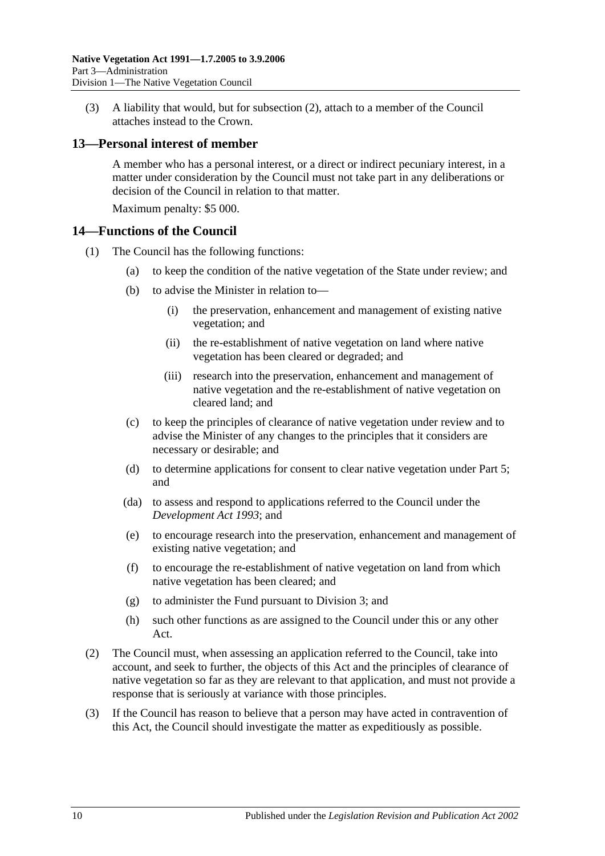(3) A liability that would, but for [subsection](#page-8-6) (2), attach to a member of the Council attaches instead to the Crown.

#### <span id="page-9-0"></span>**13—Personal interest of member**

A member who has a personal interest, or a direct or indirect pecuniary interest, in a matter under consideration by the Council must not take part in any deliberations or decision of the Council in relation to that matter.

Maximum penalty: \$5 000.

#### <span id="page-9-1"></span>**14—Functions of the Council**

- (1) The Council has the following functions:
	- (a) to keep the condition of the native vegetation of the State under review; and
	- (b) to advise the Minister in relation to—
		- (i) the preservation, enhancement and management of existing native vegetation; and
		- (ii) the re-establishment of native vegetation on land where native vegetation has been cleared or degraded; and
		- (iii) research into the preservation, enhancement and management of native vegetation and the re-establishment of native vegetation on cleared land; and
	- (c) to keep the principles of clearance of native vegetation under review and to advise the Minister of any changes to the principles that it considers are necessary or desirable; and
	- (d) to determine applications for consent to clear native vegetation under [Part 5;](#page-18-0) and
	- (da) to assess and respond to applications referred to the Council under the *[Development Act](http://www.legislation.sa.gov.au/index.aspx?action=legref&type=act&legtitle=Development%20Act%201993) 1993*; and
	- (e) to encourage research into the preservation, enhancement and management of existing native vegetation; and
	- (f) to encourage the re-establishment of native vegetation on land from which native vegetation has been cleared; and
	- (g) to administer the Fund pursuant to [Division 3;](#page-11-2) and
	- (h) such other functions as are assigned to the Council under this or any other Act.
- (2) The Council must, when assessing an application referred to the Council, take into account, and seek to further, the objects of this Act and the principles of clearance of native vegetation so far as they are relevant to that application, and must not provide a response that is seriously at variance with those principles.
- (3) If the Council has reason to believe that a person may have acted in contravention of this Act, the Council should investigate the matter as expeditiously as possible.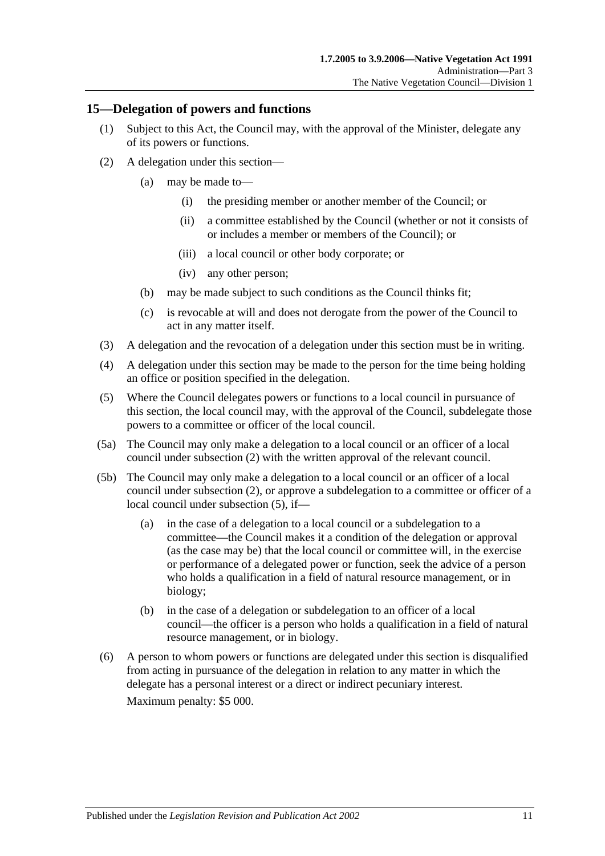#### <span id="page-10-0"></span>**15—Delegation of powers and functions**

- (1) Subject to this Act, the Council may, with the approval of the Minister, delegate any of its powers or functions.
- <span id="page-10-1"></span>(2) A delegation under this section—
	- (a) may be made to—
		- (i) the presiding member or another member of the Council; or
		- (ii) a committee established by the Council (whether or not it consists of or includes a member or members of the Council); or
		- (iii) a local council or other body corporate; or
		- (iv) any other person;
	- (b) may be made subject to such conditions as the Council thinks fit;
	- (c) is revocable at will and does not derogate from the power of the Council to act in any matter itself.
- (3) A delegation and the revocation of a delegation under this section must be in writing.
- (4) A delegation under this section may be made to the person for the time being holding an office or position specified in the delegation.
- <span id="page-10-2"></span>(5) Where the Council delegates powers or functions to a local council in pursuance of this section, the local council may, with the approval of the Council, subdelegate those powers to a committee or officer of the local council.
- (5a) The Council may only make a delegation to a local council or an officer of a local council under [subsection](#page-10-1) (2) with the written approval of the relevant council.
- (5b) The Council may only make a delegation to a local council or an officer of a local council under [subsection](#page-10-1) (2), or approve a subdelegation to a committee or officer of a local council under [subsection](#page-10-2) (5), if—
	- (a) in the case of a delegation to a local council or a subdelegation to a committee—the Council makes it a condition of the delegation or approval (as the case may be) that the local council or committee will, in the exercise or performance of a delegated power or function, seek the advice of a person who holds a qualification in a field of natural resource management, or in biology;
	- (b) in the case of a delegation or subdelegation to an officer of a local council—the officer is a person who holds a qualification in a field of natural resource management, or in biology.
- (6) A person to whom powers or functions are delegated under this section is disqualified from acting in pursuance of the delegation in relation to any matter in which the delegate has a personal interest or a direct or indirect pecuniary interest.

Maximum penalty: \$5 000.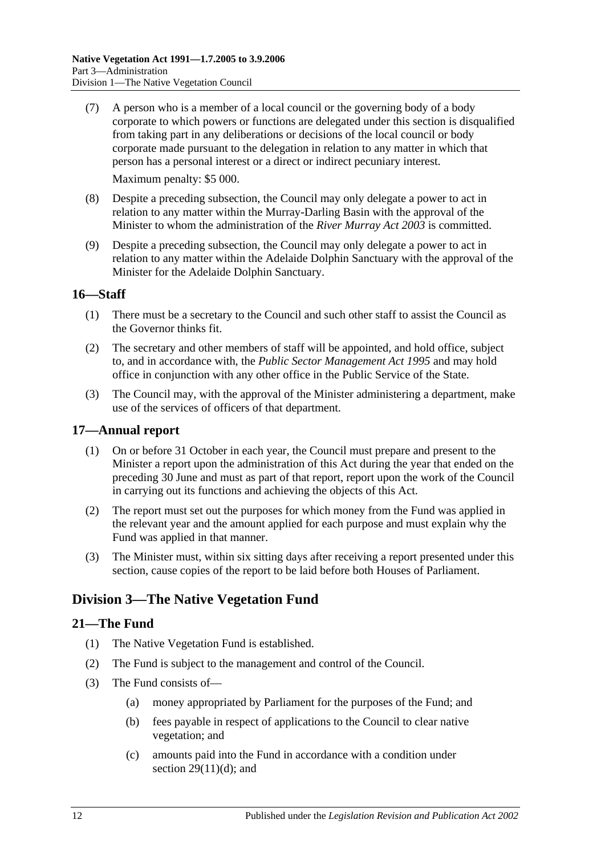- (7) A person who is a member of a local council or the governing body of a body corporate to which powers or functions are delegated under this section is disqualified from taking part in any deliberations or decisions of the local council or body corporate made pursuant to the delegation in relation to any matter in which that person has a personal interest or a direct or indirect pecuniary interest. Maximum penalty: \$5 000.
- (8) Despite a preceding subsection, the Council may only delegate a power to act in relation to any matter within the Murray-Darling Basin with the approval of the Minister to whom the administration of the *[River Murray Act](http://www.legislation.sa.gov.au/index.aspx?action=legref&type=act&legtitle=River%20Murray%20Act%202003) 2003* is committed.
- (9) Despite a preceding subsection, the Council may only delegate a power to act in relation to any matter within the Adelaide Dolphin Sanctuary with the approval of the Minister for the Adelaide Dolphin Sanctuary.

### <span id="page-11-0"></span>**16—Staff**

- (1) There must be a secretary to the Council and such other staff to assist the Council as the Governor thinks fit.
- (2) The secretary and other members of staff will be appointed, and hold office, subject to, and in accordance with, the *[Public Sector Management Act](http://www.legislation.sa.gov.au/index.aspx?action=legref&type=act&legtitle=Public%20Sector%20Management%20Act%201995) 1995* and may hold office in conjunction with any other office in the Public Service of the State.
- (3) The Council may, with the approval of the Minister administering a department, make use of the services of officers of that department.

#### <span id="page-11-1"></span>**17—Annual report**

- (1) On or before 31 October in each year, the Council must prepare and present to the Minister a report upon the administration of this Act during the year that ended on the preceding 30 June and must as part of that report, report upon the work of the Council in carrying out its functions and achieving the objects of this Act.
- (2) The report must set out the purposes for which money from the Fund was applied in the relevant year and the amount applied for each purpose and must explain why the Fund was applied in that manner.
- (3) The Minister must, within six sitting days after receiving a report presented under this section, cause copies of the report to be laid before both Houses of Parliament.

## <span id="page-11-2"></span>**Division 3—The Native Vegetation Fund**

#### <span id="page-11-3"></span>**21—The Fund**

- (1) The Native Vegetation Fund is established.
- (2) The Fund is subject to the management and control of the Council.
- <span id="page-11-4"></span>(3) The Fund consists of—
	- (a) money appropriated by Parliament for the purposes of the Fund; and
	- (b) fees payable in respect of applications to the Council to clear native vegetation; and
	- (c) amounts paid into the Fund in accordance with a condition under section  $29(11)(d)$ ; and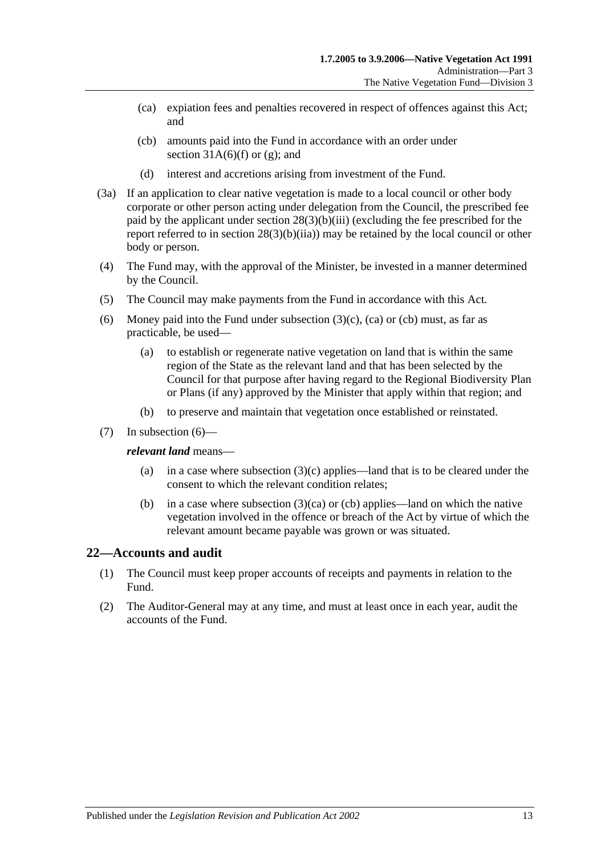- <span id="page-12-1"></span>(ca) expiation fees and penalties recovered in respect of offences against this Act; and
- <span id="page-12-2"></span>(cb) amounts paid into the Fund in accordance with an order under section  $31A(6)(f)$  or  $(g)$ ; and
- (d) interest and accretions arising from investment of the Fund.
- (3a) If an application to clear native vegetation is made to a local council or other body corporate or other person acting under delegation from the Council, the prescribed fee paid by the applicant under section [28\(3\)\(b\)\(iii\)](#page-20-1) (excluding the fee prescribed for the report referred to in section [28\(3\)\(b\)\(iia\)\)](#page-20-2) may be retained by the local council or other body or person.
- (4) The Fund may, with the approval of the Minister, be invested in a manner determined by the Council.
- (5) The Council may make payments from the Fund in accordance with this Act.
- <span id="page-12-3"></span>(6) Money paid into the Fund under [subsection](#page-11-4)  $(3)(c)$ ,  $(ca)$  or  $(cb)$  must, as far as practicable, be used—
	- (a) to establish or regenerate native vegetation on land that is within the same region of the State as the relevant land and that has been selected by the Council for that purpose after having regard to the Regional Biodiversity Plan or Plans (if any) approved by the Minister that apply within that region; and
	- (b) to preserve and maintain that vegetation once established or reinstated.
- (7) In [subsection](#page-12-3) (6)—

#### *relevant land* means—

- (a) in a case where [subsection](#page-11-4)  $(3)(c)$  applies—land that is to be cleared under the consent to which the relevant condition relates;
- (b) in a case where [subsection](#page-12-1)  $(3)(ca)$  or [\(cb\)](#page-12-2) applies—land on which the native vegetation involved in the offence or breach of the Act by virtue of which the relevant amount became payable was grown or was situated.

#### <span id="page-12-0"></span>**22—Accounts and audit**

- (1) The Council must keep proper accounts of receipts and payments in relation to the Fund.
- (2) The Auditor-General may at any time, and must at least once in each year, audit the accounts of the Fund.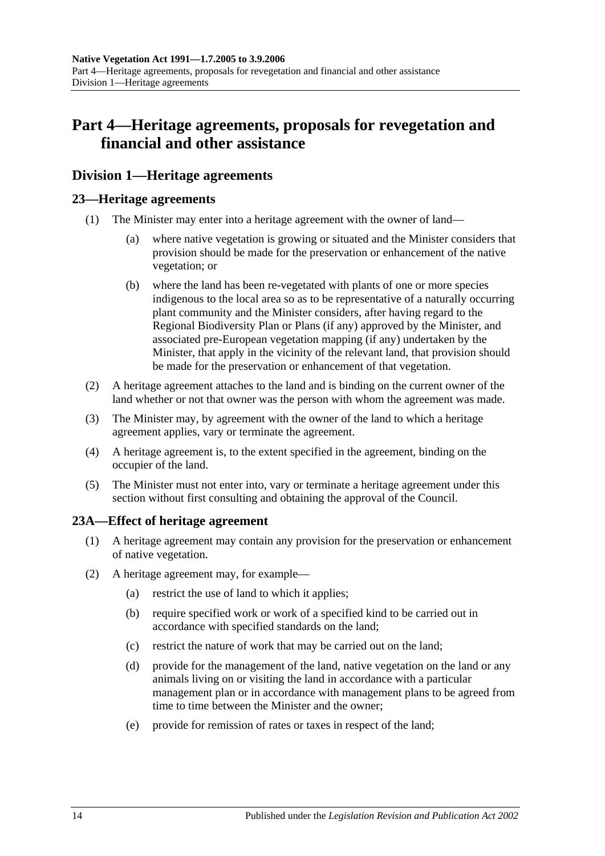## <span id="page-13-0"></span>**Part 4—Heritage agreements, proposals for revegetation and financial and other assistance**

## <span id="page-13-1"></span>**Division 1—Heritage agreements**

### <span id="page-13-2"></span>**23—Heritage agreements**

- (1) The Minister may enter into a heritage agreement with the owner of land
	- where native vegetation is growing or situated and the Minister considers that provision should be made for the preservation or enhancement of the native vegetation; or
	- (b) where the land has been re-vegetated with plants of one or more species indigenous to the local area so as to be representative of a naturally occurring plant community and the Minister considers, after having regard to the Regional Biodiversity Plan or Plans (if any) approved by the Minister, and associated pre-European vegetation mapping (if any) undertaken by the Minister, that apply in the vicinity of the relevant land, that provision should be made for the preservation or enhancement of that vegetation.
- (2) A heritage agreement attaches to the land and is binding on the current owner of the land whether or not that owner was the person with whom the agreement was made.
- (3) The Minister may, by agreement with the owner of the land to which a heritage agreement applies, vary or terminate the agreement.
- (4) A heritage agreement is, to the extent specified in the agreement, binding on the occupier of the land.
- (5) The Minister must not enter into, vary or terminate a heritage agreement under this section without first consulting and obtaining the approval of the Council.

## <span id="page-13-3"></span>**23A—Effect of heritage agreement**

- (1) A heritage agreement may contain any provision for the preservation or enhancement of native vegetation.
- <span id="page-13-4"></span>(2) A heritage agreement may, for example—
	- (a) restrict the use of land to which it applies;
	- (b) require specified work or work of a specified kind to be carried out in accordance with specified standards on the land;
	- (c) restrict the nature of work that may be carried out on the land;
	- (d) provide for the management of the land, native vegetation on the land or any animals living on or visiting the land in accordance with a particular management plan or in accordance with management plans to be agreed from time to time between the Minister and the owner;
	- (e) provide for remission of rates or taxes in respect of the land;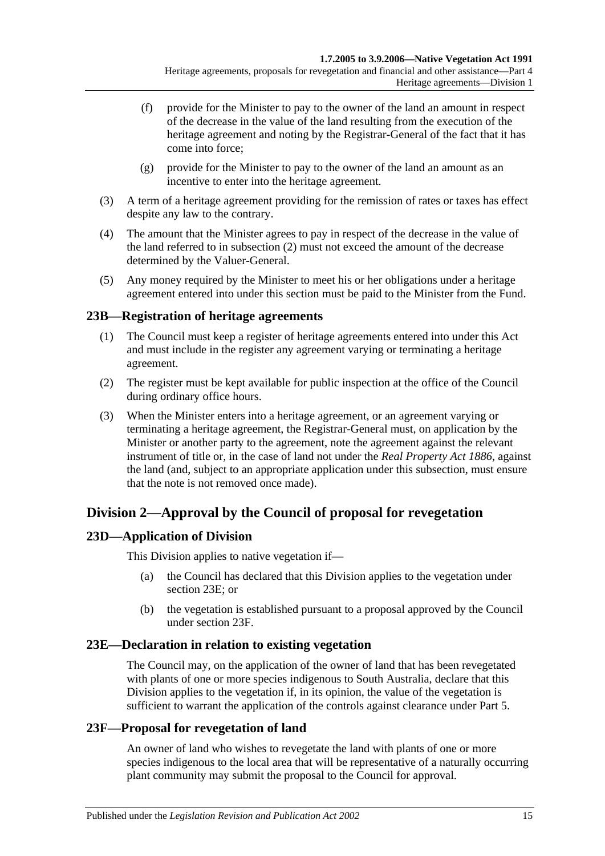- (f) provide for the Minister to pay to the owner of the land an amount in respect of the decrease in the value of the land resulting from the execution of the heritage agreement and noting by the Registrar-General of the fact that it has come into force;
- (g) provide for the Minister to pay to the owner of the land an amount as an incentive to enter into the heritage agreement.
- (3) A term of a heritage agreement providing for the remission of rates or taxes has effect despite any law to the contrary.
- (4) The amount that the Minister agrees to pay in respect of the decrease in the value of the land referred to in [subsection](#page-13-4) (2) must not exceed the amount of the decrease determined by the Valuer-General.
- (5) Any money required by the Minister to meet his or her obligations under a heritage agreement entered into under this section must be paid to the Minister from the Fund.

#### <span id="page-14-0"></span>**23B—Registration of heritage agreements**

- (1) The Council must keep a register of heritage agreements entered into under this Act and must include in the register any agreement varying or terminating a heritage agreement.
- (2) The register must be kept available for public inspection at the office of the Council during ordinary office hours.
- (3) When the Minister enters into a heritage agreement, or an agreement varying or terminating a heritage agreement, the Registrar-General must, on application by the Minister or another party to the agreement, note the agreement against the relevant instrument of title or, in the case of land not under the *[Real Property Act](http://www.legislation.sa.gov.au/index.aspx?action=legref&type=act&legtitle=Real%20Property%20Act%201886) 1886*, against the land (and, subject to an appropriate application under this subsection, must ensure that the note is not removed once made).

## <span id="page-14-1"></span>**Division 2—Approval by the Council of proposal for revegetation**

#### <span id="page-14-2"></span>**23D—Application of Division**

This Division applies to native vegetation if—

- (a) the Council has declared that this Division applies to the vegetation under [section](#page-14-3) 23E; or
- (b) the vegetation is established pursuant to a proposal approved by the Council under [section](#page-14-4) 23F.

#### <span id="page-14-3"></span>**23E—Declaration in relation to existing vegetation**

The Council may, on the application of the owner of land that has been revegetated with plants of one or more species indigenous to South Australia, declare that this Division applies to the vegetation if, in its opinion, the value of the vegetation is sufficient to warrant the application of the controls against clearance under [Part 5.](#page-18-0)

#### <span id="page-14-4"></span>**23F—Proposal for revegetation of land**

An owner of land who wishes to revegetate the land with plants of one or more species indigenous to the local area that will be representative of a naturally occurring plant community may submit the proposal to the Council for approval.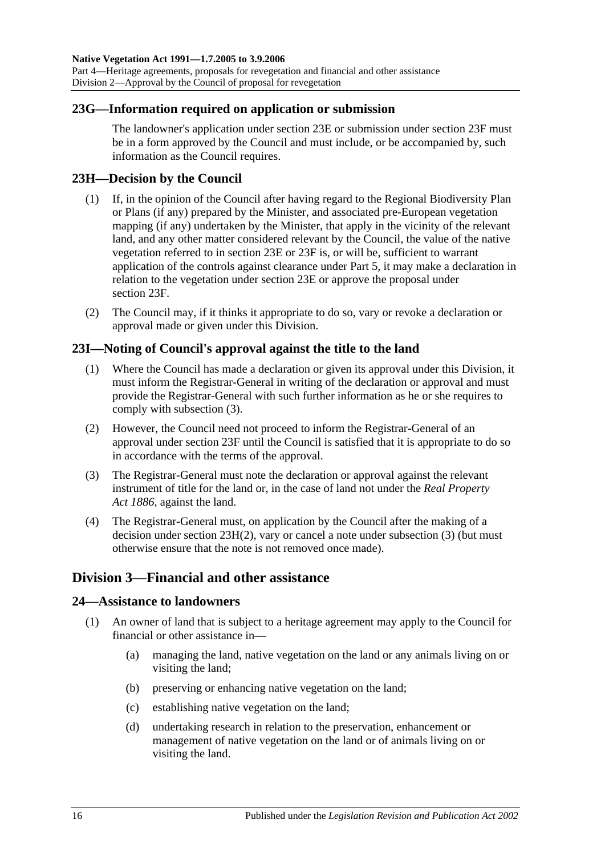#### <span id="page-15-0"></span>**23G—Information required on application or submission**

The landowner's application under [section](#page-14-3) 23E or submission under [section](#page-14-4) 23F must be in a form approved by the Council and must include, or be accompanied by, such information as the Council requires.

#### <span id="page-15-1"></span>**23H—Decision by the Council**

- (1) If, in the opinion of the Council after having regard to the Regional Biodiversity Plan or Plans (if any) prepared by the Minister, and associated pre-European vegetation mapping (if any) undertaken by the Minister, that apply in the vicinity of the relevant land, and any other matter considered relevant by the Council, the value of the native vegetation referred to in [section](#page-14-3) 23E or [23F](#page-14-4) is, or will be, sufficient to warrant application of the controls against clearance under [Part 5,](#page-18-0) it may make a declaration in relation to the vegetation under [section](#page-14-3) 23E or approve the proposal under [section](#page-14-4) 23F.
- <span id="page-15-6"></span>(2) The Council may, if it thinks it appropriate to do so, vary or revoke a declaration or approval made or given under this Division.

#### <span id="page-15-2"></span>**23I—Noting of Council's approval against the title to the land**

- (1) Where the Council has made a declaration or given its approval under this Division, it must inform the Registrar-General in writing of the declaration or approval and must provide the Registrar-General with such further information as he or she requires to comply with [subsection](#page-15-5) (3).
- (2) However, the Council need not proceed to inform the Registrar-General of an approval under [section](#page-14-4) 23F until the Council is satisfied that it is appropriate to do so in accordance with the terms of the approval.
- <span id="page-15-5"></span>(3) The Registrar-General must note the declaration or approval against the relevant instrument of title for the land or, in the case of land not under the *[Real Property](http://www.legislation.sa.gov.au/index.aspx?action=legref&type=act&legtitle=Real%20Property%20Act%201886)  Act [1886](http://www.legislation.sa.gov.au/index.aspx?action=legref&type=act&legtitle=Real%20Property%20Act%201886)*, against the land.
- (4) The Registrar-General must, on application by the Council after the making of a decision under section [23H\(2\),](#page-15-6) vary or cancel a note under [subsection](#page-15-5) (3) (but must otherwise ensure that the note is not removed once made).

## <span id="page-15-3"></span>**Division 3—Financial and other assistance**

#### <span id="page-15-7"></span><span id="page-15-4"></span>**24—Assistance to landowners**

- (1) An owner of land that is subject to a heritage agreement may apply to the Council for financial or other assistance in—
	- (a) managing the land, native vegetation on the land or any animals living on or visiting the land;
	- (b) preserving or enhancing native vegetation on the land;
	- (c) establishing native vegetation on the land;
	- (d) undertaking research in relation to the preservation, enhancement or management of native vegetation on the land or of animals living on or visiting the land.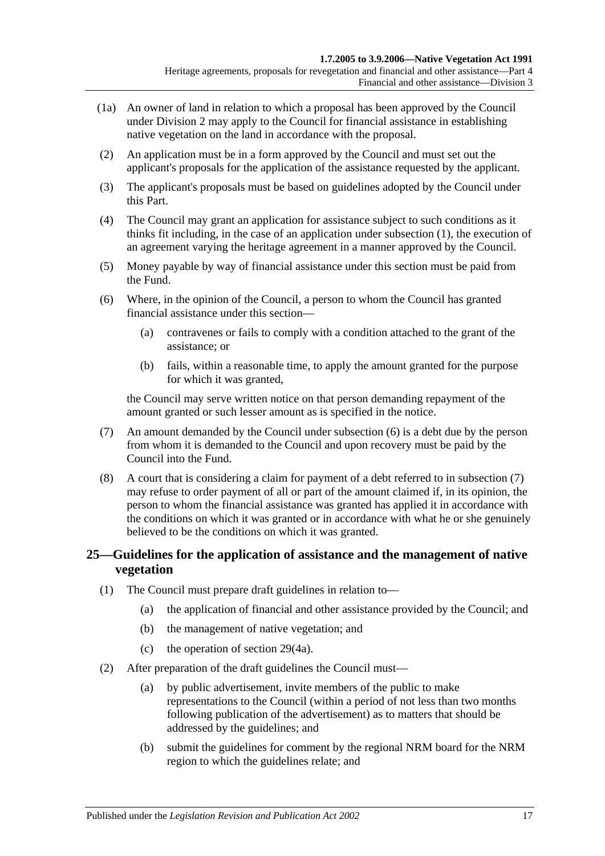- (1a) An owner of land in relation to which a proposal has been approved by the Council under [Division 2](#page-14-1) may apply to the Council for financial assistance in establishing native vegetation on the land in accordance with the proposal.
- (2) An application must be in a form approved by the Council and must set out the applicant's proposals for the application of the assistance requested by the applicant.
- (3) The applicant's proposals must be based on guidelines adopted by the Council under this Part.
- (4) The Council may grant an application for assistance subject to such conditions as it thinks fit including, in the case of an application under [subsection](#page-15-7) (1), the execution of an agreement varying the heritage agreement in a manner approved by the Council.
- (5) Money payable by way of financial assistance under this section must be paid from the Fund.
- <span id="page-16-1"></span>(6) Where, in the opinion of the Council, a person to whom the Council has granted financial assistance under this section—
	- (a) contravenes or fails to comply with a condition attached to the grant of the assistance; or
	- (b) fails, within a reasonable time, to apply the amount granted for the purpose for which it was granted,

the Council may serve written notice on that person demanding repayment of the amount granted or such lesser amount as is specified in the notice.

- <span id="page-16-2"></span>(7) An amount demanded by the Council under [subsection](#page-16-1) (6) is a debt due by the person from whom it is demanded to the Council and upon recovery must be paid by the Council into the Fund.
- (8) A court that is considering a claim for payment of a debt referred to in [subsection](#page-16-2) (7) may refuse to order payment of all or part of the amount claimed if, in its opinion, the person to whom the financial assistance was granted has applied it in accordance with the conditions on which it was granted or in accordance with what he or she genuinely believed to be the conditions on which it was granted.

## <span id="page-16-0"></span>**25—Guidelines for the application of assistance and the management of native vegetation**

- (1) The Council must prepare draft guidelines in relation to—
	- (a) the application of financial and other assistance provided by the Council; and
	- (b) the management of native vegetation; and
	- (c) the operation of [section](#page-21-1) 29(4a).
- <span id="page-16-5"></span><span id="page-16-4"></span><span id="page-16-3"></span>(2) After preparation of the draft guidelines the Council must—
	- (a) by public advertisement, invite members of the public to make representations to the Council (within a period of not less than two months following publication of the advertisement) as to matters that should be addressed by the guidelines; and
	- (b) submit the guidelines for comment by the regional NRM board for the NRM region to which the guidelines relate; and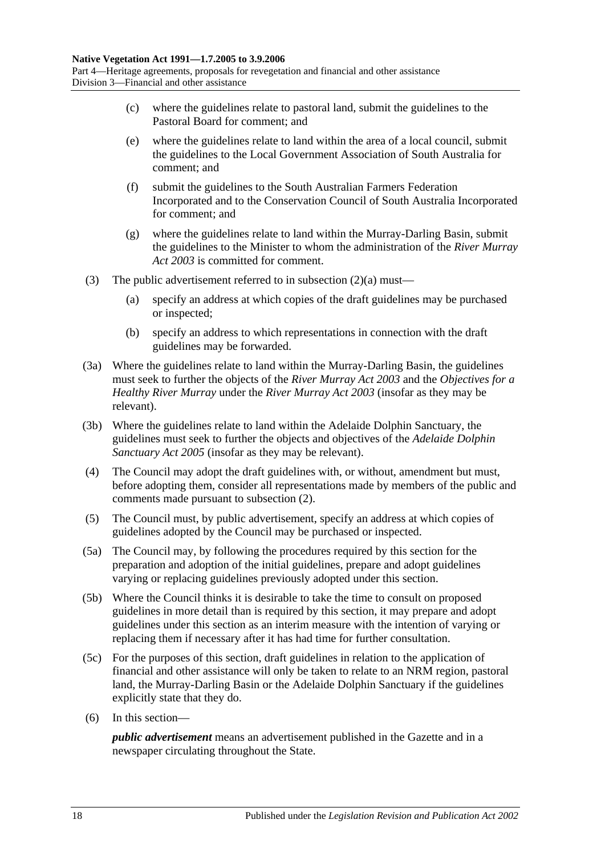- (c) where the guidelines relate to pastoral land, submit the guidelines to the Pastoral Board for comment; and
- (e) where the guidelines relate to land within the area of a local council, submit the guidelines to the Local Government Association of South Australia for comment; and
- (f) submit the guidelines to the South Australian Farmers Federation Incorporated and to the Conservation Council of South Australia Incorporated for comment; and
- (g) where the guidelines relate to land within the Murray-Darling Basin, submit the guidelines to the Minister to whom the administration of the *[River Murray](http://www.legislation.sa.gov.au/index.aspx?action=legref&type=act&legtitle=River%20Murray%20Act%202003)  Act [2003](http://www.legislation.sa.gov.au/index.aspx?action=legref&type=act&legtitle=River%20Murray%20Act%202003)* is committed for comment.
- (3) The public advertisement referred to in [subsection](#page-16-3)  $(2)(a)$  must—
	- (a) specify an address at which copies of the draft guidelines may be purchased or inspected;
	- (b) specify an address to which representations in connection with the draft guidelines may be forwarded.
- (3a) Where the guidelines relate to land within the Murray-Darling Basin, the guidelines must seek to further the objects of the *[River Murray Act](http://www.legislation.sa.gov.au/index.aspx?action=legref&type=act&legtitle=River%20Murray%20Act%202003) 2003* and the *Objectives for a Healthy River Murray* under the *[River Murray Act](http://www.legislation.sa.gov.au/index.aspx?action=legref&type=act&legtitle=River%20Murray%20Act%202003) 2003* (insofar as they may be relevant).
- (3b) Where the guidelines relate to land within the Adelaide Dolphin Sanctuary, the guidelines must seek to further the objects and objectives of the *[Adelaide Dolphin](http://www.legislation.sa.gov.au/index.aspx?action=legref&type=act&legtitle=Adelaide%20Dolphin%20Sanctuary%20Act%202005)  [Sanctuary Act](http://www.legislation.sa.gov.au/index.aspx?action=legref&type=act&legtitle=Adelaide%20Dolphin%20Sanctuary%20Act%202005) 2005* (insofar as they may be relevant).
- (4) The Council may adopt the draft guidelines with, or without, amendment but must, before adopting them, consider all representations made by members of the public and comments made pursuant to [subsection](#page-16-4) (2).
- (5) The Council must, by public advertisement, specify an address at which copies of guidelines adopted by the Council may be purchased or inspected.
- (5a) The Council may, by following the procedures required by this section for the preparation and adoption of the initial guidelines, prepare and adopt guidelines varying or replacing guidelines previously adopted under this section.
- (5b) Where the Council thinks it is desirable to take the time to consult on proposed guidelines in more detail than is required by this section, it may prepare and adopt guidelines under this section as an interim measure with the intention of varying or replacing them if necessary after it has had time for further consultation.
- (5c) For the purposes of this section, draft guidelines in relation to the application of financial and other assistance will only be taken to relate to an NRM region, pastoral land, the Murray-Darling Basin or the Adelaide Dolphin Sanctuary if the guidelines explicitly state that they do.
- (6) In this section—

*public advertisement* means an advertisement published in the Gazette and in a newspaper circulating throughout the State.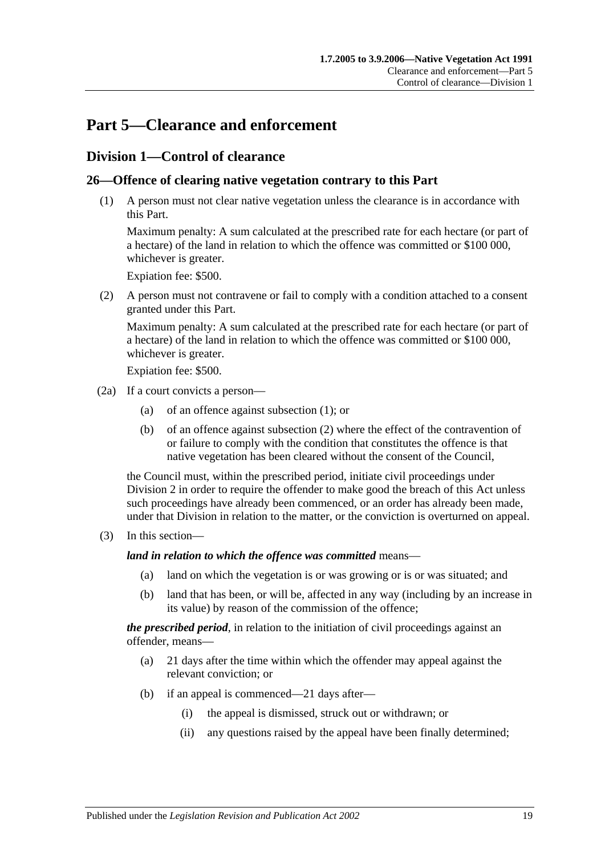## <span id="page-18-0"></span>**Part 5—Clearance and enforcement**

## <span id="page-18-1"></span>**Division 1—Control of clearance**

### <span id="page-18-3"></span><span id="page-18-2"></span>**26—Offence of clearing native vegetation contrary to this Part**

(1) A person must not clear native vegetation unless the clearance is in accordance with this Part.

Maximum penalty: A sum calculated at the prescribed rate for each hectare (or part of a hectare) of the land in relation to which the offence was committed or \$100 000, whichever is greater.

Expiation fee: \$500.

<span id="page-18-4"></span>(2) A person must not contravene or fail to comply with a condition attached to a consent granted under this Part.

Maximum penalty: A sum calculated at the prescribed rate for each hectare (or part of a hectare) of the land in relation to which the offence was committed or \$100 000, whichever is greater.

Expiation fee: \$500.

- (2a) If a court convicts a person—
	- (a) of an offence against [subsection](#page-18-3) (1); or
	- (b) of an offence against [subsection](#page-18-4) (2) where the effect of the contravention of or failure to comply with the condition that constitutes the offence is that native vegetation has been cleared without the consent of the Council,

the Council must, within the prescribed period, initiate civil proceedings under [Division 2](#page-26-1) in order to require the offender to make good the breach of this Act unless such proceedings have already been commenced, or an order has already been made, under that Division in relation to the matter, or the conviction is overturned on appeal.

(3) In this section—

*land in relation to which the offence was committed* means—

- (a) land on which the vegetation is or was growing or is or was situated; and
- (b) land that has been, or will be, affected in any way (including by an increase in its value) by reason of the commission of the offence;

*the prescribed period*, in relation to the initiation of civil proceedings against an offender, means—

- (a) 21 days after the time within which the offender may appeal against the relevant conviction; or
- (b) if an appeal is commenced—21 days after—
	- (i) the appeal is dismissed, struck out or withdrawn; or
	- (ii) any questions raised by the appeal have been finally determined;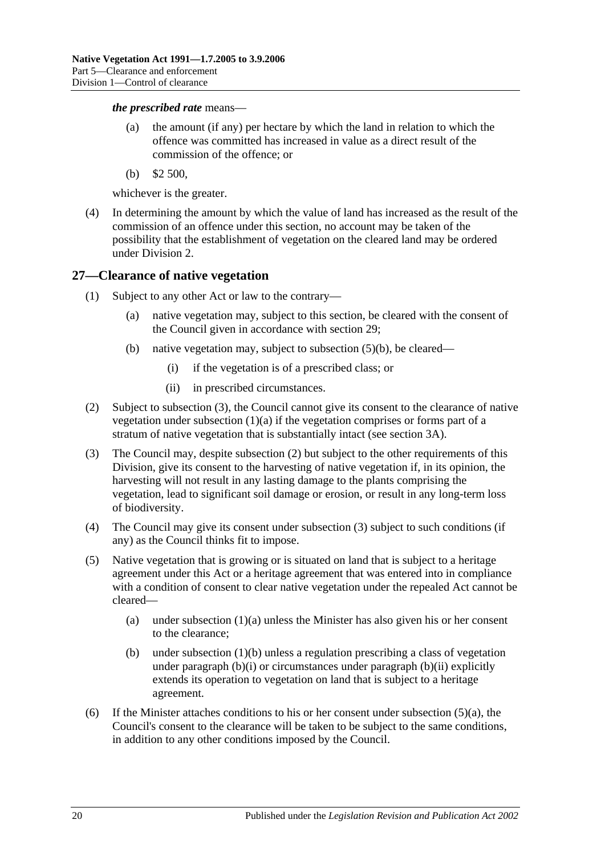#### *the prescribed rate* means—

- (a) the amount (if any) per hectare by which the land in relation to which the offence was committed has increased in value as a direct result of the commission of the offence; or
- (b) \$2 500,

whichever is the greater.

(4) In determining the amount by which the value of land has increased as the result of the commission of an offence under this section, no account may be taken of the possibility that the establishment of vegetation on the cleared land may be ordered under [Division 2.](#page-26-1)

#### <span id="page-19-0"></span>**27—Clearance of native vegetation**

- <span id="page-19-5"></span><span id="page-19-3"></span>(1) Subject to any other Act or law to the contrary—
	- (a) native vegetation may, subject to this section, be cleared with the consent of the Council given in accordance with [section](#page-21-0) 29;
	- (b) native vegetation may, subject to [subsection](#page-19-1) (5)(b), be cleared—
		- (i) if the vegetation is of a prescribed class; or
		- (ii) in prescribed circumstances.
- <span id="page-19-7"></span><span id="page-19-6"></span><span id="page-19-4"></span>(2) Subject to [subsection](#page-19-2) (3), the Council cannot give its consent to the clearance of native vegetation under [subsection](#page-19-3) (1)(a) if the vegetation comprises or forms part of a stratum of native vegetation that is substantially intact (see [section](#page-5-0) 3A).
- <span id="page-19-2"></span>(3) The Council may, despite [subsection](#page-19-4) (2) but subject to the other requirements of this Division, give its consent to the harvesting of native vegetation if, in its opinion, the harvesting will not result in any lasting damage to the plants comprising the vegetation, lead to significant soil damage or erosion, or result in any long-term loss of biodiversity.
- (4) The Council may give its consent under [subsection](#page-19-2) (3) subject to such conditions (if any) as the Council thinks fit to impose.
- <span id="page-19-8"></span>(5) Native vegetation that is growing or is situated on land that is subject to a heritage agreement under this Act or a heritage agreement that was entered into in compliance with a condition of consent to clear native vegetation under the repealed Act cannot be cleared—
	- (a) under [subsection](#page-19-3) (1)(a) unless the Minister has also given his or her consent to the clearance;
	- (b) under [subsection](#page-19-5)  $(1)(b)$  unless a regulation prescribing a class of vegetation under [paragraph](#page-19-7)  $(b)(i)$  or circumstances under paragraph  $(b)(ii)$  explicitly extends its operation to vegetation on land that is subject to a heritage agreement.
- <span id="page-19-1"></span>(6) If the Minister attaches conditions to his or her consent under [subsection](#page-19-8)  $(5)(a)$ , the Council's consent to the clearance will be taken to be subject to the same conditions, in addition to any other conditions imposed by the Council.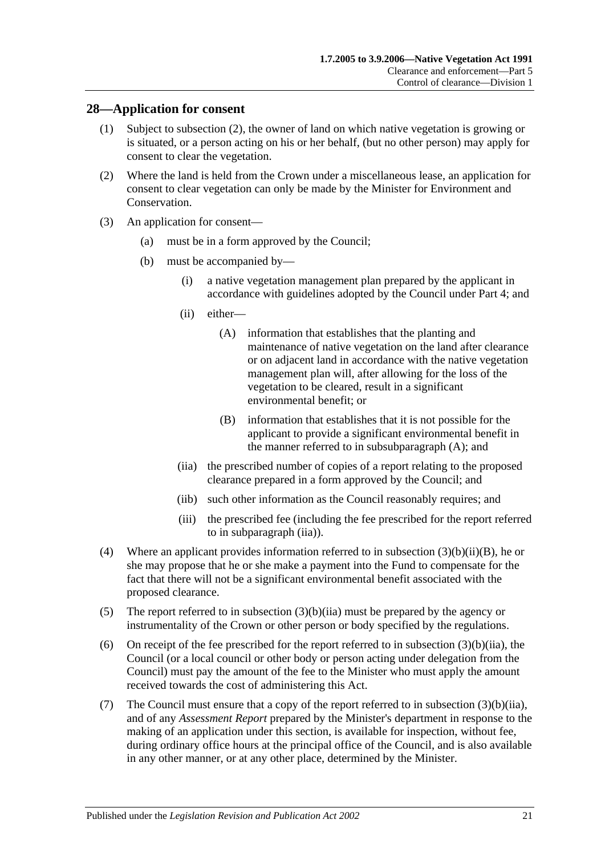#### <span id="page-20-0"></span>**28—Application for consent**

- (1) Subject to [subsection](#page-20-3) (2), the owner of land on which native vegetation is growing or is situated, or a person acting on his or her behalf, (but no other person) may apply for consent to clear the vegetation.
- <span id="page-20-3"></span>(2) Where the land is held from the Crown under a miscellaneous lease, an application for consent to clear vegetation can only be made by the Minister for Environment and Conservation.
- <span id="page-20-8"></span><span id="page-20-4"></span>(3) An application for consent—
	- (a) must be in a form approved by the Council;
	- (b) must be accompanied by—
		- (i) a native vegetation management plan prepared by the applicant in accordance with guidelines adopted by the Council under [Part 4;](#page-13-0) and
		- (ii) either—
			- (A) information that establishes that the planting and maintenance of native vegetation on the land after clearance or on adjacent land in accordance with the native vegetation management plan will, after allowing for the loss of the vegetation to be cleared, result in a significant environmental benefit; or
			- (B) information that establishes that it is not possible for the applicant to provide a significant environmental benefit in the manner referred to in [subsubparagraph](#page-20-4) (A); and
		- (iia) the prescribed number of copies of a report relating to the proposed clearance prepared in a form approved by the Council; and
		- (iib) such other information as the Council reasonably requires; and
		- (iii) the prescribed fee (including the fee prescribed for the report referred to in [subparagraph](#page-20-2) (iia)).
- <span id="page-20-6"></span><span id="page-20-5"></span><span id="page-20-2"></span><span id="page-20-1"></span>(4) Where an applicant provides information referred to in subsection  $(3)(b)(ii)(B)$ , he or she may propose that he or she make a payment into the Fund to compensate for the fact that there will not be a significant environmental benefit associated with the proposed clearance.
- <span id="page-20-7"></span>(5) The report referred to in [subsection](#page-20-2) (3)(b)(iia) must be prepared by the agency or instrumentality of the Crown or other person or body specified by the regulations.
- (6) On receipt of the fee prescribed for the report referred to in [subsection](#page-20-2)  $(3)(b)(ii)$ , the Council (or a local council or other body or person acting under delegation from the Council) must pay the amount of the fee to the Minister who must apply the amount received towards the cost of administering this Act.
- (7) The Council must ensure that a copy of the report referred to in [subsection](#page-20-2) (3)(b)(iia), and of any *Assessment Report* prepared by the Minister's department in response to the making of an application under this section, is available for inspection, without fee, during ordinary office hours at the principal office of the Council, and is also available in any other manner, or at any other place, determined by the Minister.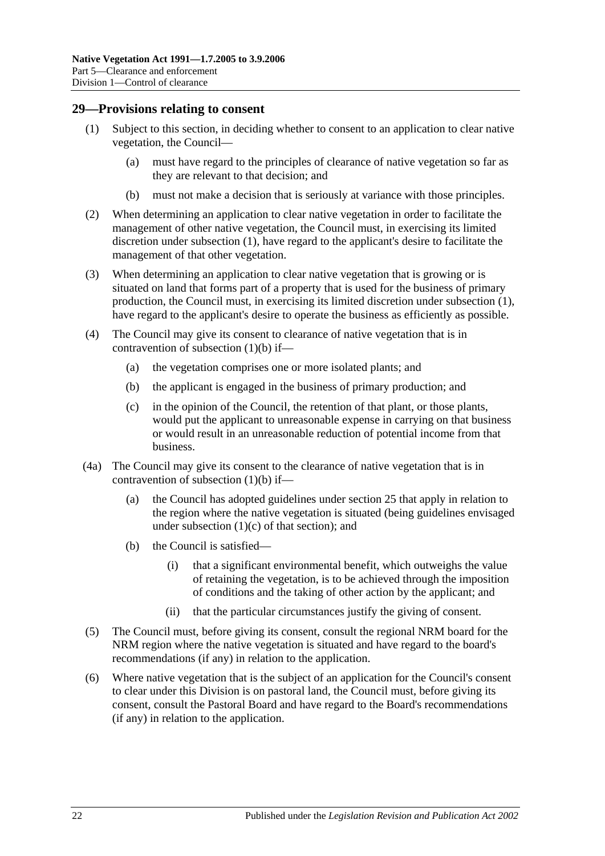#### <span id="page-21-2"></span><span id="page-21-0"></span>**29—Provisions relating to consent**

- (1) Subject to this section, in deciding whether to consent to an application to clear native vegetation, the Council—
	- (a) must have regard to the principles of clearance of native vegetation so far as they are relevant to that decision; and
	- (b) must not make a decision that is seriously at variance with those principles.
- <span id="page-21-3"></span>(2) When determining an application to clear native vegetation in order to facilitate the management of other native vegetation, the Council must, in exercising its limited discretion under [subsection](#page-21-2) (1), have regard to the applicant's desire to facilitate the management of that other vegetation.
- (3) When determining an application to clear native vegetation that is growing or is situated on land that forms part of a property that is used for the business of primary production, the Council must, in exercising its limited discretion under [subsection](#page-21-2) (1), have regard to the applicant's desire to operate the business as efficiently as possible.
- (4) The Council may give its consent to clearance of native vegetation that is in contravention of [subsection](#page-21-3) (1)(b) if—
	- (a) the vegetation comprises one or more isolated plants; and
	- (b) the applicant is engaged in the business of primary production; and
	- (c) in the opinion of the Council, the retention of that plant, or those plants, would put the applicant to unreasonable expense in carrying on that business or would result in an unreasonable reduction of potential income from that business.
- <span id="page-21-1"></span>(4a) The Council may give its consent to the clearance of native vegetation that is in contravention of [subsection](#page-21-3) (1)(b) if—
	- (a) the Council has adopted guidelines under [section](#page-16-0) 25 that apply in relation to the region where the native vegetation is situated (being guidelines envisaged under [subsection](#page-16-5)  $(1)(c)$  of that section); and
	- (b) the Council is satisfied—
		- (i) that a significant environmental benefit, which outweighs the value of retaining the vegetation, is to be achieved through the imposition of conditions and the taking of other action by the applicant; and
		- (ii) that the particular circumstances justify the giving of consent.
- (5) The Council must, before giving its consent, consult the regional NRM board for the NRM region where the native vegetation is situated and have regard to the board's recommendations (if any) in relation to the application.
- (6) Where native vegetation that is the subject of an application for the Council's consent to clear under this Division is on pastoral land, the Council must, before giving its consent, consult the Pastoral Board and have regard to the Board's recommendations (if any) in relation to the application.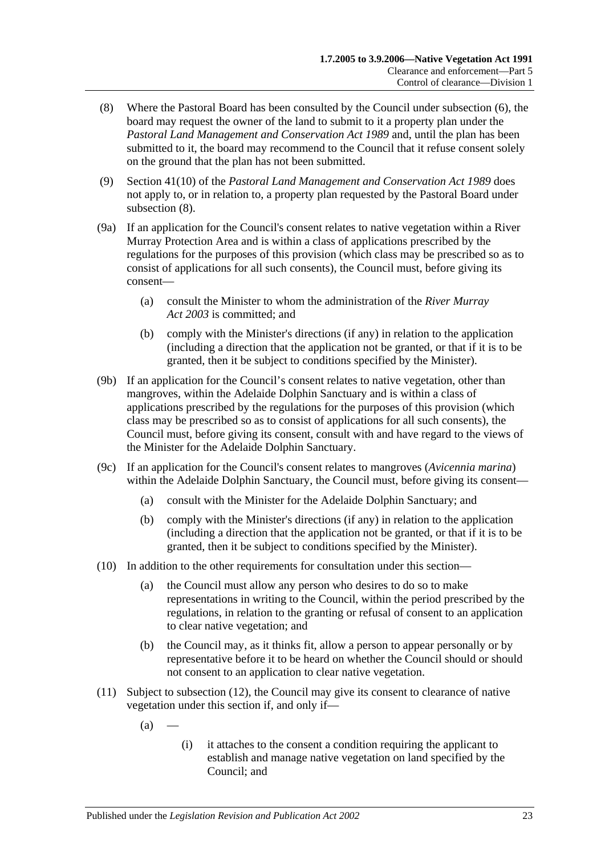- (8) Where the Pastoral Board has been consulted by the Council under subsection (6), the board may request the owner of the land to submit to it a property plan under the *[Pastoral Land Management and Conservation Act](http://www.legislation.sa.gov.au/index.aspx?action=legref&type=act&legtitle=Pastoral%20Land%20Management%20and%20Conservation%20Act%201989) 1989* and, until the plan has been submitted to it, the board may recommend to the Council that it refuse consent solely on the ground that the plan has not been submitted.
- (9) Section 41(10) of the *[Pastoral Land Management and Conservation Act](http://www.legislation.sa.gov.au/index.aspx?action=legref&type=act&legtitle=Pastoral%20Land%20Management%20and%20Conservation%20Act%201989) 1989* does not apply to, or in relation to, a property plan requested by the Pastoral Board under subsection (8).
- (9a) If an application for the Council's consent relates to native vegetation within a River Murray Protection Area and is within a class of applications prescribed by the regulations for the purposes of this provision (which class may be prescribed so as to consist of applications for all such consents), the Council must, before giving its consent—
	- (a) consult the Minister to whom the administration of the *[River Murray](http://www.legislation.sa.gov.au/index.aspx?action=legref&type=act&legtitle=River%20Murray%20Act%202003)  Act [2003](http://www.legislation.sa.gov.au/index.aspx?action=legref&type=act&legtitle=River%20Murray%20Act%202003)* is committed; and
	- (b) comply with the Minister's directions (if any) in relation to the application (including a direction that the application not be granted, or that if it is to be granted, then it be subject to conditions specified by the Minister).
- (9b) If an application for the Council's consent relates to native vegetation, other than mangroves, within the Adelaide Dolphin Sanctuary and is within a class of applications prescribed by the regulations for the purposes of this provision (which class may be prescribed so as to consist of applications for all such consents), the Council must, before giving its consent, consult with and have regard to the views of the Minister for the Adelaide Dolphin Sanctuary.
- (9c) If an application for the Council's consent relates to mangroves (*Avicennia marina*) within the Adelaide Dolphin Sanctuary, the Council must, before giving its consent—
	- (a) consult with the Minister for the Adelaide Dolphin Sanctuary; and
	- (b) comply with the Minister's directions (if any) in relation to the application (including a direction that the application not be granted, or that if it is to be granted, then it be subject to conditions specified by the Minister).
- (10) In addition to the other requirements for consultation under this section—
	- (a) the Council must allow any person who desires to do so to make representations in writing to the Council, within the period prescribed by the regulations, in relation to the granting or refusal of consent to an application to clear native vegetation; and
	- (b) the Council may, as it thinks fit, allow a person to appear personally or by representative before it to be heard on whether the Council should or should not consent to an application to clear native vegetation.
- <span id="page-22-0"></span>(11) Subject to [subsection](#page-23-1) (12), the Council may give its consent to clearance of native vegetation under this section if, and only if—
	- $(a)$
- (i) it attaches to the consent a condition requiring the applicant to establish and manage native vegetation on land specified by the Council; and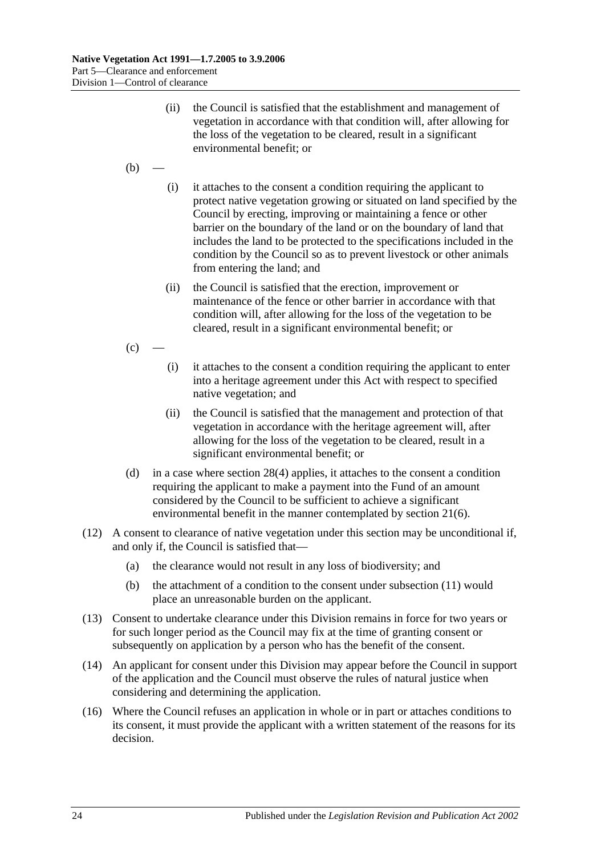- (ii) the Council is satisfied that the establishment and management of vegetation in accordance with that condition will, after allowing for the loss of the vegetation to be cleared, result in a significant environmental benefit; or
- $(b)$
- (i) it attaches to the consent a condition requiring the applicant to protect native vegetation growing or situated on land specified by the Council by erecting, improving or maintaining a fence or other barrier on the boundary of the land or on the boundary of land that includes the land to be protected to the specifications included in the condition by the Council so as to prevent livestock or other animals from entering the land; and
- (ii) the Council is satisfied that the erection, improvement or maintenance of the fence or other barrier in accordance with that condition will, after allowing for the loss of the vegetation to be cleared, result in a significant environmental benefit; or
- $(c)$ 
	- (i) it attaches to the consent a condition requiring the applicant to enter into a heritage agreement under this Act with respect to specified native vegetation; and
	- (ii) the Council is satisfied that the management and protection of that vegetation in accordance with the heritage agreement will, after allowing for the loss of the vegetation to be cleared, result in a significant environmental benefit; or
- <span id="page-23-0"></span>(d) in a case where [section](#page-20-6) 28(4) applies, it attaches to the consent a condition requiring the applicant to make a payment into the Fund of an amount considered by the Council to be sufficient to achieve a significant environmental benefit in the manner contemplated by [section](#page-12-3) 21(6).
- <span id="page-23-1"></span>(12) A consent to clearance of native vegetation under this section may be unconditional if, and only if, the Council is satisfied that—
	- (a) the clearance would not result in any loss of biodiversity; and
	- (b) the attachment of a condition to the consent under [subsection](#page-22-0) (11) would place an unreasonable burden on the applicant.
- (13) Consent to undertake clearance under this Division remains in force for two years or for such longer period as the Council may fix at the time of granting consent or subsequently on application by a person who has the benefit of the consent.
- (14) An applicant for consent under this Division may appear before the Council in support of the application and the Council must observe the rules of natural justice when considering and determining the application.
- (16) Where the Council refuses an application in whole or in part or attaches conditions to its consent, it must provide the applicant with a written statement of the reasons for its decision.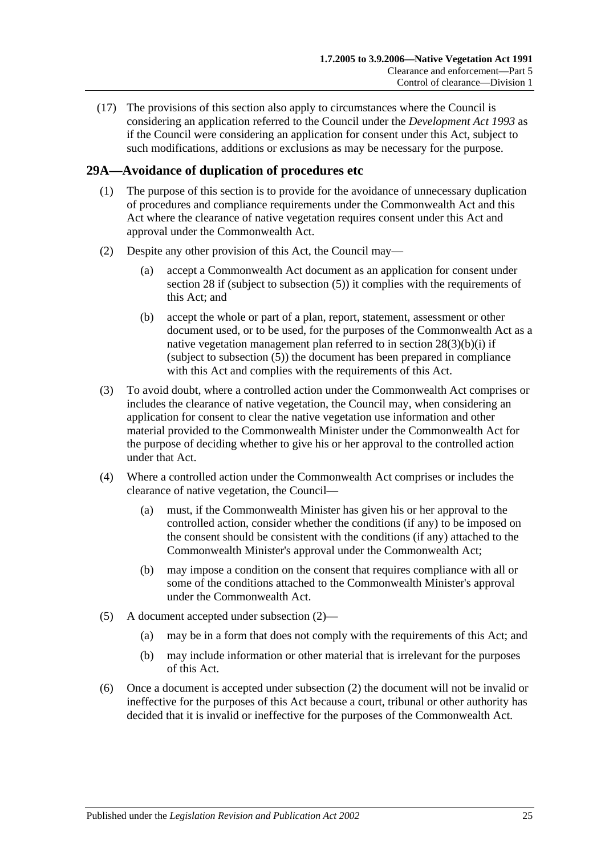(17) The provisions of this section also apply to circumstances where the Council is considering an application referred to the Council under the *[Development Act](http://www.legislation.sa.gov.au/index.aspx?action=legref&type=act&legtitle=Development%20Act%201993) 1993* as if the Council were considering an application for consent under this Act, subject to such modifications, additions or exclusions as may be necessary for the purpose.

#### <span id="page-24-0"></span>**29A—Avoidance of duplication of procedures etc**

- (1) The purpose of this section is to provide for the avoidance of unnecessary duplication of procedures and compliance requirements under the Commonwealth Act and this Act where the clearance of native vegetation requires consent under this Act and approval under the Commonwealth Act.
- <span id="page-24-1"></span>(2) Despite any other provision of this Act, the Council may—
	- (a) accept a Commonwealth Act document as an application for consent under [section](#page-20-0) 28 if (subject to [subsection](#page-20-7) (5)) it complies with the requirements of this Act; and
	- (b) accept the whole or part of a plan, report, statement, assessment or other document used, or to be used, for the purposes of the Commonwealth Act as a native vegetation management plan referred to in section [28\(3\)\(b\)\(i\)](#page-20-8) if (subject to [subsection](#page-20-7) (5)) the document has been prepared in compliance with this Act and complies with the requirements of this Act.
- (3) To avoid doubt, where a controlled action under the Commonwealth Act comprises or includes the clearance of native vegetation, the Council may, when considering an application for consent to clear the native vegetation use information and other material provided to the Commonwealth Minister under the Commonwealth Act for the purpose of deciding whether to give his or her approval to the controlled action under that Act.
- (4) Where a controlled action under the Commonwealth Act comprises or includes the clearance of native vegetation, the Council—
	- (a) must, if the Commonwealth Minister has given his or her approval to the controlled action, consider whether the conditions (if any) to be imposed on the consent should be consistent with the conditions (if any) attached to the Commonwealth Minister's approval under the Commonwealth Act;
	- (b) may impose a condition on the consent that requires compliance with all or some of the conditions attached to the Commonwealth Minister's approval under the Commonwealth Act.
- (5) A document accepted under [subsection](#page-24-1) (2)—
	- (a) may be in a form that does not comply with the requirements of this Act; and
	- (b) may include information or other material that is irrelevant for the purposes of this Act.
- (6) Once a document is accepted under [subsection](#page-24-1) (2) the document will not be invalid or ineffective for the purposes of this Act because a court, tribunal or other authority has decided that it is invalid or ineffective for the purposes of the Commonwealth Act.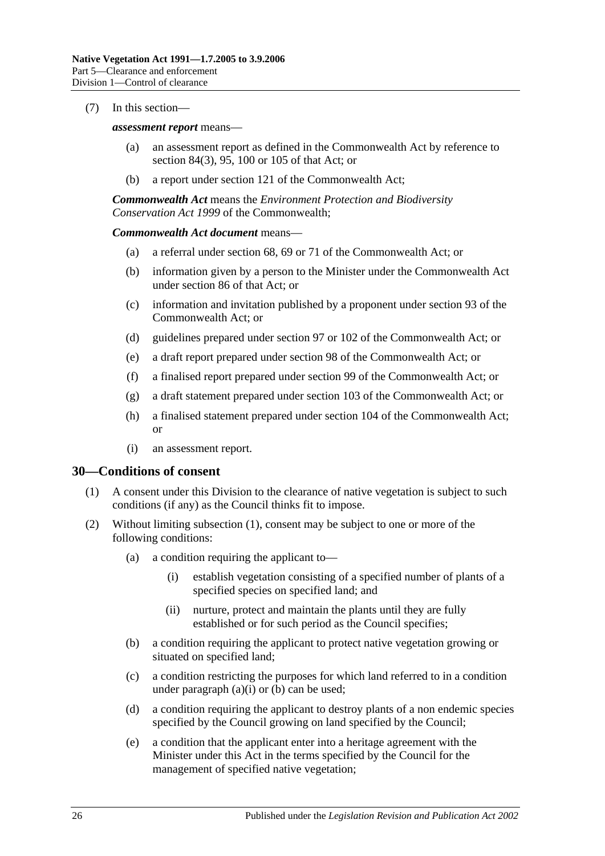#### (7) In this section—

#### *assessment report* means—

- (a) an assessment report as defined in the Commonwealth Act by reference to section 84(3), 95, 100 or 105 of that Act; or
- (b) a report under section 121 of the Commonwealth Act;

*Commonwealth Act* means the *Environment Protection and Biodiversity Conservation Act 1999* of the Commonwealth;

#### *Commonwealth Act document* means—

- (a) a referral under section 68, 69 or 71 of the Commonwealth Act; or
- (b) information given by a person to the Minister under the Commonwealth Act under section 86 of that Act; or
- (c) information and invitation published by a proponent under section 93 of the Commonwealth Act; or
- (d) guidelines prepared under section 97 or 102 of the Commonwealth Act; or
- (e) a draft report prepared under section 98 of the Commonwealth Act; or
- (f) a finalised report prepared under section 99 of the Commonwealth Act; or
- (g) a draft statement prepared under section 103 of the Commonwealth Act; or
- (h) a finalised statement prepared under section 104 of the Commonwealth Act; or
- (i) an assessment report.

#### <span id="page-25-1"></span><span id="page-25-0"></span>**30—Conditions of consent**

- (1) A consent under this Division to the clearance of native vegetation is subject to such conditions (if any) as the Council thinks fit to impose.
- <span id="page-25-5"></span><span id="page-25-4"></span><span id="page-25-3"></span><span id="page-25-2"></span>(2) Without limiting [subsection](#page-25-1) (1), consent may be subject to one or more of the following conditions:
	- (a) a condition requiring the applicant to—
		- (i) establish vegetation consisting of a specified number of plants of a specified species on specified land; and
		- (ii) nurture, protect and maintain the plants until they are fully established or for such period as the Council specifies;
	- (b) a condition requiring the applicant to protect native vegetation growing or situated on specified land;
	- (c) a condition restricting the purposes for which land referred to in a condition under [paragraph](#page-25-2)  $(a)(i)$  or  $(b)$  can be used;
	- (d) a condition requiring the applicant to destroy plants of a non endemic species specified by the Council growing on land specified by the Council;
	- (e) a condition that the applicant enter into a heritage agreement with the Minister under this Act in the terms specified by the Council for the management of specified native vegetation;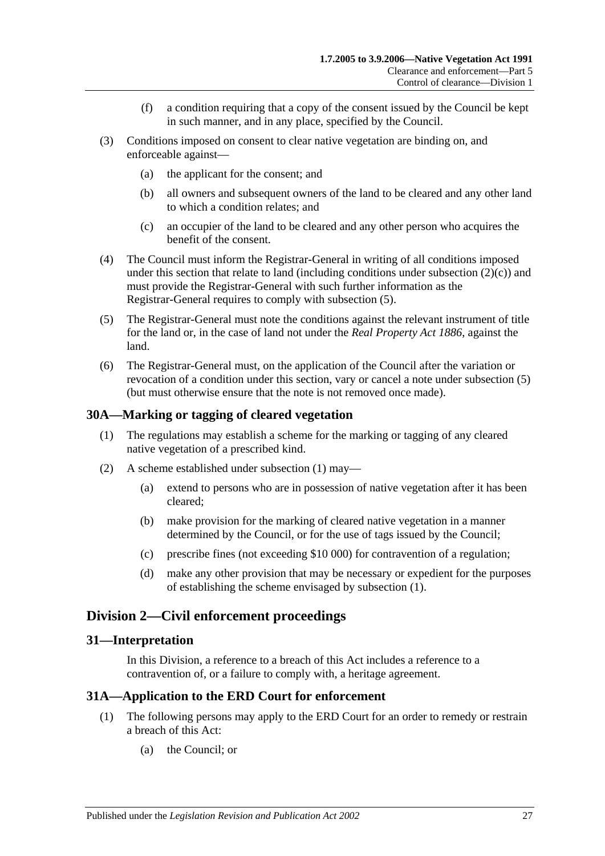- (f) a condition requiring that a copy of the consent issued by the Council be kept in such manner, and in any place, specified by the Council.
- (3) Conditions imposed on consent to clear native vegetation are binding on, and enforceable against—
	- (a) the applicant for the consent; and
	- (b) all owners and subsequent owners of the land to be cleared and any other land to which a condition relates; and
	- (c) an occupier of the land to be cleared and any other person who acquires the benefit of the consent.
- (4) The Council must inform the Registrar-General in writing of all conditions imposed under this section that relate to land (including conditions under [subsection](#page-25-4)  $(2)(c)$ ) and must provide the Registrar-General with such further information as the Registrar-General requires to comply with [subsection](#page-26-4) (5).
- <span id="page-26-4"></span>(5) The Registrar-General must note the conditions against the relevant instrument of title for the land or, in the case of land not under the *[Real Property Act](http://www.legislation.sa.gov.au/index.aspx?action=legref&type=act&legtitle=Real%20Property%20Act%201886) 1886*, against the land.
- (6) The Registrar-General must, on the application of the Council after the variation or revocation of a condition under this section, vary or cancel a note under [subsection](#page-26-4) (5) (but must otherwise ensure that the note is not removed once made).

#### <span id="page-26-5"></span><span id="page-26-0"></span>**30A—Marking or tagging of cleared vegetation**

- (1) The regulations may establish a scheme for the marking or tagging of any cleared native vegetation of a prescribed kind.
- (2) A scheme established under [subsection](#page-26-5) (1) may—
	- (a) extend to persons who are in possession of native vegetation after it has been cleared;
	- (b) make provision for the marking of cleared native vegetation in a manner determined by the Council, or for the use of tags issued by the Council;
	- (c) prescribe fines (not exceeding \$10 000) for contravention of a regulation;
	- (d) make any other provision that may be necessary or expedient for the purposes of establishing the scheme envisaged by [subsection](#page-26-5) (1).

#### <span id="page-26-1"></span>**Division 2—Civil enforcement proceedings**

#### <span id="page-26-2"></span>**31—Interpretation**

In this Division, a reference to a breach of this Act includes a reference to a contravention of, or a failure to comply with, a heritage agreement.

#### <span id="page-26-3"></span>**31A—Application to the ERD Court for enforcement**

- (1) The following persons may apply to the ERD Court for an order to remedy or restrain a breach of this Act:
	- (a) the Council; or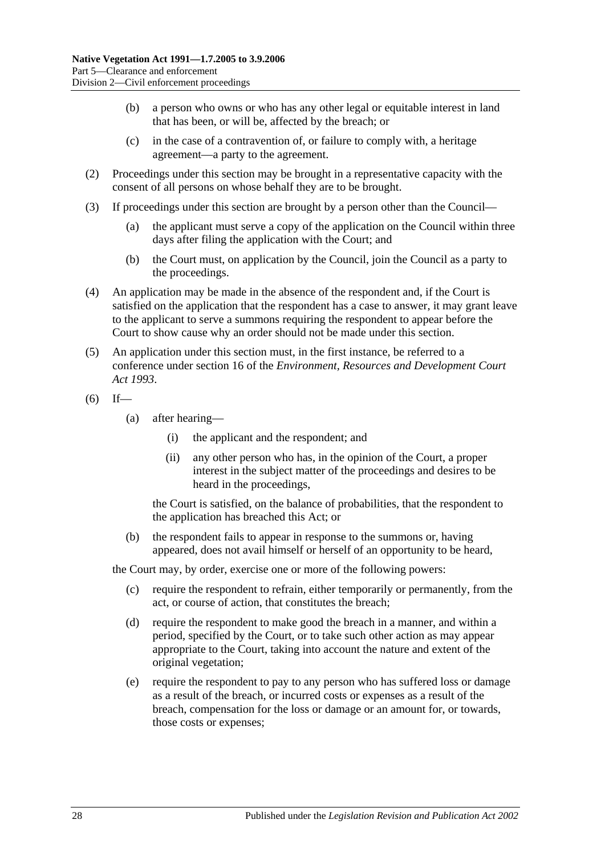- (b) a person who owns or who has any other legal or equitable interest in land that has been, or will be, affected by the breach; or
- (c) in the case of a contravention of, or failure to comply with, a heritage agreement—a party to the agreement.
- (2) Proceedings under this section may be brought in a representative capacity with the consent of all persons on whose behalf they are to be brought.
- (3) If proceedings under this section are brought by a person other than the Council—
	- (a) the applicant must serve a copy of the application on the Council within three days after filing the application with the Court; and
	- (b) the Court must, on application by the Council, join the Council as a party to the proceedings.
- (4) An application may be made in the absence of the respondent and, if the Court is satisfied on the application that the respondent has a case to answer, it may grant leave to the applicant to serve a summons requiring the respondent to appear before the Court to show cause why an order should not be made under this section.
- <span id="page-27-1"></span>(5) An application under this section must, in the first instance, be referred to a conference under section 16 of the *[Environment, Resources and Development Court](http://www.legislation.sa.gov.au/index.aspx?action=legref&type=act&legtitle=Environment%20Resources%20and%20Development%20Court%20Act%201993)  Act [1993](http://www.legislation.sa.gov.au/index.aspx?action=legref&type=act&legtitle=Environment%20Resources%20and%20Development%20Court%20Act%201993)*.
- $(6)$  If—
	- (a) after hearing—
		- (i) the applicant and the respondent; and
		- (ii) any other person who has, in the opinion of the Court, a proper interest in the subject matter of the proceedings and desires to be heard in the proceedings,

the Court is satisfied, on the balance of probabilities, that the respondent to the application has breached this Act; or

(b) the respondent fails to appear in response to the summons or, having appeared, does not avail himself or herself of an opportunity to be heard,

the Court may, by order, exercise one or more of the following powers:

- (c) require the respondent to refrain, either temporarily or permanently, from the act, or course of action, that constitutes the breach;
- <span id="page-27-0"></span>(d) require the respondent to make good the breach in a manner, and within a period, specified by the Court, or to take such other action as may appear appropriate to the Court, taking into account the nature and extent of the original vegetation;
- (e) require the respondent to pay to any person who has suffered loss or damage as a result of the breach, or incurred costs or expenses as a result of the breach, compensation for the loss or damage or an amount for, or towards, those costs or expenses;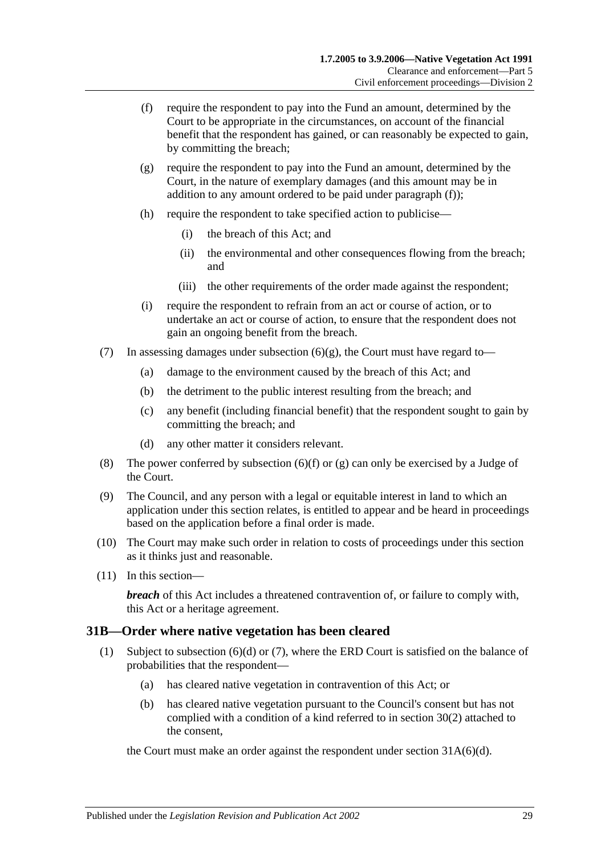- <span id="page-28-1"></span>(f) require the respondent to pay into the Fund an amount, determined by the Court to be appropriate in the circumstances, on account of the financial benefit that the respondent has gained, or can reasonably be expected to gain, by committing the breach;
- <span id="page-28-2"></span>(g) require the respondent to pay into the Fund an amount, determined by the Court, in the nature of exemplary damages (and this amount may be in addition to any amount ordered to be paid under [paragraph](#page-28-1)  $(f)$ ;
- (h) require the respondent to take specified action to publicise—
	- (i) the breach of this Act; and
	- (ii) the environmental and other consequences flowing from the breach; and
	- (iii) the other requirements of the order made against the respondent;
- (i) require the respondent to refrain from an act or course of action, or to undertake an act or course of action, to ensure that the respondent does not gain an ongoing benefit from the breach.
- (7) In assessing damages under [subsection](#page-28-2)  $(6)(g)$ , the Court must have regard to-
	- (a) damage to the environment caused by the breach of this Act; and
	- (b) the detriment to the public interest resulting from the breach; and
	- (c) any benefit (including financial benefit) that the respondent sought to gain by committing the breach; and
	- (d) any other matter it considers relevant.
- <span id="page-28-4"></span>(8) The power conferred by [subsection](#page-28-1)  $(6)(f)$  or  $(g)$  can only be exercised by a Judge of the Court.
- (9) The Council, and any person with a legal or equitable interest in land to which an application under this section relates, is entitled to appear and be heard in proceedings based on the application before a final order is made.
- (10) The Court may make such order in relation to costs of proceedings under this section as it thinks just and reasonable.
- (11) In this section—

*breach* of this Act includes a threatened contravention of, or failure to comply with, this Act or a heritage agreement.

#### <span id="page-28-3"></span><span id="page-28-0"></span>**31B—Order where native vegetation has been cleared**

- (1) Subject to [subsection](#page-29-0)  $(6)(d)$  or  $(7)$ , where the ERD Court is satisfied on the balance of probabilities that the respondent—
	- (a) has cleared native vegetation in contravention of this Act; or
	- (b) has cleared native vegetation pursuant to the Council's consent but has not complied with a condition of a kind referred to in [section](#page-25-5) 30(2) attached to the consent,

the Court must make an order against the respondent under section [31A\(6\)\(d\).](#page-27-0)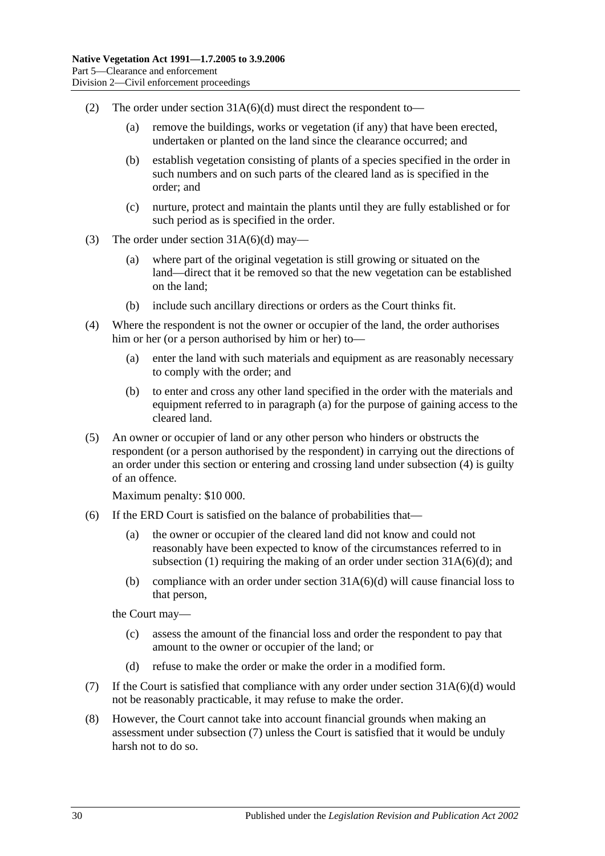- (2) The order under section [31A\(6\)\(d\)](#page-27-0) must direct the respondent to—
	- (a) remove the buildings, works or vegetation (if any) that have been erected, undertaken or planted on the land since the clearance occurred; and
	- (b) establish vegetation consisting of plants of a species specified in the order in such numbers and on such parts of the cleared land as is specified in the order; and
	- (c) nurture, protect and maintain the plants until they are fully established or for such period as is specified in the order.
- (3) The order under section  $31A(6)(d)$  may—
	- (a) where part of the original vegetation is still growing or situated on the land—direct that it be removed so that the new vegetation can be established on the land;
	- (b) include such ancillary directions or orders as the Court thinks fit.
- <span id="page-29-3"></span><span id="page-29-2"></span>(4) Where the respondent is not the owner or occupier of the land, the order authorises him or her (or a person authorised by him or her) to—
	- (a) enter the land with such materials and equipment as are reasonably necessary to comply with the order; and
	- (b) to enter and cross any other land specified in the order with the materials and equipment referred to in [paragraph](#page-29-2) (a) for the purpose of gaining access to the cleared land.
- <span id="page-29-4"></span>(5) An owner or occupier of land or any other person who hinders or obstructs the respondent (or a person authorised by the respondent) in carrying out the directions of an order under this section or entering and crossing land under [subsection](#page-29-3) (4) is guilty of an offence.

Maximum penalty: \$10 000.

- (6) If the ERD Court is satisfied on the balance of probabilities that—
	- (a) the owner or occupier of the cleared land did not know and could not reasonably have been expected to know of the circumstances referred to in [subsection](#page-28-3) (1) requiring the making of an order under section  $31A(6)(d)$ ; and
	- (b) compliance with an order under section  $31A(6)(d)$  will cause financial loss to that person,

the Court may—

- (c) assess the amount of the financial loss and order the respondent to pay that amount to the owner or occupier of the land; or
- (d) refuse to make the order or make the order in a modified form.
- <span id="page-29-1"></span><span id="page-29-0"></span>(7) If the Court is satisfied that compliance with any order under section [31A\(6\)\(d\)](#page-27-0) would not be reasonably practicable, it may refuse to make the order.
- (8) However, the Court cannot take into account financial grounds when making an assessment under [subsection](#page-29-1) (7) unless the Court is satisfied that it would be unduly harsh not to do so.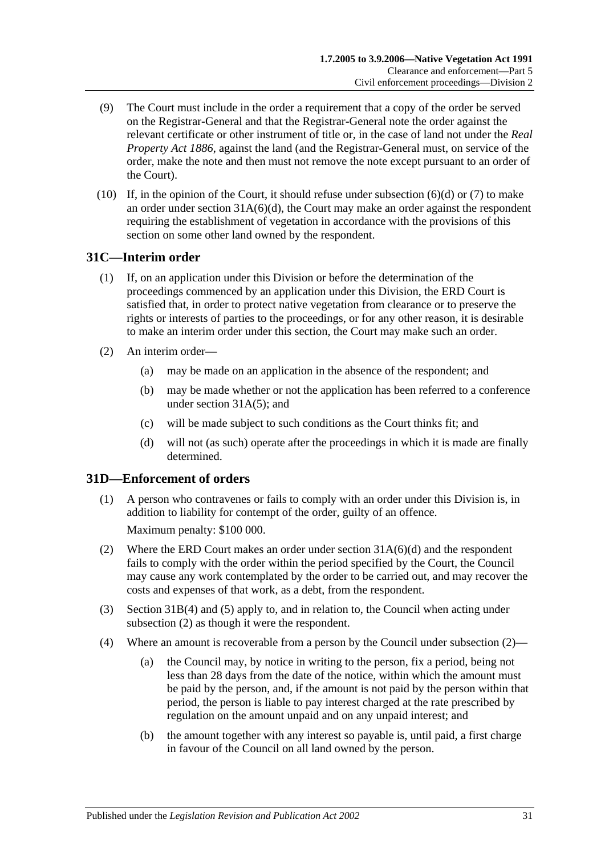- (9) The Court must include in the order a requirement that a copy of the order be served on the Registrar-General and that the Registrar-General note the order against the relevant certificate or other instrument of title or, in the case of land not under the *[Real](http://www.legislation.sa.gov.au/index.aspx?action=legref&type=act&legtitle=Real%20Property%20Act%201886)  [Property Act](http://www.legislation.sa.gov.au/index.aspx?action=legref&type=act&legtitle=Real%20Property%20Act%201886) 1886*, against the land (and the Registrar-General must, on service of the order, make the note and then must not remove the note except pursuant to an order of the Court).
- (10) If, in the opinion of the Court, it should refuse under [subsection](#page-29-0)  $(6)(d)$  or  $(7)$  to make an order under section  $31A(6)(d)$ , the Court may make an order against the respondent requiring the establishment of vegetation in accordance with the provisions of this section on some other land owned by the respondent.

## <span id="page-30-0"></span>**31C—Interim order**

- (1) If, on an application under this Division or before the determination of the proceedings commenced by an application under this Division, the ERD Court is satisfied that, in order to protect native vegetation from clearance or to preserve the rights or interests of parties to the proceedings, or for any other reason, it is desirable to make an interim order under this section, the Court may make such an order.
- (2) An interim order—
	- (a) may be made on an application in the absence of the respondent; and
	- (b) may be made whether or not the application has been referred to a conference under [section](#page-27-1) 31A(5); and
	- (c) will be made subject to such conditions as the Court thinks fit; and
	- (d) will not (as such) operate after the proceedings in which it is made are finally determined.

## <span id="page-30-1"></span>**31D—Enforcement of orders**

- (1) A person who contravenes or fails to comply with an order under this Division is, in addition to liability for contempt of the order, guilty of an offence. Maximum penalty: \$100 000.
- <span id="page-30-2"></span>(2) Where the ERD Court makes an order under section [31A\(6\)\(d\)](#page-27-0) and the respondent fails to comply with the order within the period specified by the Court, the Council may cause any work contemplated by the order to be carried out, and may recover the costs and expenses of that work, as a debt, from the respondent.
- (3) [Section](#page-29-3) 31B(4) and [\(5\)](#page-29-4) apply to, and in relation to, the Council when acting under [subsection](#page-30-2) (2) as though it were the respondent.
- <span id="page-30-3"></span>(4) Where an amount is recoverable from a person by the Council under [subsection](#page-30-2) (2)—
	- (a) the Council may, by notice in writing to the person, fix a period, being not less than 28 days from the date of the notice, within which the amount must be paid by the person, and, if the amount is not paid by the person within that period, the person is liable to pay interest charged at the rate prescribed by regulation on the amount unpaid and on any unpaid interest; and
	- (b) the amount together with any interest so payable is, until paid, a first charge in favour of the Council on all land owned by the person.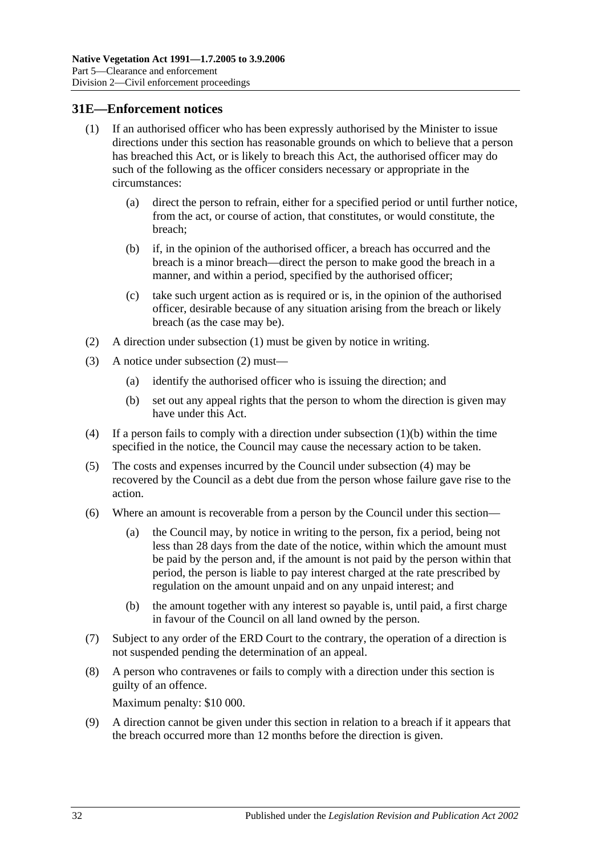#### <span id="page-31-1"></span><span id="page-31-0"></span>**31E—Enforcement notices**

- (1) If an authorised officer who has been expressly authorised by the Minister to issue directions under this section has reasonable grounds on which to believe that a person has breached this Act, or is likely to breach this Act, the authorised officer may do such of the following as the officer considers necessary or appropriate in the circumstances:
	- (a) direct the person to refrain, either for a specified period or until further notice, from the act, or course of action, that constitutes, or would constitute, the breach;
	- (b) if, in the opinion of the authorised officer, a breach has occurred and the breach is a minor breach—direct the person to make good the breach in a manner, and within a period, specified by the authorised officer;
	- (c) take such urgent action as is required or is, in the opinion of the authorised officer, desirable because of any situation arising from the breach or likely breach (as the case may be).
- <span id="page-31-3"></span><span id="page-31-2"></span>(2) A direction under [subsection](#page-31-1) (1) must be given by notice in writing.
- (3) A notice under [subsection](#page-31-2) (2) must—
	- (a) identify the authorised officer who is issuing the direction; and
	- (b) set out any appeal rights that the person to whom the direction is given may have under this Act.
- <span id="page-31-4"></span>(4) If a person fails to comply with a direction under [subsection](#page-31-3)  $(1)(b)$  within the time specified in the notice, the Council may cause the necessary action to be taken.
- (5) The costs and expenses incurred by the Council under [subsection](#page-31-4) (4) may be recovered by the Council as a debt due from the person whose failure gave rise to the action.
- <span id="page-31-5"></span>(6) Where an amount is recoverable from a person by the Council under this section—
	- (a) the Council may, by notice in writing to the person, fix a period, being not less than 28 days from the date of the notice, within which the amount must be paid by the person and, if the amount is not paid by the person within that period, the person is liable to pay interest charged at the rate prescribed by regulation on the amount unpaid and on any unpaid interest; and
	- (b) the amount together with any interest so payable is, until paid, a first charge in favour of the Council on all land owned by the person.
- (7) Subject to any order of the ERD Court to the contrary, the operation of a direction is not suspended pending the determination of an appeal.
- (8) A person who contravenes or fails to comply with a direction under this section is guilty of an offence.

Maximum penalty: \$10 000.

(9) A direction cannot be given under this section in relation to a breach if it appears that the breach occurred more than 12 months before the direction is given.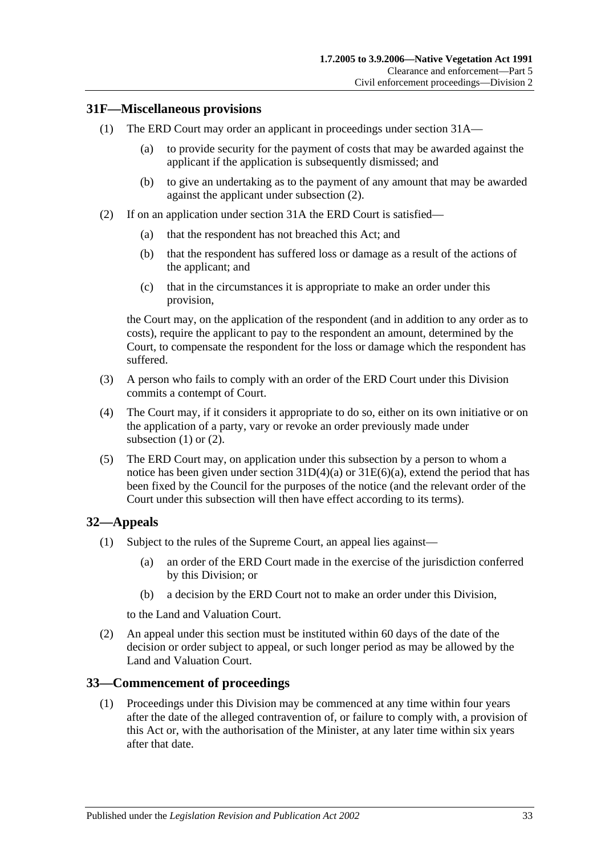#### <span id="page-32-4"></span><span id="page-32-0"></span>**31F—Miscellaneous provisions**

- (1) The ERD Court may order an applicant in proceedings under [section](#page-26-3) 31A—
	- (a) to provide security for the payment of costs that may be awarded against the applicant if the application is subsequently dismissed; and
	- (b) to give an undertaking as to the payment of any amount that may be awarded against the applicant under [subsection](#page-32-3) (2).
- <span id="page-32-3"></span>(2) If on an application under [section](#page-26-3) 31A the ERD Court is satisfied—
	- (a) that the respondent has not breached this Act; and
	- (b) that the respondent has suffered loss or damage as a result of the actions of the applicant; and
	- (c) that in the circumstances it is appropriate to make an order under this provision,

the Court may, on the application of the respondent (and in addition to any order as to costs), require the applicant to pay to the respondent an amount, determined by the Court, to compensate the respondent for the loss or damage which the respondent has suffered.

- (3) A person who fails to comply with an order of the ERD Court under this Division commits a contempt of Court.
- (4) The Court may, if it considers it appropriate to do so, either on its own initiative or on the application of a party, vary or revoke an order previously made under [subsection](#page-32-4)  $(1)$  or  $(2)$ .
- (5) The ERD Court may, on application under this subsection by a person to whom a notice has been given under section  $31D(4)(a)$  or  $31E(6)(a)$ , extend the period that has been fixed by the Council for the purposes of the notice (and the relevant order of the Court under this subsection will then have effect according to its terms).

#### <span id="page-32-1"></span>**32—Appeals**

- (1) Subject to the rules of the Supreme Court, an appeal lies against—
	- (a) an order of the ERD Court made in the exercise of the jurisdiction conferred by this Division; or
	- (b) a decision by the ERD Court not to make an order under this Division,

to the Land and Valuation Court.

(2) An appeal under this section must be instituted within 60 days of the date of the decision or order subject to appeal, or such longer period as may be allowed by the Land and Valuation Court.

#### <span id="page-32-2"></span>**33—Commencement of proceedings**

(1) Proceedings under this Division may be commenced at any time within four years after the date of the alleged contravention of, or failure to comply with, a provision of this Act or, with the authorisation of the Minister, at any later time within six years after that date.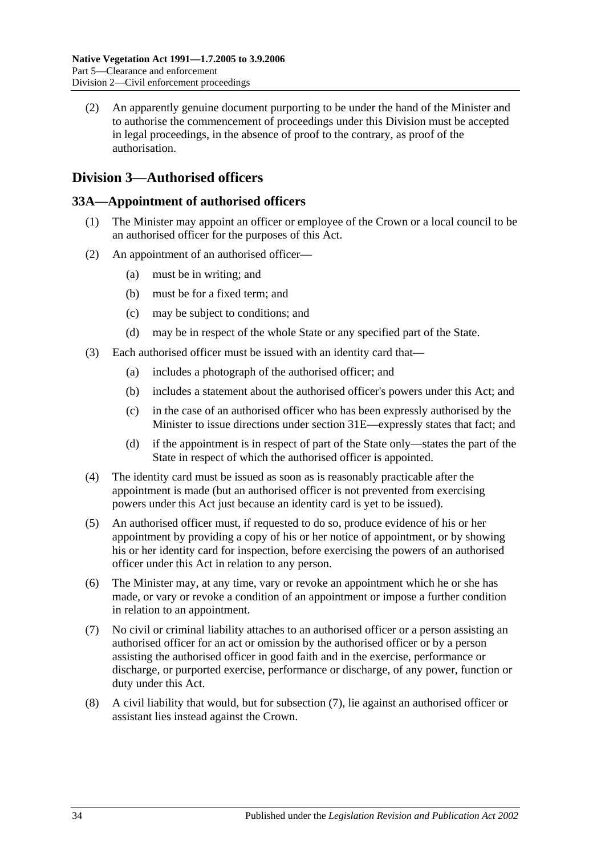(2) An apparently genuine document purporting to be under the hand of the Minister and to authorise the commencement of proceedings under this Division must be accepted in legal proceedings, in the absence of proof to the contrary, as proof of the authorisation.

## <span id="page-33-0"></span>**Division 3—Authorised officers**

### <span id="page-33-1"></span>**33A—Appointment of authorised officers**

- (1) The Minister may appoint an officer or employee of the Crown or a local council to be an authorised officer for the purposes of this Act.
- (2) An appointment of an authorised officer—
	- (a) must be in writing; and
	- (b) must be for a fixed term; and
	- (c) may be subject to conditions; and
	- (d) may be in respect of the whole State or any specified part of the State.
- (3) Each authorised officer must be issued with an identity card that—
	- (a) includes a photograph of the authorised officer; and
	- (b) includes a statement about the authorised officer's powers under this Act; and
	- (c) in the case of an authorised officer who has been expressly authorised by the Minister to issue directions under [section](#page-31-0) 31E—expressly states that fact; and
	- (d) if the appointment is in respect of part of the State only—states the part of the State in respect of which the authorised officer is appointed.
- (4) The identity card must be issued as soon as is reasonably practicable after the appointment is made (but an authorised officer is not prevented from exercising powers under this Act just because an identity card is yet to be issued).
- (5) An authorised officer must, if requested to do so, produce evidence of his or her appointment by providing a copy of his or her notice of appointment, or by showing his or her identity card for inspection, before exercising the powers of an authorised officer under this Act in relation to any person.
- (6) The Minister may, at any time, vary or revoke an appointment which he or she has made, or vary or revoke a condition of an appointment or impose a further condition in relation to an appointment.
- <span id="page-33-2"></span>(7) No civil or criminal liability attaches to an authorised officer or a person assisting an authorised officer for an act or omission by the authorised officer or by a person assisting the authorised officer in good faith and in the exercise, performance or discharge, or purported exercise, performance or discharge, of any power, function or duty under this Act.
- (8) A civil liability that would, but for [subsection](#page-33-2) (7), lie against an authorised officer or assistant lies instead against the Crown.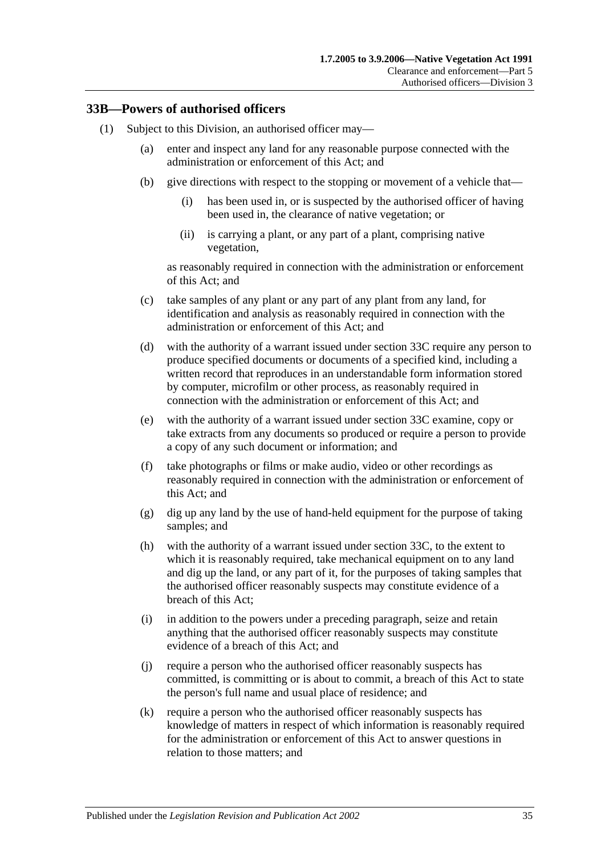#### <span id="page-34-2"></span><span id="page-34-0"></span>**33B—Powers of authorised officers**

- <span id="page-34-1"></span>(1) Subject to this Division, an authorised officer may—
	- (a) enter and inspect any land for any reasonable purpose connected with the administration or enforcement of this Act; and
	- (b) give directions with respect to the stopping or movement of a vehicle that—
		- (i) has been used in, or is suspected by the authorised officer of having been used in, the clearance of native vegetation; or
		- (ii) is carrying a plant, or any part of a plant, comprising native vegetation,

as reasonably required in connection with the administration or enforcement of this Act; and

- (c) take samples of any plant or any part of any plant from any land, for identification and analysis as reasonably required in connection with the administration or enforcement of this Act; and
- <span id="page-34-4"></span>(d) with the authority of a warrant issued under [section](#page-36-0) 33C require any person to produce specified documents or documents of a specified kind, including a written record that reproduces in an understandable form information stored by computer, microfilm or other process, as reasonably required in connection with the administration or enforcement of this Act; and
- <span id="page-34-5"></span>(e) with the authority of a warrant issued under [section](#page-36-0) 33C examine, copy or take extracts from any documents so produced or require a person to provide a copy of any such document or information; and
- (f) take photographs or films or make audio, video or other recordings as reasonably required in connection with the administration or enforcement of this Act; and
- (g) dig up any land by the use of hand-held equipment for the purpose of taking samples; and
- <span id="page-34-6"></span>(h) with the authority of a warrant issued under [section](#page-36-0) 33C, to the extent to which it is reasonably required, take mechanical equipment on to any land and dig up the land, or any part of it, for the purposes of taking samples that the authorised officer reasonably suspects may constitute evidence of a breach of this Act;
- (i) in addition to the powers under a preceding paragraph, seize and retain anything that the authorised officer reasonably suspects may constitute evidence of a breach of this Act; and
- (j) require a person who the authorised officer reasonably suspects has committed, is committing or is about to commit, a breach of this Act to state the person's full name and usual place of residence; and
- <span id="page-34-3"></span>(k) require a person who the authorised officer reasonably suspects has knowledge of matters in respect of which information is reasonably required for the administration or enforcement of this Act to answer questions in relation to those matters; and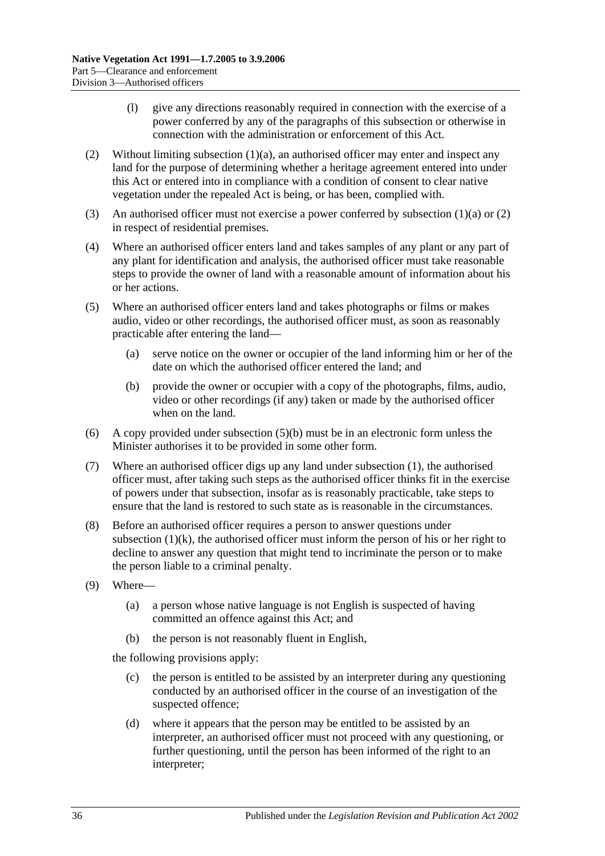- (l) give any directions reasonably required in connection with the exercise of a power conferred by any of the paragraphs of this subsection or otherwise in connection with the administration or enforcement of this Act.
- <span id="page-35-0"></span>(2) Without limiting [subsection](#page-34-1)  $(1)(a)$ , an authorised officer may enter and inspect any land for the purpose of determining whether a heritage agreement entered into under this Act or entered into in compliance with a condition of consent to clear native vegetation under the repealed Act is being, or has been, complied with.
- (3) An authorised officer must not exercise a power conferred by [subsection](#page-34-1) (1)(a) or [\(2\)](#page-35-0) in respect of residential premises.
- (4) Where an authorised officer enters land and takes samples of any plant or any part of any plant for identification and analysis, the authorised officer must take reasonable steps to provide the owner of land with a reasonable amount of information about his or her actions.
- (5) Where an authorised officer enters land and takes photographs or films or makes audio, video or other recordings, the authorised officer must, as soon as reasonably practicable after entering the land—
	- (a) serve notice on the owner or occupier of the land informing him or her of the date on which the authorised officer entered the land; and
	- (b) provide the owner or occupier with a copy of the photographs, films, audio, video or other recordings (if any) taken or made by the authorised officer when on the land.
- <span id="page-35-1"></span>(6) A copy provided under [subsection](#page-35-1) (5)(b) must be in an electronic form unless the Minister authorises it to be provided in some other form.
- (7) Where an authorised officer digs up any land under [subsection](#page-34-2) (1), the authorised officer must, after taking such steps as the authorised officer thinks fit in the exercise of powers under that subsection, insofar as is reasonably practicable, take steps to ensure that the land is restored to such state as is reasonable in the circumstances.
- (8) Before an authorised officer requires a person to answer questions under [subsection](#page-34-3)  $(1)(k)$ , the authorised officer must inform the person of his or her right to decline to answer any question that might tend to incriminate the person or to make the person liable to a criminal penalty.
- (9) Where—
	- (a) a person whose native language is not English is suspected of having committed an offence against this Act; and
	- (b) the person is not reasonably fluent in English,

the following provisions apply:

- (c) the person is entitled to be assisted by an interpreter during any questioning conducted by an authorised officer in the course of an investigation of the suspected offence;
- (d) where it appears that the person may be entitled to be assisted by an interpreter, an authorised officer must not proceed with any questioning, or further questioning, until the person has been informed of the right to an interpreter;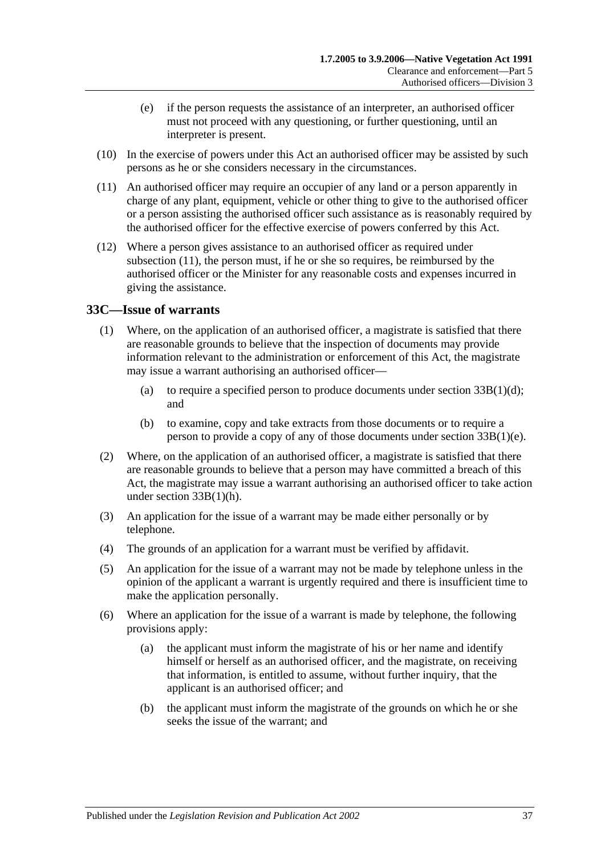- (e) if the person requests the assistance of an interpreter, an authorised officer must not proceed with any questioning, or further questioning, until an interpreter is present.
- (10) In the exercise of powers under this Act an authorised officer may be assisted by such persons as he or she considers necessary in the circumstances.
- <span id="page-36-1"></span>(11) An authorised officer may require an occupier of any land or a person apparently in charge of any plant, equipment, vehicle or other thing to give to the authorised officer or a person assisting the authorised officer such assistance as is reasonably required by the authorised officer for the effective exercise of powers conferred by this Act.
- (12) Where a person gives assistance to an authorised officer as required under [subsection](#page-36-1) (11), the person must, if he or she so requires, be reimbursed by the authorised officer or the Minister for any reasonable costs and expenses incurred in giving the assistance.

### <span id="page-36-0"></span>**33C—Issue of warrants**

- (1) Where, on the application of an authorised officer, a magistrate is satisfied that there are reasonable grounds to believe that the inspection of documents may provide information relevant to the administration or enforcement of this Act, the magistrate may issue a warrant authorising an authorised officer—
	- (a) to require a specified person to produce documents under section  $33B(1)(d)$ ; and
	- (b) to examine, copy and take extracts from those documents or to require a person to provide a copy of any of those documents under section [33B\(1\)\(e\).](#page-34-5)
- (2) Where, on the application of an authorised officer, a magistrate is satisfied that there are reasonable grounds to believe that a person may have committed a breach of this Act, the magistrate may issue a warrant authorising an authorised officer to take action under section [33B\(1\)\(h\).](#page-34-6)
- (3) An application for the issue of a warrant may be made either personally or by telephone.
- (4) The grounds of an application for a warrant must be verified by affidavit.
- (5) An application for the issue of a warrant may not be made by telephone unless in the opinion of the applicant a warrant is urgently required and there is insufficient time to make the application personally.
- (6) Where an application for the issue of a warrant is made by telephone, the following provisions apply:
	- (a) the applicant must inform the magistrate of his or her name and identify himself or herself as an authorised officer, and the magistrate, on receiving that information, is entitled to assume, without further inquiry, that the applicant is an authorised officer; and
	- (b) the applicant must inform the magistrate of the grounds on which he or she seeks the issue of the warrant; and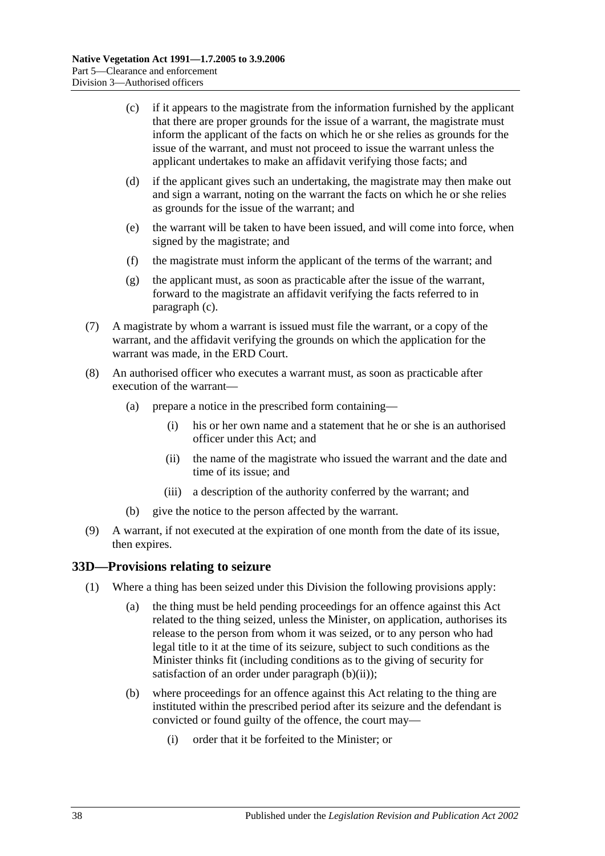- <span id="page-37-1"></span>(c) if it appears to the magistrate from the information furnished by the applicant that there are proper grounds for the issue of a warrant, the magistrate must inform the applicant of the facts on which he or she relies as grounds for the issue of the warrant, and must not proceed to issue the warrant unless the applicant undertakes to make an affidavit verifying those facts; and
- (d) if the applicant gives such an undertaking, the magistrate may then make out and sign a warrant, noting on the warrant the facts on which he or she relies as grounds for the issue of the warrant; and
- (e) the warrant will be taken to have been issued, and will come into force, when signed by the magistrate; and
- (f) the magistrate must inform the applicant of the terms of the warrant; and
- (g) the applicant must, as soon as practicable after the issue of the warrant, forward to the magistrate an affidavit verifying the facts referred to in [paragraph](#page-37-1) (c).
- (7) A magistrate by whom a warrant is issued must file the warrant, or a copy of the warrant, and the affidavit verifying the grounds on which the application for the warrant was made, in the ERD Court.
- (8) An authorised officer who executes a warrant must, as soon as practicable after execution of the warrant—
	- (a) prepare a notice in the prescribed form containing—
		- (i) his or her own name and a statement that he or she is an authorised officer under this Act; and
		- (ii) the name of the magistrate who issued the warrant and the date and time of its issue; and
		- (iii) a description of the authority conferred by the warrant; and
	- (b) give the notice to the person affected by the warrant.
- (9) A warrant, if not executed at the expiration of one month from the date of its issue, then expires.

#### <span id="page-37-4"></span><span id="page-37-0"></span>**33D—Provisions relating to seizure**

- <span id="page-37-3"></span><span id="page-37-2"></span>(1) Where a thing has been seized under this Division the following provisions apply:
	- (a) the thing must be held pending proceedings for an offence against this Act related to the thing seized, unless the Minister, on application, authorises its release to the person from whom it was seized, or to any person who had legal title to it at the time of its seizure, subject to such conditions as the Minister thinks fit (including conditions as to the giving of security for satisfaction of an order under [paragraph](#page-38-1) (b)(ii));
	- (b) where proceedings for an offence against this Act relating to the thing are instituted within the prescribed period after its seizure and the defendant is convicted or found guilty of the offence, the court may—
		- (i) order that it be forfeited to the Minister; or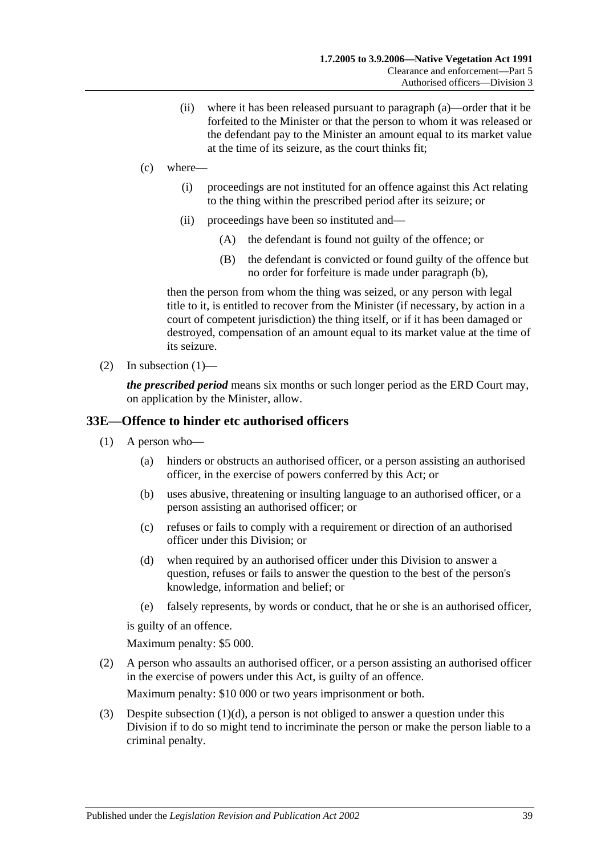- (ii) where it has been released pursuant to [paragraph](#page-37-2) (a)—order that it be forfeited to the Minister or that the person to whom it was released or the defendant pay to the Minister an amount equal to its market value at the time of its seizure, as the court thinks fit;
- <span id="page-38-1"></span>(c) where—
	- (i) proceedings are not instituted for an offence against this Act relating to the thing within the prescribed period after its seizure; or
	- (ii) proceedings have been so instituted and—
		- (A) the defendant is found not guilty of the offence; or
		- (B) the defendant is convicted or found guilty of the offence but no order for forfeiture is made under [paragraph](#page-37-3) (b),

then the person from whom the thing was seized, or any person with legal title to it, is entitled to recover from the Minister (if necessary, by action in a court of competent jurisdiction) the thing itself, or if it has been damaged or destroyed, compensation of an amount equal to its market value at the time of its seizure.

(2) In [subsection](#page-37-4)  $(1)$ —

*the prescribed period* means six months or such longer period as the ERD Court may, on application by the Minister, allow.

#### <span id="page-38-0"></span>**33E—Offence to hinder etc authorised officers**

- (1) A person who—
	- (a) hinders or obstructs an authorised officer, or a person assisting an authorised officer, in the exercise of powers conferred by this Act; or
	- (b) uses abusive, threatening or insulting language to an authorised officer, or a person assisting an authorised officer; or
	- (c) refuses or fails to comply with a requirement or direction of an authorised officer under this Division; or
	- (d) when required by an authorised officer under this Division to answer a question, refuses or fails to answer the question to the best of the person's knowledge, information and belief; or
	- (e) falsely represents, by words or conduct, that he or she is an authorised officer,

<span id="page-38-2"></span>is guilty of an offence.

Maximum penalty: \$5 000.

(2) A person who assaults an authorised officer, or a person assisting an authorised officer in the exercise of powers under this Act, is guilty of an offence.

Maximum penalty: \$10 000 or two years imprisonment or both.

(3) Despite [subsection](#page-38-2) (1)(d), a person is not obliged to answer a question under this Division if to do so might tend to incriminate the person or make the person liable to a criminal penalty.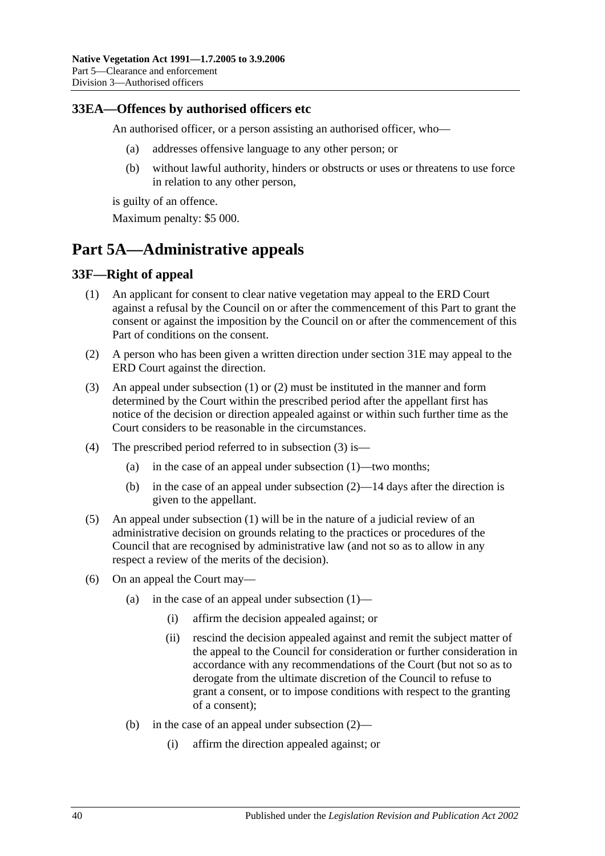#### <span id="page-39-0"></span>**33EA—Offences by authorised officers etc**

An authorised officer, or a person assisting an authorised officer, who—

- (a) addresses offensive language to any other person; or
- (b) without lawful authority, hinders or obstructs or uses or threatens to use force in relation to any other person,

is guilty of an offence.

Maximum penalty: \$5 000.

## <span id="page-39-1"></span>**Part 5A—Administrative appeals**

### <span id="page-39-3"></span><span id="page-39-2"></span>**33F—Right of appeal**

- (1) An applicant for consent to clear native vegetation may appeal to the ERD Court against a refusal by the Council on or after the commencement of this Part to grant the consent or against the imposition by the Council on or after the commencement of this Part of conditions on the consent.
- <span id="page-39-4"></span>(2) A person who has been given a written direction under [section](#page-31-0) 31E may appeal to the ERD Court against the direction.
- <span id="page-39-5"></span>(3) An appeal under [subsection](#page-39-3) (1) or [\(2\)](#page-39-4) must be instituted in the manner and form determined by the Court within the prescribed period after the appellant first has notice of the decision or direction appealed against or within such further time as the Court considers to be reasonable in the circumstances.
- (4) The prescribed period referred to in [subsection](#page-39-5) (3) is—
	- (a) in the case of an appeal under [subsection](#page-39-3) (1)—two months;
	- (b) in the case of an appeal under [subsection](#page-39-4) (2)—14 days after the direction is given to the appellant.
- (5) An appeal under [subsection](#page-39-3) (1) will be in the nature of a judicial review of an administrative decision on grounds relating to the practices or procedures of the Council that are recognised by administrative law (and not so as to allow in any respect a review of the merits of the decision).
- (6) On an appeal the Court may
	- (a) in the case of an appeal under [subsection](#page-39-3)  $(1)$ 
		- (i) affirm the decision appealed against; or
		- (ii) rescind the decision appealed against and remit the subject matter of the appeal to the Council for consideration or further consideration in accordance with any recommendations of the Court (but not so as to derogate from the ultimate discretion of the Council to refuse to grant a consent, or to impose conditions with respect to the granting of a consent);
	- (b) in the case of an appeal under [subsection](#page-39-4) (2)—
		- (i) affirm the direction appealed against; or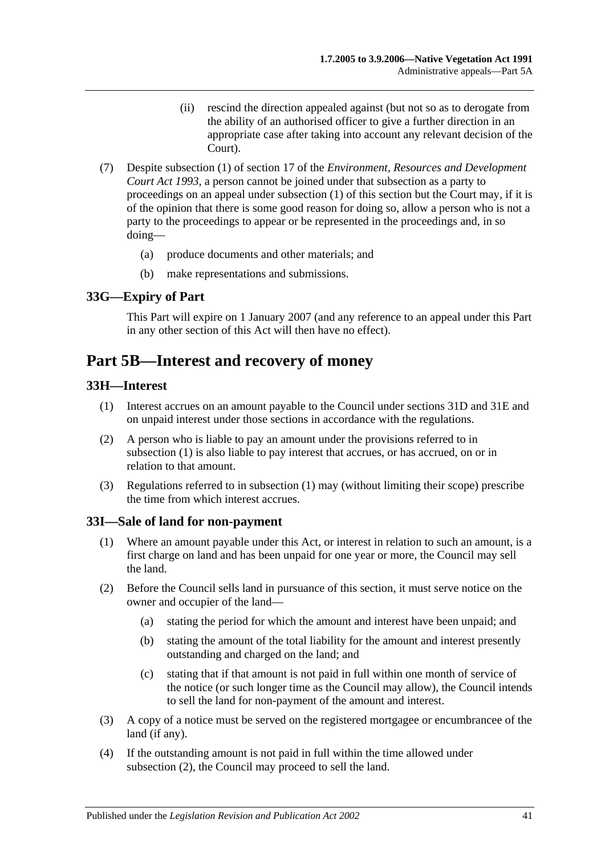- (ii) rescind the direction appealed against (but not so as to derogate from the ability of an authorised officer to give a further direction in an appropriate case after taking into account any relevant decision of the Court).
- (7) Despite subsection (1) of section 17 of the *[Environment, Resources and Development](http://www.legislation.sa.gov.au/index.aspx?action=legref&type=act&legtitle=Environment%20Resources%20and%20Development%20Court%20Act%201993)  [Court Act](http://www.legislation.sa.gov.au/index.aspx?action=legref&type=act&legtitle=Environment%20Resources%20and%20Development%20Court%20Act%201993) 1993*, a person cannot be joined under that subsection as a party to proceedings on an appeal under [subsection](#page-39-3) (1) of this section but the Court may, if it is of the opinion that there is some good reason for doing so, allow a person who is not a party to the proceedings to appear or be represented in the proceedings and, in so doing—
	- (a) produce documents and other materials; and
	- (b) make representations and submissions.

#### <span id="page-40-0"></span>**33G—Expiry of Part**

This Part will expire on 1 January 2007 (and any reference to an appeal under this Part in any other section of this Act will then have no effect).

## <span id="page-40-1"></span>**Part 5B—Interest and recovery of money**

#### <span id="page-40-4"></span><span id="page-40-2"></span>**33H—Interest**

- (1) Interest accrues on an amount payable to the Council under [sections](#page-30-1) 31D and [31E](#page-31-0) and on unpaid interest under those sections in accordance with the regulations.
- (2) A person who is liable to pay an amount under the provisions referred to in [subsection](#page-40-4) (1) is also liable to pay interest that accrues, or has accrued, on or in relation to that amount.
- (3) Regulations referred to in [subsection](#page-40-4) (1) may (without limiting their scope) prescribe the time from which interest accrues.

#### <span id="page-40-3"></span>**33I—Sale of land for non-payment**

- (1) Where an amount payable under this Act, or interest in relation to such an amount, is a first charge on land and has been unpaid for one year or more, the Council may sell the land.
- <span id="page-40-5"></span>(2) Before the Council sells land in pursuance of this section, it must serve notice on the owner and occupier of the land—
	- (a) stating the period for which the amount and interest have been unpaid; and
	- (b) stating the amount of the total liability for the amount and interest presently outstanding and charged on the land; and
	- (c) stating that if that amount is not paid in full within one month of service of the notice (or such longer time as the Council may allow), the Council intends to sell the land for non-payment of the amount and interest.
- (3) A copy of a notice must be served on the registered mortgagee or encumbrancee of the land (if any).
- (4) If the outstanding amount is not paid in full within the time allowed under [subsection](#page-40-5) (2), the Council may proceed to sell the land.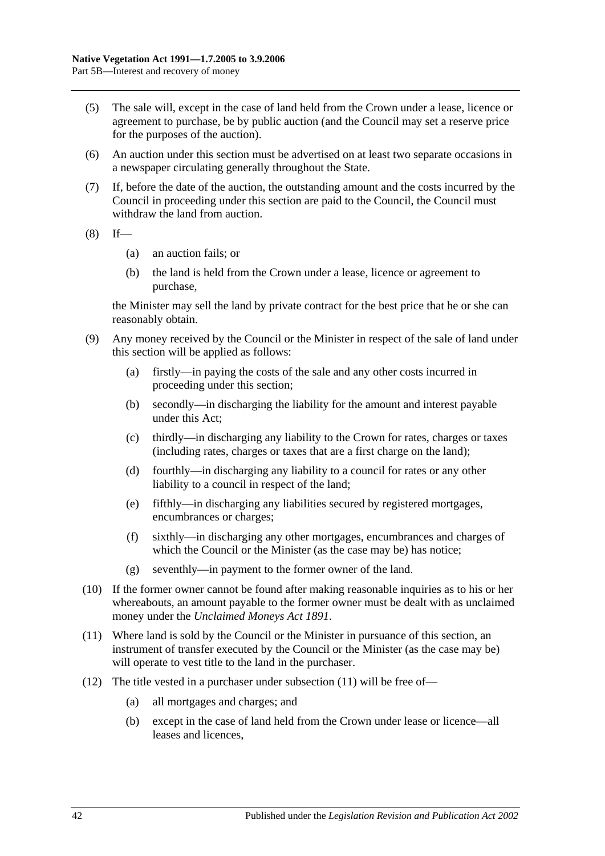- (5) The sale will, except in the case of land held from the Crown under a lease, licence or agreement to purchase, be by public auction (and the Council may set a reserve price for the purposes of the auction).
- (6) An auction under this section must be advertised on at least two separate occasions in a newspaper circulating generally throughout the State.
- (7) If, before the date of the auction, the outstanding amount and the costs incurred by the Council in proceeding under this section are paid to the Council, the Council must withdraw the land from auction.
- $(8)$  If—
	- (a) an auction fails; or
	- (b) the land is held from the Crown under a lease, licence or agreement to purchase,

the Minister may sell the land by private contract for the best price that he or she can reasonably obtain.

- (9) Any money received by the Council or the Minister in respect of the sale of land under this section will be applied as follows:
	- (a) firstly—in paying the costs of the sale and any other costs incurred in proceeding under this section;
	- (b) secondly—in discharging the liability for the amount and interest payable under this Act;
	- (c) thirdly—in discharging any liability to the Crown for rates, charges or taxes (including rates, charges or taxes that are a first charge on the land);
	- (d) fourthly—in discharging any liability to a council for rates or any other liability to a council in respect of the land;
	- (e) fifthly—in discharging any liabilities secured by registered mortgages, encumbrances or charges;
	- (f) sixthly—in discharging any other mortgages, encumbrances and charges of which the Council or the Minister (as the case may be) has notice;
	- (g) seventhly—in payment to the former owner of the land.
- (10) If the former owner cannot be found after making reasonable inquiries as to his or her whereabouts, an amount payable to the former owner must be dealt with as unclaimed money under the *[Unclaimed Moneys Act](http://www.legislation.sa.gov.au/index.aspx?action=legref&type=act&legtitle=Unclaimed%20Moneys%20Act%201891) 1891*.
- <span id="page-41-0"></span>(11) Where land is sold by the Council or the Minister in pursuance of this section, an instrument of transfer executed by the Council or the Minister (as the case may be) will operate to vest title to the land in the purchaser.
- (12) The title vested in a purchaser under [subsection](#page-41-0) (11) will be free of—
	- (a) all mortgages and charges; and
	- (b) except in the case of land held from the Crown under lease or licence—all leases and licences,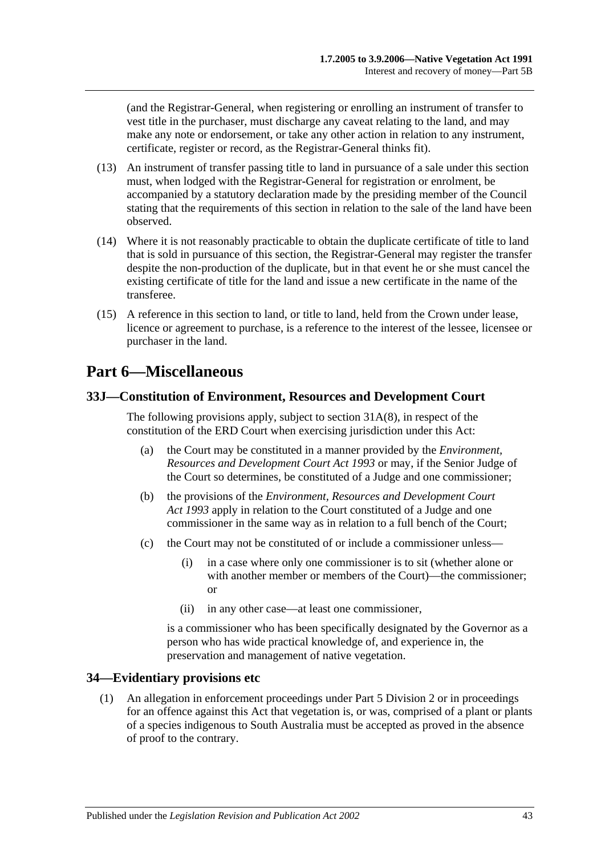(and the Registrar-General, when registering or enrolling an instrument of transfer to vest title in the purchaser, must discharge any caveat relating to the land, and may make any note or endorsement, or take any other action in relation to any instrument, certificate, register or record, as the Registrar-General thinks fit).

- (13) An instrument of transfer passing title to land in pursuance of a sale under this section must, when lodged with the Registrar-General for registration or enrolment, be accompanied by a statutory declaration made by the presiding member of the Council stating that the requirements of this section in relation to the sale of the land have been observed.
- (14) Where it is not reasonably practicable to obtain the duplicate certificate of title to land that is sold in pursuance of this section, the Registrar-General may register the transfer despite the non-production of the duplicate, but in that event he or she must cancel the existing certificate of title for the land and issue a new certificate in the name of the transferee.
- (15) A reference in this section to land, or title to land, held from the Crown under lease, licence or agreement to purchase, is a reference to the interest of the lessee, licensee or purchaser in the land.

## <span id="page-42-0"></span>**Part 6—Miscellaneous**

### <span id="page-42-1"></span>**33J—Constitution of Environment, Resources and Development Court**

The following provisions apply, subject to section [31A\(8\),](#page-28-4) in respect of the constitution of the ERD Court when exercising jurisdiction under this Act:

- (a) the Court may be constituted in a manner provided by the *[Environment,](http://www.legislation.sa.gov.au/index.aspx?action=legref&type=act&legtitle=Environment%20Resources%20and%20Development%20Court%20Act%201993)  [Resources and Development Court Act](http://www.legislation.sa.gov.au/index.aspx?action=legref&type=act&legtitle=Environment%20Resources%20and%20Development%20Court%20Act%201993) 1993* or may, if the Senior Judge of the Court so determines, be constituted of a Judge and one commissioner;
- (b) the provisions of the *[Environment, Resources and Development Court](http://www.legislation.sa.gov.au/index.aspx?action=legref&type=act&legtitle=Environment%20Resources%20and%20Development%20Court%20Act%201993)  Act [1993](http://www.legislation.sa.gov.au/index.aspx?action=legref&type=act&legtitle=Environment%20Resources%20and%20Development%20Court%20Act%201993)* apply in relation to the Court constituted of a Judge and one commissioner in the same way as in relation to a full bench of the Court;
- (c) the Court may not be constituted of or include a commissioner unless—
	- (i) in a case where only one commissioner is to sit (whether alone or with another member or members of the Court)—the commissioner; or
	- (ii) in any other case—at least one commissioner,

is a commissioner who has been specifically designated by the Governor as a person who has wide practical knowledge of, and experience in, the preservation and management of native vegetation.

#### <span id="page-42-2"></span>**34—Evidentiary provisions etc**

(1) An allegation in enforcement proceedings under [Part 5 Division 2](#page-26-1) or in proceedings for an offence against this Act that vegetation is, or was, comprised of a plant or plants of a species indigenous to South Australia must be accepted as proved in the absence of proof to the contrary.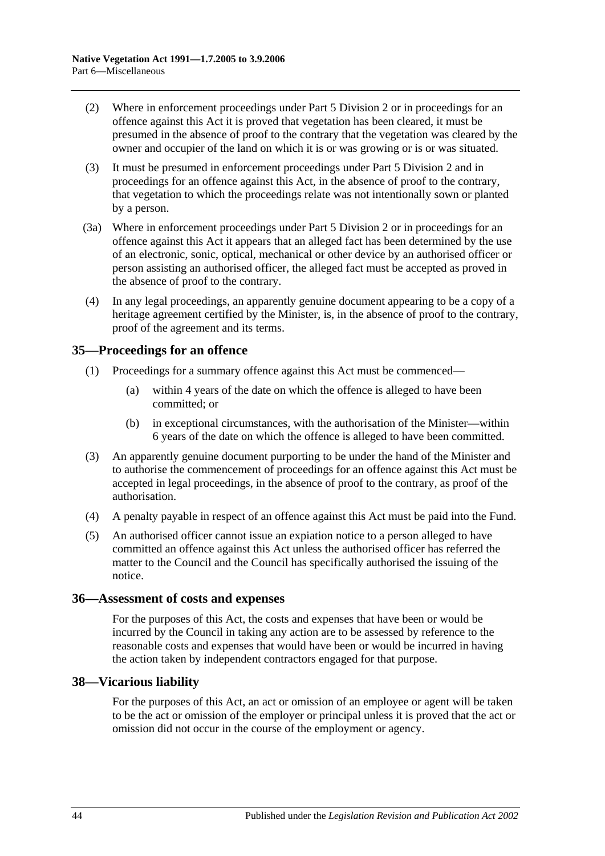- (2) Where in enforcement proceedings under [Part 5 Division 2](#page-26-1) or in proceedings for an offence against this Act it is proved that vegetation has been cleared, it must be presumed in the absence of proof to the contrary that the vegetation was cleared by the owner and occupier of the land on which it is or was growing or is or was situated.
- (3) It must be presumed in enforcement proceedings under [Part 5 Division 2](#page-26-1) and in proceedings for an offence against this Act, in the absence of proof to the contrary, that vegetation to which the proceedings relate was not intentionally sown or planted by a person.
- (3a) Where in enforcement proceedings under [Part 5 Division 2](#page-26-1) or in proceedings for an offence against this Act it appears that an alleged fact has been determined by the use of an electronic, sonic, optical, mechanical or other device by an authorised officer or person assisting an authorised officer, the alleged fact must be accepted as proved in the absence of proof to the contrary.
- (4) In any legal proceedings, an apparently genuine document appearing to be a copy of a heritage agreement certified by the Minister, is, in the absence of proof to the contrary, proof of the agreement and its terms.

#### <span id="page-43-0"></span>**35—Proceedings for an offence**

- (1) Proceedings for a summary offence against this Act must be commenced—
	- (a) within 4 years of the date on which the offence is alleged to have been committed; or
	- (b) in exceptional circumstances, with the authorisation of the Minister—within 6 years of the date on which the offence is alleged to have been committed.
- (3) An apparently genuine document purporting to be under the hand of the Minister and to authorise the commencement of proceedings for an offence against this Act must be accepted in legal proceedings, in the absence of proof to the contrary, as proof of the authorisation.
- (4) A penalty payable in respect of an offence against this Act must be paid into the Fund.
- (5) An authorised officer cannot issue an expiation notice to a person alleged to have committed an offence against this Act unless the authorised officer has referred the matter to the Council and the Council has specifically authorised the issuing of the notice.

#### <span id="page-43-1"></span>**36—Assessment of costs and expenses**

For the purposes of this Act, the costs and expenses that have been or would be incurred by the Council in taking any action are to be assessed by reference to the reasonable costs and expenses that would have been or would be incurred in having the action taken by independent contractors engaged for that purpose.

#### <span id="page-43-2"></span>**38—Vicarious liability**

For the purposes of this Act, an act or omission of an employee or agent will be taken to be the act or omission of the employer or principal unless it is proved that the act or omission did not occur in the course of the employment or agency.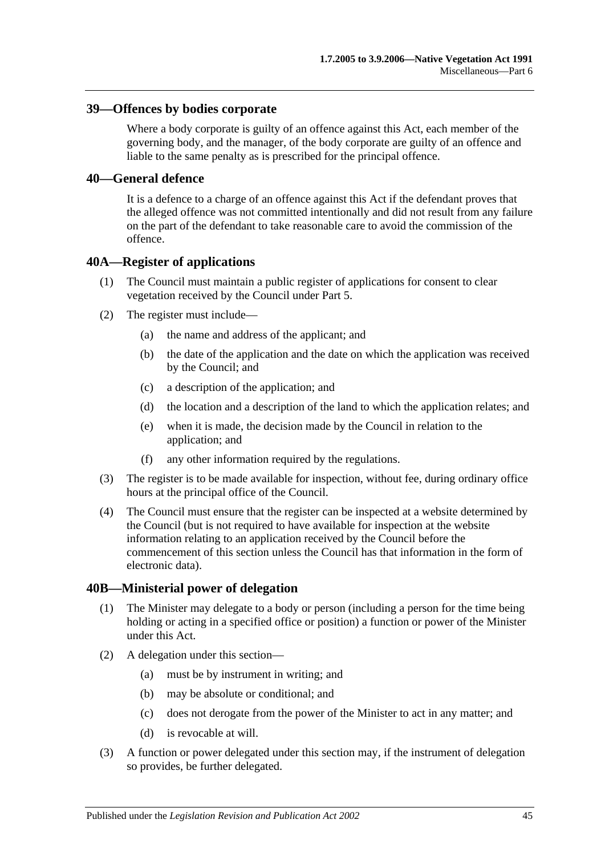#### <span id="page-44-0"></span>**39—Offences by bodies corporate**

Where a body corporate is guilty of an offence against this Act, each member of the governing body, and the manager, of the body corporate are guilty of an offence and liable to the same penalty as is prescribed for the principal offence.

#### <span id="page-44-1"></span>**40—General defence**

It is a defence to a charge of an offence against this Act if the defendant proves that the alleged offence was not committed intentionally and did not result from any failure on the part of the defendant to take reasonable care to avoid the commission of the offence.

#### <span id="page-44-2"></span>**40A—Register of applications**

- (1) The Council must maintain a public register of applications for consent to clear vegetation received by the Council under [Part 5.](#page-18-0)
- (2) The register must include—
	- (a) the name and address of the applicant; and
	- (b) the date of the application and the date on which the application was received by the Council; and
	- (c) a description of the application; and
	- (d) the location and a description of the land to which the application relates; and
	- (e) when it is made, the decision made by the Council in relation to the application; and
	- (f) any other information required by the regulations.
- (3) The register is to be made available for inspection, without fee, during ordinary office hours at the principal office of the Council.
- (4) The Council must ensure that the register can be inspected at a website determined by the Council (but is not required to have available for inspection at the website information relating to an application received by the Council before the commencement of this section unless the Council has that information in the form of electronic data).

#### <span id="page-44-3"></span>**40B—Ministerial power of delegation**

- (1) The Minister may delegate to a body or person (including a person for the time being holding or acting in a specified office or position) a function or power of the Minister under this Act.
- (2) A delegation under this section—
	- (a) must be by instrument in writing; and
	- (b) may be absolute or conditional; and
	- (c) does not derogate from the power of the Minister to act in any matter; and
	- (d) is revocable at will.
- (3) A function or power delegated under this section may, if the instrument of delegation so provides, be further delegated.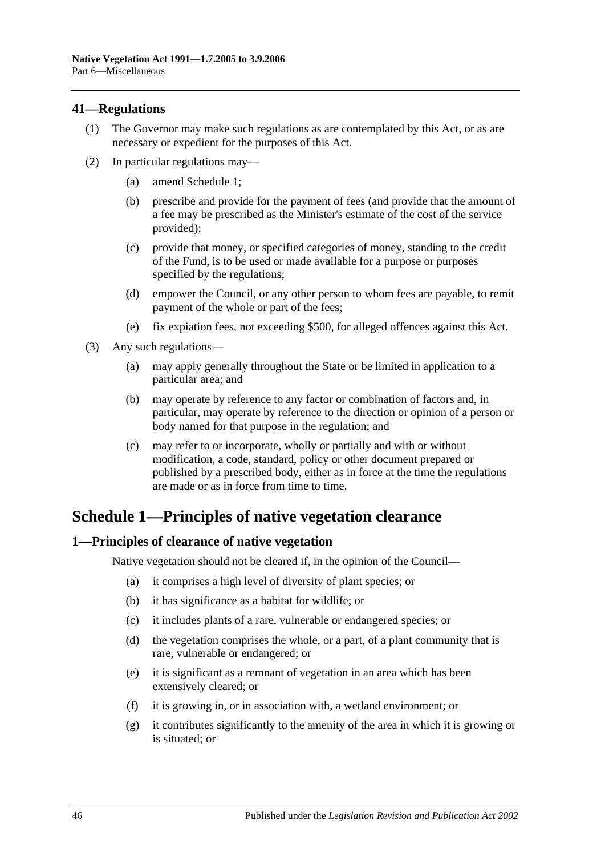#### <span id="page-45-0"></span>**41—Regulations**

- (1) The Governor may make such regulations as are contemplated by this Act, or as are necessary or expedient for the purposes of this Act.
- (2) In particular regulations may—
	- (a) amend [Schedule 1;](#page-45-1)
	- (b) prescribe and provide for the payment of fees (and provide that the amount of a fee may be prescribed as the Minister's estimate of the cost of the service provided);
	- (c) provide that money, or specified categories of money, standing to the credit of the Fund, is to be used or made available for a purpose or purposes specified by the regulations;
	- (d) empower the Council, or any other person to whom fees are payable, to remit payment of the whole or part of the fees;
	- (e) fix expiation fees, not exceeding \$500, for alleged offences against this Act.
- (3) Any such regulations—
	- (a) may apply generally throughout the State or be limited in application to a particular area; and
	- (b) may operate by reference to any factor or combination of factors and, in particular, may operate by reference to the direction or opinion of a person or body named for that purpose in the regulation; and
	- (c) may refer to or incorporate, wholly or partially and with or without modification, a code, standard, policy or other document prepared or published by a prescribed body, either as in force at the time the regulations are made or as in force from time to time.

## <span id="page-45-1"></span>**Schedule 1—Principles of native vegetation clearance**

#### <span id="page-45-2"></span>**1—Principles of clearance of native vegetation**

Native vegetation should not be cleared if, in the opinion of the Council—

- (a) it comprises a high level of diversity of plant species; or
- (b) it has significance as a habitat for wildlife; or
- (c) it includes plants of a rare, vulnerable or endangered species; or
- (d) the vegetation comprises the whole, or a part, of a plant community that is rare, vulnerable or endangered; or
- (e) it is significant as a remnant of vegetation in an area which has been extensively cleared; or
- (f) it is growing in, or in association with, a wetland environment; or
- (g) it contributes significantly to the amenity of the area in which it is growing or is situated; or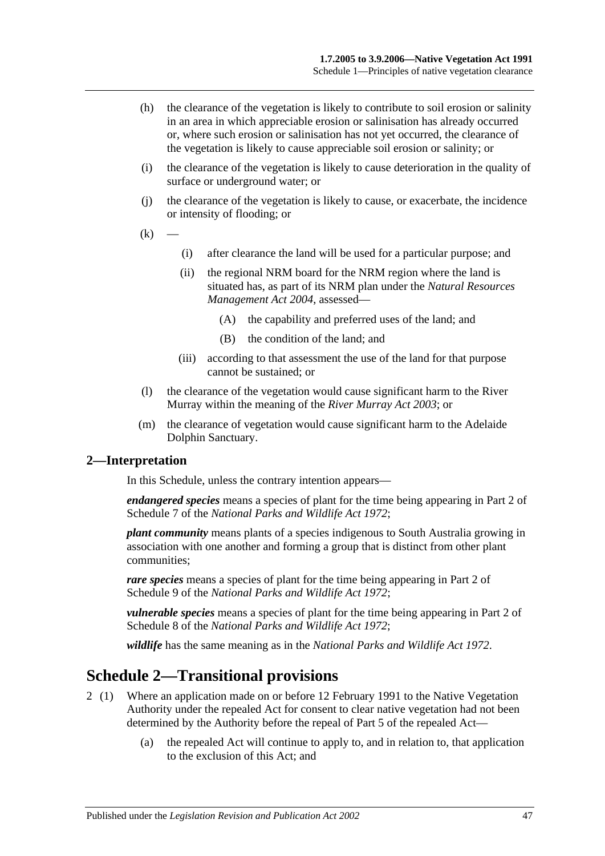- (h) the clearance of the vegetation is likely to contribute to soil erosion or salinity in an area in which appreciable erosion or salinisation has already occurred or, where such erosion or salinisation has not yet occurred, the clearance of the vegetation is likely to cause appreciable soil erosion or salinity; or
- (i) the clearance of the vegetation is likely to cause deterioration in the quality of surface or underground water; or
- (j) the clearance of the vegetation is likely to cause, or exacerbate, the incidence or intensity of flooding; or
- $(k)$
- (i) after clearance the land will be used for a particular purpose; and
- (ii) the regional NRM board for the NRM region where the land is situated has, as part of its NRM plan under the *[Natural Resources](http://www.legislation.sa.gov.au/index.aspx?action=legref&type=act&legtitle=Natural%20Resources%20Management%20Act%202004)  [Management Act](http://www.legislation.sa.gov.au/index.aspx?action=legref&type=act&legtitle=Natural%20Resources%20Management%20Act%202004) 2004*, assessed—
	- (A) the capability and preferred uses of the land; and
	- (B) the condition of the land; and
- (iii) according to that assessment the use of the land for that purpose cannot be sustained; or
- (l) the clearance of the vegetation would cause significant harm to the River Murray within the meaning of the *[River Murray Act](http://www.legislation.sa.gov.au/index.aspx?action=legref&type=act&legtitle=River%20Murray%20Act%202003) 2003*; or
- (m) the clearance of vegetation would cause significant harm to the Adelaide Dolphin Sanctuary.

#### <span id="page-46-0"></span>**2—Interpretation**

In this Schedule, unless the contrary intention appears—

*endangered species* means a species of plant for the time being appearing in Part 2 of Schedule 7 of the *[National Parks and Wildlife Act](http://www.legislation.sa.gov.au/index.aspx?action=legref&type=act&legtitle=National%20Parks%20and%20Wildlife%20Act%201972) 1972*;

*plant community* means plants of a species indigenous to South Australia growing in association with one another and forming a group that is distinct from other plant communities;

*rare species* means a species of plant for the time being appearing in Part 2 of Schedule 9 of the *[National Parks and Wildlife Act](http://www.legislation.sa.gov.au/index.aspx?action=legref&type=act&legtitle=National%20Parks%20and%20Wildlife%20Act%201972) 1972*;

*vulnerable species* means a species of plant for the time being appearing in Part 2 of Schedule 8 of the *[National Parks and Wildlife Act](http://www.legislation.sa.gov.au/index.aspx?action=legref&type=act&legtitle=National%20Parks%20and%20Wildlife%20Act%201972) 1972*;

*wildlife* has the same meaning as in the *[National Parks and Wildlife Act](http://www.legislation.sa.gov.au/index.aspx?action=legref&type=act&legtitle=National%20Parks%20and%20Wildlife%20Act%201972) 1972*.

## <span id="page-46-1"></span>**Schedule 2—Transitional provisions**

- 2 (1) Where an application made on or before 12 February 1991 to the Native Vegetation Authority under the repealed Act for consent to clear native vegetation had not been determined by the Authority before the repeal of Part 5 of the repealed Act—
	- (a) the repealed Act will continue to apply to, and in relation to, that application to the exclusion of this Act; and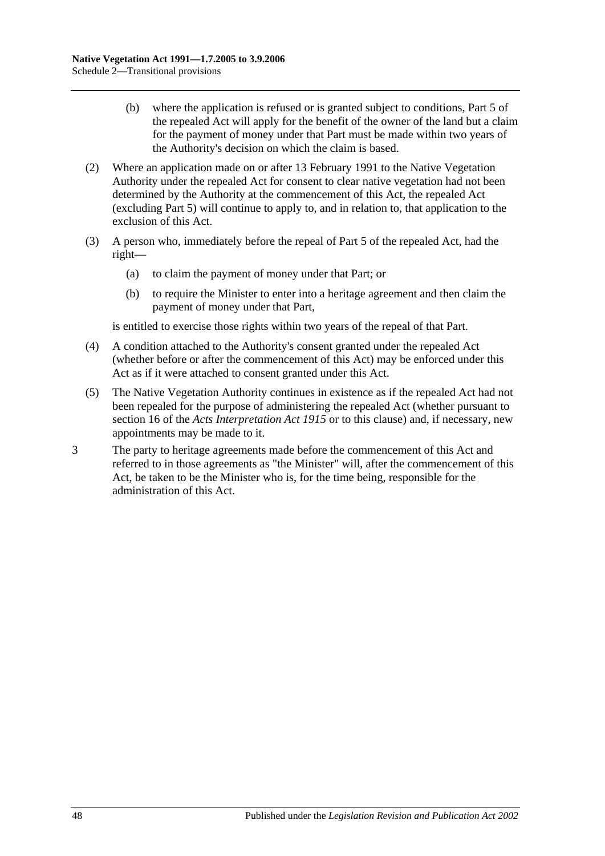- (b) where the application is refused or is granted subject to conditions, Part 5 of the repealed Act will apply for the benefit of the owner of the land but a claim for the payment of money under that Part must be made within two years of the Authority's decision on which the claim is based.
- (2) Where an application made on or after 13 February 1991 to the Native Vegetation Authority under the repealed Act for consent to clear native vegetation had not been determined by the Authority at the commencement of this Act, the repealed Act (excluding Part 5) will continue to apply to, and in relation to, that application to the exclusion of this Act.
- (3) A person who, immediately before the repeal of Part 5 of the repealed Act, had the right—
	- (a) to claim the payment of money under that Part; or
	- (b) to require the Minister to enter into a heritage agreement and then claim the payment of money under that Part,

is entitled to exercise those rights within two years of the repeal of that Part.

- (4) A condition attached to the Authority's consent granted under the repealed Act (whether before or after the commencement of this Act) may be enforced under this Act as if it were attached to consent granted under this Act.
- (5) The Native Vegetation Authority continues in existence as if the repealed Act had not been repealed for the purpose of administering the repealed Act (whether pursuant to section 16 of the *[Acts Interpretation Act](http://www.legislation.sa.gov.au/index.aspx?action=legref&type=act&legtitle=Acts%20Interpretation%20Act%201915) 1915* or to this clause) and, if necessary, new appointments may be made to it.
- 3 The party to heritage agreements made before the commencement of this Act and referred to in those agreements as "the Minister" will, after the commencement of this Act, be taken to be the Minister who is, for the time being, responsible for the administration of this Act.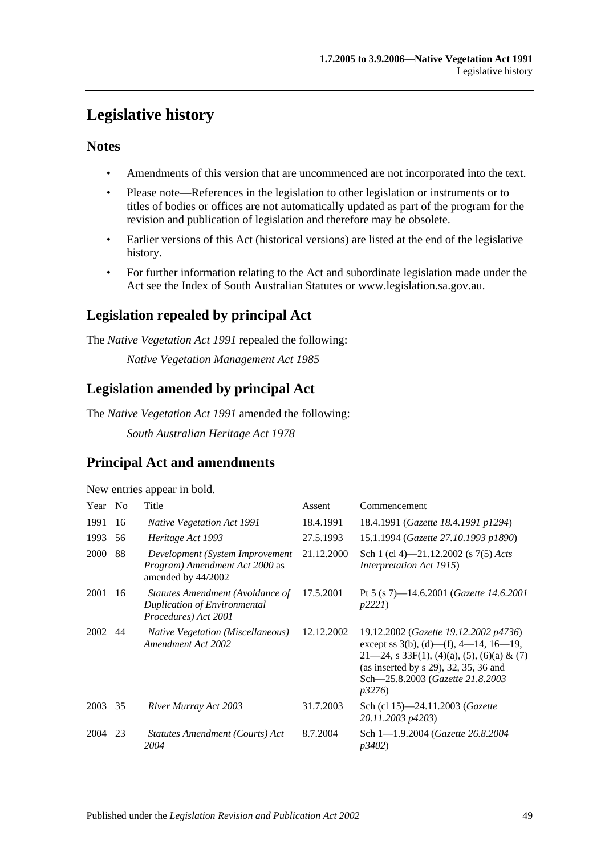## <span id="page-48-0"></span>**Legislative history**

### **Notes**

- Amendments of this version that are uncommenced are not incorporated into the text.
- Please note—References in the legislation to other legislation or instruments or to titles of bodies or offices are not automatically updated as part of the program for the revision and publication of legislation and therefore may be obsolete.
- Earlier versions of this Act (historical versions) are listed at the end of the legislative history.
- For further information relating to the Act and subordinate legislation made under the Act see the Index of South Australian Statutes or www.legislation.sa.gov.au.

## **Legislation repealed by principal Act**

The *Native Vegetation Act 1991* repealed the following:

*Native Vegetation Management Act 1985*

## **Legislation amended by principal Act**

The *Native Vegetation Act 1991* amended the following:

*South Australian Heritage Act 1978*

## **Principal Act and amendments**

New entries appear in bold.

| Year | N <sub>o</sub> | Title                                                                                    | Assent     | Commencement                                                                                                                                                                                                                         |
|------|----------------|------------------------------------------------------------------------------------------|------------|--------------------------------------------------------------------------------------------------------------------------------------------------------------------------------------------------------------------------------------|
| 1991 | 16             | <b>Native Vegetation Act 1991</b>                                                        | 18.4.1991  | 18.4.1991 (Gazette 18.4.1991 p1294)                                                                                                                                                                                                  |
| 1993 | 56             | Heritage Act 1993                                                                        | 27.5.1993  | 15.1.1994 (Gazette 27.10.1993 p1890)                                                                                                                                                                                                 |
| 2000 | 88             | Development (System Improvement<br>Program) Amendment Act 2000 as<br>amended by 44/2002  | 21.12.2000 | Sch 1 (cl 4)—21.12.2002 (s $7(5)$ Acts<br><i>Interpretation Act 1915</i> )                                                                                                                                                           |
| 2001 | 16             | Statutes Amendment (Avoidance of<br>Duplication of Environmental<br>Procedures) Act 2001 | 17.5.2001  | Pt 5 (s 7)—14.6.2001 ( <i>Gazette 14.6.2001</i><br><i>p</i> 2221)                                                                                                                                                                    |
| 2002 | 44             | <b>Native Vegetation (Miscellaneous)</b><br>Amendment Act 2002                           | 12.12.2002 | 19.12.2002 (Gazette 19.12.2002 p4736)<br>except ss $3(b)$ , (d)—(f), 4—14, 16—19,<br>$21-24$ , s 33F(1), (4)(a), (5), (6)(a) & (7)<br>(as inserted by $s$ 29), 32, 35, 36 and<br>Sch-25.8.2003 (Gazette 21.8.2003)<br><i>p</i> 3276) |
| 2003 | 35             | River Murray Act 2003                                                                    | 31.7.2003  | Sch (cl 15)-24.11.2003 (Gazette<br>20.11.2003 p4203)                                                                                                                                                                                 |
| 2004 | 23             | Statutes Amendment (Courts) Act<br>2004                                                  | 8.7.2004   | Sch 1-1.9.2004 (Gazette 26.8.2004)<br><i>p3402</i> )                                                                                                                                                                                 |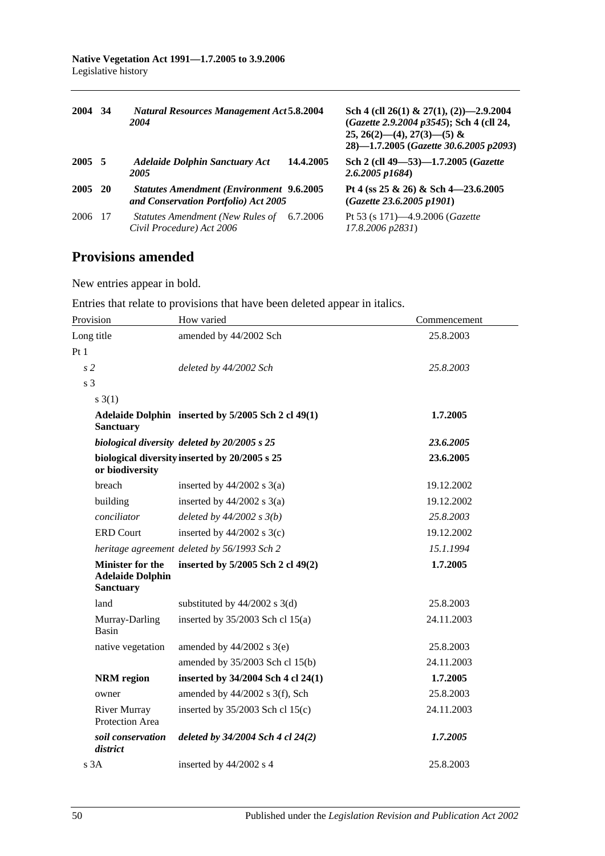| 2004 34 |     | <b>Natural Resources Management Act 5.8.2004</b><br>2004                                |           | Sch 4 (cll 26(1) & 27(1), (2) –2.9.2004<br>(Gazette 2.9.2004 p3545); Sch 4 (cll 24,<br>$25, 26(2)$ - (4), $27(3)$ - (5) &<br>28)-1.7.2005 (Gazette 30.6.2005 p2093) |
|---------|-----|-----------------------------------------------------------------------------------------|-----------|---------------------------------------------------------------------------------------------------------------------------------------------------------------------|
| 2005 5  |     | Adelaide Dolphin Sanctuary Act<br>2005                                                  | 14.4.2005 | Sch 2 (cll 49–53)–1.7.2005 (Gazette<br>$2.6.2005$ p1684)                                                                                                            |
| 2005 20 |     | <b>Statutes Amendment (Environment 9.6.2005</b><br>and Conservation Portfolio) Act 2005 |           | Pt 4 (ss $25 \& 26$ ) & Sch 4-23.6.2005<br>(Gazette 23.6.2005 p1901)                                                                                                |
| 2006    | -17 | Statutes Amendment (New Rules of<br>Civil Procedure) Act 2006                           | 6.7.2006  | Pt 53 (s 171)—4.9.2006 ( <i>Gazette</i><br>17.8.2006 p2831)                                                                                                         |

## **Provisions amended**

New entries appear in bold.

Entries that relate to provisions that have been deleted appear in italics.

| Provision                                                              | How varied                                         | Commencement |  |
|------------------------------------------------------------------------|----------------------------------------------------|--------------|--|
| Long title                                                             | amended by 44/2002 Sch                             | 25.8.2003    |  |
| Pt1                                                                    |                                                    |              |  |
| s <sub>2</sub>                                                         | deleted by 44/2002 Sch                             | 25.8.2003    |  |
| s <sub>3</sub>                                                         |                                                    |              |  |
| $s \; 3(1)$                                                            |                                                    |              |  |
| <b>Sanctuary</b>                                                       | Adelaide Dolphin inserted by 5/2005 Sch 2 cl 49(1) | 1.7.2005     |  |
|                                                                        | biological diversity deleted by 20/2005 s 25       | 23.6.2005    |  |
| or biodiversity                                                        | biological diversity inserted by 20/2005 s 25      | 23.6.2005    |  |
| breach                                                                 | inserted by $44/2002$ s $3(a)$                     | 19.12.2002   |  |
| building                                                               | inserted by $44/2002$ s $3(a)$                     | 19.12.2002   |  |
| conciliator                                                            | deleted by $44/2002 s 3(b)$                        | 25.8.2003    |  |
| <b>ERD Court</b>                                                       | inserted by $44/2002$ s 3(c)                       | 19.12.2002   |  |
|                                                                        | heritage agreement deleted by 56/1993 Sch 2        | 15.1.1994    |  |
| <b>Minister for the</b><br><b>Adelaide Dolphin</b><br><b>Sanctuary</b> | inserted by 5/2005 Sch 2 cl 49(2)                  | 1.7.2005     |  |
| land                                                                   | substituted by $44/2002$ s 3(d)                    | 25.8.2003    |  |
| Murray-Darling<br>Basin                                                | inserted by 35/2003 Sch cl 15(a)                   | 24.11.2003   |  |
| native vegetation                                                      | amended by $44/2002$ s 3(e)                        | 25.8.2003    |  |
|                                                                        | amended by 35/2003 Sch cl 15(b)                    | 24.11.2003   |  |
| <b>NRM</b> region                                                      | inserted by 34/2004 Sch 4 cl 24(1)                 | 1.7.2005     |  |
| owner                                                                  | amended by 44/2002 s 3(f), Sch                     | 25.8.2003    |  |
| <b>River Murray</b><br>Protection Area                                 | inserted by $35/2003$ Sch cl $15(c)$               | 24.11.2003   |  |
| soil conservation<br>district                                          | deleted by 34/2004 Sch 4 cl 24(2)                  | 1.7.2005     |  |
| s3A                                                                    | inserted by 44/2002 s 4                            | 25.8.2003    |  |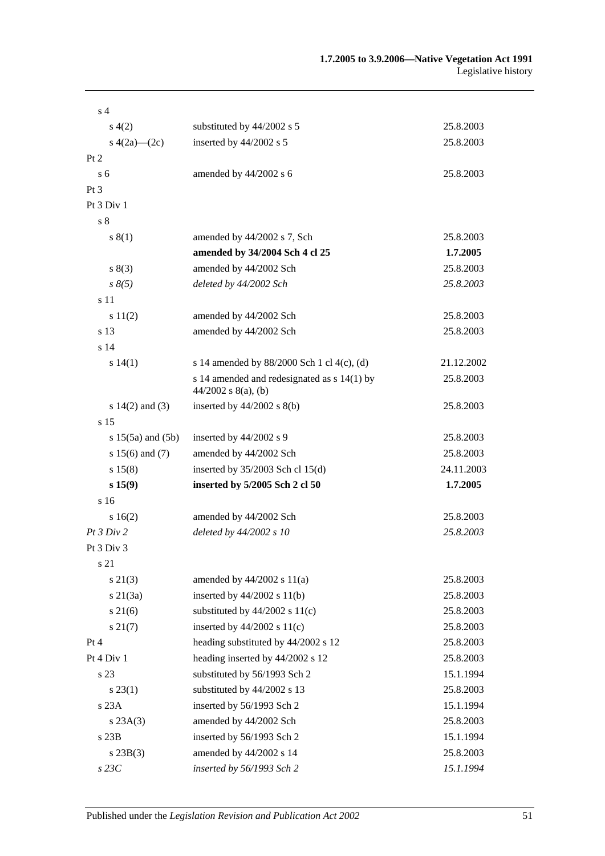| s <sub>4</sub>        |                                                                      |            |
|-----------------------|----------------------------------------------------------------------|------------|
| s(4(2)                | substituted by 44/2002 s 5                                           | 25.8.2003  |
| s $4(2a)$ — $(2c)$    | inserted by 44/2002 s 5                                              | 25.8.2003  |
| Pt 2                  |                                                                      |            |
| s <sub>6</sub>        | amended by 44/2002 s 6                                               | 25.8.2003  |
| Pt 3                  |                                                                      |            |
| Pt 3 Div 1            |                                                                      |            |
| $\sqrt{s}$ 8          |                                                                      |            |
| s(1)                  | amended by 44/2002 s 7, Sch                                          | 25.8.2003  |
|                       | amended by 34/2004 Sch 4 cl 25                                       | 1.7.2005   |
| s(3)                  | amended by 44/2002 Sch                                               | 25.8.2003  |
| $s \, 8(5)$           | deleted by 44/2002 Sch                                               | 25.8.2003  |
| s 11                  |                                                                      |            |
| s 11(2)               | amended by 44/2002 Sch                                               | 25.8.2003  |
| s 13                  | amended by 44/2002 Sch                                               | 25.8.2003  |
| s <sub>14</sub>       |                                                                      |            |
| s 14(1)               | s 14 amended by 88/2000 Sch 1 cl 4(c), (d)                           | 21.12.2002 |
|                       | s 14 amended and redesignated as s 14(1) by<br>$44/2002$ s 8(a), (b) | 25.8.2003  |
| s $14(2)$ and $(3)$   | inserted by $44/2002$ s $8(b)$                                       | 25.8.2003  |
| s 15                  |                                                                      |            |
| s $15(5a)$ and $(5b)$ | inserted by 44/2002 s 9                                              | 25.8.2003  |
| s $15(6)$ and $(7)$   | amended by 44/2002 Sch                                               | 25.8.2003  |
| s 15(8)               | inserted by $35/2003$ Sch cl 15(d)                                   | 24.11.2003 |
| s 15(9)               | inserted by 5/2005 Sch 2 cl 50                                       | 1.7.2005   |
| s <sub>16</sub>       |                                                                      |            |
| s16(2)                | amended by 44/2002 Sch                                               | 25.8.2003  |
| Pt3 Div2              | deleted by 44/2002 s 10                                              | 25.8.2003  |
| Pt 3 Div 3            |                                                                      |            |
| s 21                  |                                                                      |            |
| $s\ 21(3)$            | amended by $44/2002$ s $11(a)$                                       | 25.8.2003  |
| s21(3a)               | inserted by $44/2002$ s $11(b)$                                      | 25.8.2003  |
| $s \, 21(6)$          | substituted by $44/2002$ s $11(c)$                                   | 25.8.2003  |
| $s\,21(7)$            | inserted by $44/2002$ s $11(c)$                                      | 25.8.2003  |
| Pt 4                  | heading substituted by 44/2002 s 12                                  | 25.8.2003  |
| Pt 4 Div 1            | heading inserted by 44/2002 s 12                                     | 25.8.2003  |
| s 23                  | substituted by 56/1993 Sch 2                                         | 15.1.1994  |
| $s\,23(1)$            | substituted by 44/2002 s 13                                          | 25.8.2003  |
| s 23A                 | inserted by 56/1993 Sch 2                                            | 15.1.1994  |
| s 23A(3)              | amended by 44/2002 Sch                                               | 25.8.2003  |
| $s$ 23 $B$            | inserted by 56/1993 Sch 2                                            | 15.1.1994  |
| $s\,23B(3)$           | amended by 44/2002 s 14                                              | 25.8.2003  |
| $s$ 23 $C$            | inserted by 56/1993 Sch 2                                            | 15.1.1994  |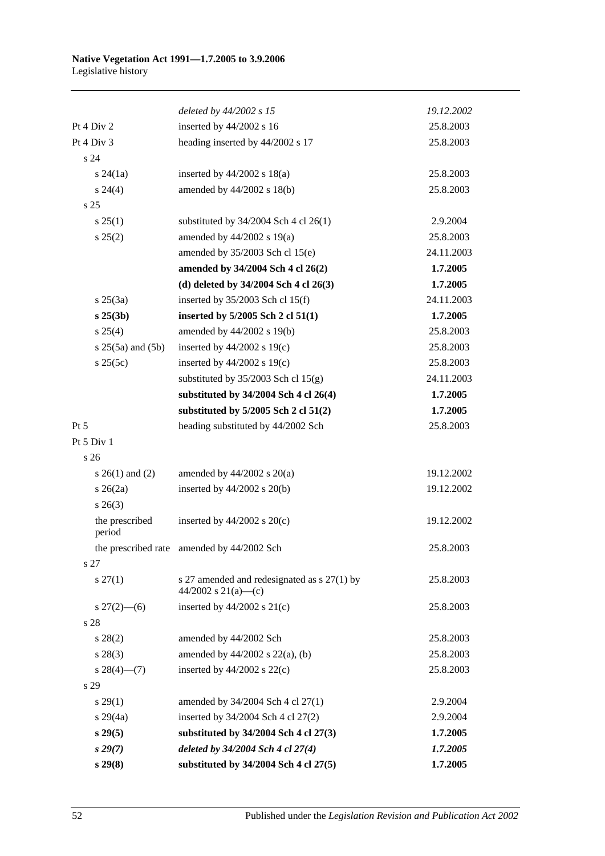|                           | deleted by 44/2002 s 15                                            | 19.12.2002 |
|---------------------------|--------------------------------------------------------------------|------------|
| Pt 4 Div 2                | inserted by 44/2002 s 16                                           | 25.8.2003  |
| Pt 4 Div 3                | heading inserted by 44/2002 s 17                                   | 25.8.2003  |
| s 24                      |                                                                    |            |
| $s\,24(1a)$               | inserted by $44/2002$ s $18(a)$                                    | 25.8.2003  |
| $s\,24(4)$                | amended by 44/2002 s 18(b)                                         | 25.8.2003  |
| s <sub>25</sub>           |                                                                    |            |
| s 25(1)                   | substituted by $34/2004$ Sch 4 cl 26(1)                            | 2.9.2004   |
| s 25(2)                   | amended by 44/2002 s 19(a)                                         | 25.8.2003  |
|                           | amended by 35/2003 Sch cl 15(e)                                    | 24.11.2003 |
|                           | amended by 34/2004 Sch 4 cl 26(2)                                  | 1.7.2005   |
|                           | (d) deleted by $34/2004$ Sch 4 cl $26(3)$                          | 1.7.2005   |
| $s \; 25(3a)$             | inserted by $35/2003$ Sch cl 15(f)                                 | 24.11.2003 |
| s 25(3b)                  | inserted by 5/2005 Sch 2 cl 51(1)                                  | 1.7.2005   |
| $s \; 25(4)$              | amended by 44/2002 s 19(b)                                         | 25.8.2003  |
| $s 25(5a)$ and $(5b)$     | inserted by $44/2002$ s 19(c)                                      | 25.8.2003  |
| s 25(5c)                  | inserted by $44/2002$ s 19(c)                                      | 25.8.2003  |
|                           | substituted by $35/2003$ Sch cl $15(g)$                            | 24.11.2003 |
|                           | substituted by 34/2004 Sch 4 cl 26(4)                              | 1.7.2005   |
|                           | substituted by $5/2005$ Sch 2 cl $51(2)$                           | 1.7.2005   |
| $Pt\,5$                   | heading substituted by 44/2002 Sch                                 | 25.8.2003  |
| Pt 5 Div 1                |                                                                    |            |
| s 26                      |                                                                    |            |
| s $26(1)$ and $(2)$       | amended by $44/2002$ s $20(a)$                                     | 19.12.2002 |
| $s \; 26(2a)$             | inserted by $44/2002$ s $20(b)$                                    | 19.12.2002 |
| $s \; 26(3)$              |                                                                    |            |
| the prescribed<br>period  | inserted by $44/2002$ s $20(c)$                                    | 19.12.2002 |
|                           | the prescribed rate amended by 44/2002 Sch                         | 25.8.2003  |
| s 27                      |                                                                    |            |
| $s \, 27(1)$              | s 27 amended and redesignated as s 27(1) by<br>44/2002 s 21(a)-(c) | 25.8.2003  |
| $s \frac{27(2) - (6)}{ }$ | inserted by $44/2002$ s $21(c)$                                    | 25.8.2003  |
| s 28                      |                                                                    |            |
| $s\,28(2)$                | amended by 44/2002 Sch                                             | 25.8.2003  |
| $s\,28(3)$                | amended by 44/2002 s 22(a), (b)                                    | 25.8.2003  |
| $s\,28(4)$ (7)            | inserted by $44/2002$ s $22(c)$                                    | 25.8.2003  |
| s 29                      |                                                                    |            |
| $s\,29(1)$                | amended by 34/2004 Sch 4 cl 27(1)                                  | 2.9.2004   |
| $s\,29(4a)$               | inserted by 34/2004 Sch 4 cl 27(2)                                 | 2.9.2004   |
| $s\,29(5)$                | substituted by 34/2004 Sch 4 cl 27(3)                              | 1.7.2005   |
| $s\,29(7)$                | deleted by 34/2004 Sch 4 cl 27(4)                                  | 1.7.2005   |
| $s\,29(8)$                | substituted by 34/2004 Sch 4 cl 27(5)                              | 1.7.2005   |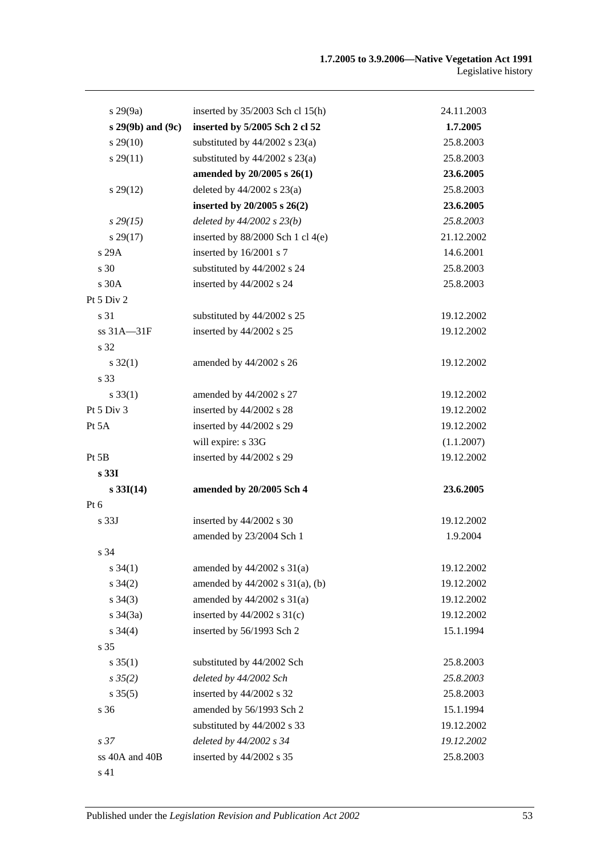| s 29(9a)             | inserted by $35/2003$ Sch cl 15(h)   | 24.11.2003 |
|----------------------|--------------------------------------|------------|
| s 29(9b) and (9c)    | inserted by 5/2005 Sch 2 cl 52       | 1.7.2005   |
| $s\,29(10)$          | substituted by $44/2002$ s $23(a)$   | 25.8.2003  |
| $s\,29(11)$          | substituted by $44/2002$ s $23(a)$   | 25.8.2003  |
|                      | amended by 20/2005 s 26(1)           | 23.6.2005  |
| $s\,29(12)$          | deleted by $44/2002$ s $23(a)$       | 25.8.2003  |
|                      | inserted by $20/2005$ s $26(2)$      | 23.6.2005  |
| $s\,29(15)$          | deleted by $44/2002 s 23(b)$         | 25.8.2003  |
| s 29(17)             | inserted by 88/2000 Sch 1 cl 4(e)    | 21.12.2002 |
| s 29A                | inserted by 16/2001 s 7              | 14.6.2001  |
| s 30                 | substituted by 44/2002 s 24          | 25.8.2003  |
| s 30A                | inserted by 44/2002 s 24             | 25.8.2003  |
| Pt 5 Div 2           |                                      |            |
| s 31                 | substituted by 44/2002 s 25          | 19.12.2002 |
| ss 31A-31F           | inserted by 44/2002 s 25             | 19.12.2002 |
| s 32                 |                                      |            |
| $s \, 32(1)$         | amended by 44/2002 s 26              | 19.12.2002 |
| s 33                 |                                      |            |
| $s \, 33(1)$         | amended by 44/2002 s 27              | 19.12.2002 |
| Pt 5 Div 3           | inserted by 44/2002 s 28             | 19.12.2002 |
| Pt 5A                | inserted by 44/2002 s 29             | 19.12.2002 |
|                      | will expire: s 33G                   | (1.1.2007) |
| Pt 5B                | inserted by 44/2002 s 29             | 19.12.2002 |
| s 331                |                                      |            |
| $s \, 33I(14)$       | amended by 20/2005 Sch 4             | 23.6.2005  |
| $Pt\ 6$              |                                      |            |
| s 33J                | inserted by 44/2002 s 30             | 19.12.2002 |
|                      | amended by 23/2004 Sch 1             | 1.9.2004   |
| s 34                 |                                      |            |
| $s \, 34(1)$         | amended by $44/2002$ s $31(a)$       | 19.12.2002 |
| $s \; 34(2)$         | amended by $44/2002$ s $31(a)$ , (b) | 19.12.2002 |
| $s \; 34(3)$         | amended by $44/2002$ s $31(a)$       | 19.12.2002 |
| $s \frac{34(3a)}{2}$ | inserted by $44/2002$ s $31(c)$      | 19.12.2002 |
| $s \; 34(4)$         | inserted by 56/1993 Sch 2            | 15.1.1994  |
| s <sub>35</sub>      |                                      |            |
| $s \, 35(1)$         | substituted by 44/2002 Sch           | 25.8.2003  |
| $s \, 35(2)$         | deleted by 44/2002 Sch               | 25.8.2003  |
| $s \, 35(5)$         | inserted by 44/2002 s 32             | 25.8.2003  |
| s 36                 | amended by 56/1993 Sch 2             | 15.1.1994  |
|                      | substituted by 44/2002 s 33          | 19.12.2002 |
| s <sub>37</sub>      | deleted by 44/2002 s 34              | 19.12.2002 |
| ss 40A and 40B       | inserted by 44/2002 s 35             | 25.8.2003  |
| s 41                 |                                      |            |